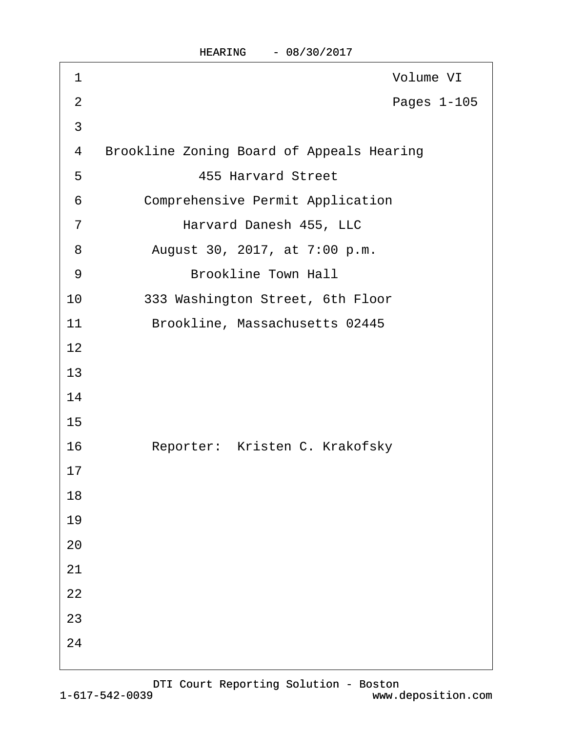| 1              | Volume VI                                        |
|----------------|--------------------------------------------------|
| $\overline{2}$ | Pages 1-105                                      |
| $\mathfrak{S}$ |                                                  |
| 4              | <b>Brookline Zoning Board of Appeals Hearing</b> |
| 5              | <b>455 Harvard Street</b>                        |
| $6\,$          | <b>Comprehensive Permit Application</b>          |
| $\overline{7}$ | Harvard Danesh 455, LLC                          |
| 8              | August 30, 2017, at 7:00 p.m.                    |
| 9              | <b>Brookline Town Hall</b>                       |
| 10             | 333 Washington Street, 6th Floor                 |
| 11             | Brookline, Massachusetts 02445                   |
| 12             |                                                  |
| 13             |                                                  |
| 14             |                                                  |
| 15             |                                                  |
| 16             | Reporter: Kristen C. Krakofsky                   |
| 17             |                                                  |
| 18             |                                                  |
| 19             |                                                  |
| 20             |                                                  |
| 21             |                                                  |
| 22             |                                                  |
| 23             |                                                  |
| 24             |                                                  |
|                |                                                  |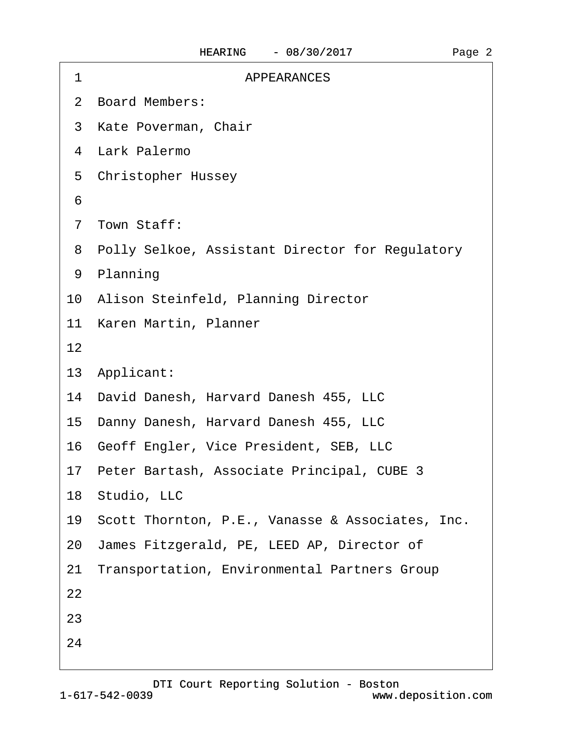| 1  | <b>APPEARANCES</b>                                  |
|----|-----------------------------------------------------|
|    | 2 Board Members:                                    |
|    | 3 Kate Poverman, Chair                              |
|    | 4 Lark Palermo                                      |
|    | 5 Christopher Hussey                                |
| 6  |                                                     |
|    | 7 Town Staff:                                       |
|    | 8 Polly Selkoe, Assistant Director for Regulatory   |
|    | 9 Planning                                          |
|    | 10 Alison Steinfeld, Planning Director              |
|    | 11 Karen Martin, Planner                            |
| 12 |                                                     |
|    | 13 Applicant:                                       |
|    | 14 David Danesh, Harvard Danesh 455, LLC            |
|    | 15 Danny Danesh, Harvard Danesh 455, LLC            |
|    | 16 Geoff Engler, Vice President, SEB, LLC           |
|    | 17 Peter Bartash, Associate Principal, CUBE 3       |
|    | 18 Studio, LLC                                      |
|    | 19 Scott Thornton, P.E., Vanasse & Associates, Inc. |
|    | 20 James Fitzgerald, PE, LEED AP, Director of       |
|    | 21 Transportation, Environmental Partners Group     |
| 22 |                                                     |
| 23 |                                                     |
| 24 |                                                     |
|    |                                                     |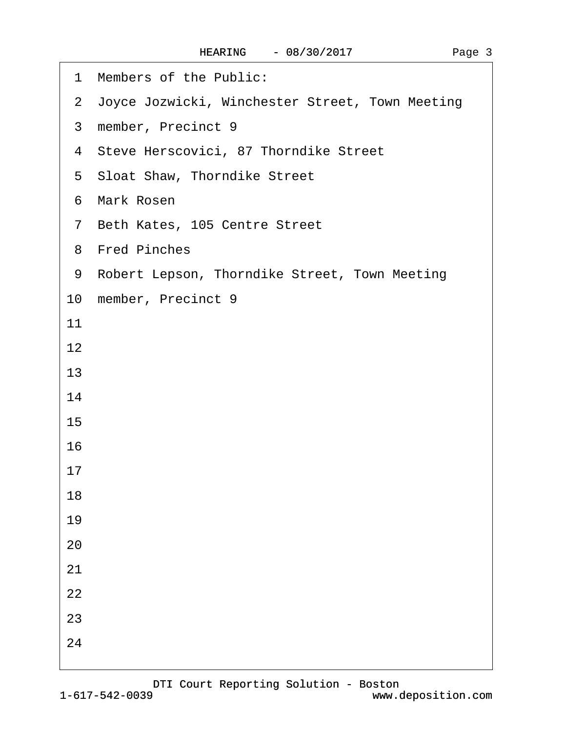| 1 Members of the Public:                          |
|---------------------------------------------------|
| 2 Joyce Jozwicki, Winchester Street, Town Meeting |
| 3 member, Precinct 9                              |
| 4 Steve Herscovici, 87 Thorndike Street           |
| 5 Sloat Shaw, Thorndike Street                    |
| 6 Mark Rosen                                      |
| 7 Beth Kates, 105 Centre Street                   |
| 8 Fred Pinches                                    |
| 9 Robert Lepson, Thorndike Street, Town Meeting   |
| 10 member, Precinct 9                             |
| 11                                                |
| 12                                                |
| 13                                                |
| 14                                                |
| 15                                                |
| 16                                                |
| 17                                                |
| 18                                                |
| 19                                                |
| 20                                                |
| 21                                                |
| 22                                                |
| 23                                                |
| 24                                                |
|                                                   |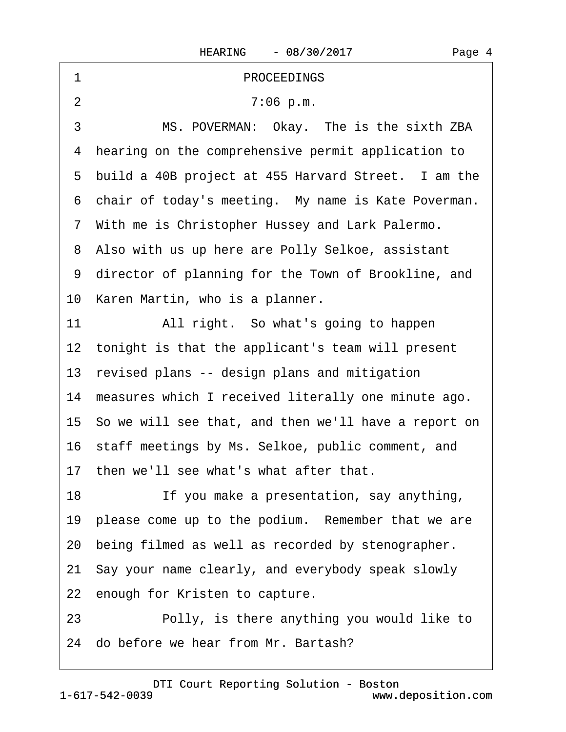| 1<br><b>PROCEEDINGS</b>                                 |
|---------------------------------------------------------|
| $\overline{2}$<br>7:06 p.m.                             |
| 3<br>MS. POVERMAN: Okay. The is the sixth ZBA           |
| hearing on the comprehensive permit application to<br>4 |
| 5 build a 40B project at 455 Harvard Street. I am the   |
| 6 chair of today's meeting. My name is Kate Poverman.   |
| 7 With me is Christopher Hussey and Lark Palermo.       |
| 8 Also with us up here are Polly Selkoe, assistant      |
| 9 director of planning for the Town of Brookline, and   |
| 10 Karen Martin, who is a planner.                      |
| 11<br>All right. So what's going to happen              |
| 12 tonight is that the applicant's team will present    |
| 13 revised plans -- design plans and mitigation         |
| 14 measures which I received literally one minute ago.  |
| 15 So we will see that, and then we'll have a report on |
| 16 staff meetings by Ms. Selkoe, public comment, and    |
| 17 then we'll see what's what after that.               |
| If you make a presentation, say anything,<br>18         |
| 19 please come up to the podium. Remember that we are   |
| 20 being filmed as well as recorded by stenographer.    |
| 21 Say your name clearly, and everybody speak slowly    |
| 22 enough for Kristen to capture.                       |
| Polly, is there anything you would like to<br>23        |

24 do before we hear from Mr. Bartash?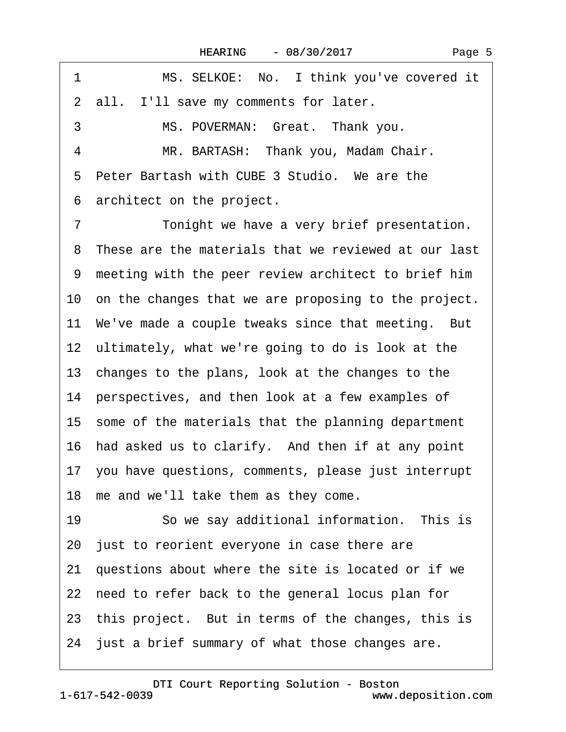| MS. SELKOE: No. I think you've covered it<br>1                     |
|--------------------------------------------------------------------|
| all. I'll save my comments for later.<br>$\mathbf{2}^{\mathsf{I}}$ |
| 3<br>MS. POVERMAN: Great. Thank you.                               |
| MR. BARTASH: Thank you, Madam Chair.<br>4                          |
| Peter Bartash with CUBE 3 Studio. We are the<br>5                  |
| 6 architect on the project.                                        |
| Tonight we have a very brief presentation.<br>7                    |
| 8 These are the materials that we reviewed at our last             |
| 9 meeting with the peer review architect to brief him              |
| 10 on the changes that we are proposing to the project.            |
| 11 We've made a couple tweaks since that meeting. But              |
| 12 ultimately, what we're going to do is look at the               |
| 13 changes to the plans, look at the changes to the                |
| 14 perspectives, and then look at a few examples of                |
| 15 some of the materials that the planning department              |
| 16 had asked us to clarify. And then if at any point               |
| 17 you have questions, comments, please just interrupt             |
| 18 me and we'll take them as they come.                            |
| 19<br>So we say additional information. This is                    |
| 20 just to reorient everyone in case there are                     |
| 21 questions about where the site is located or if we              |
| 22 need to refer back to the general locus plan for                |
| 23 this project. But in terms of the changes, this is              |
| 24 just a brief summary of what those changes are.                 |

 $\sqrt{ }$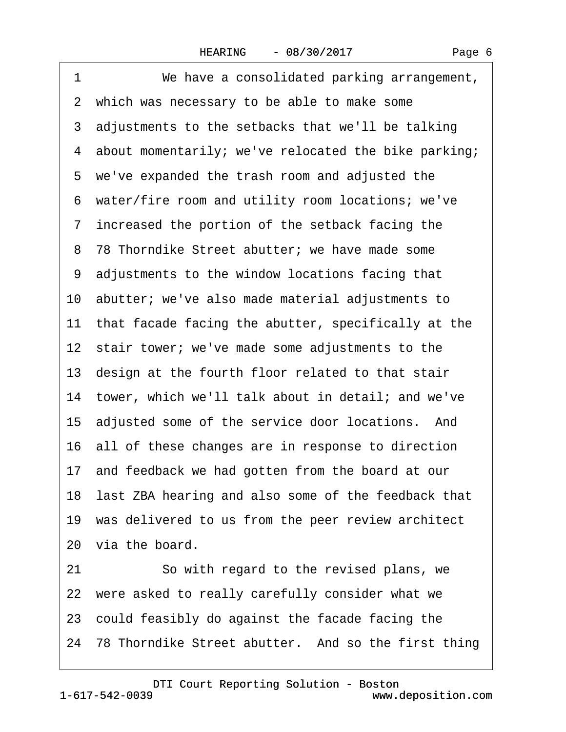1 We have a consolidated parking arrangement, 2 which was necessary to be able to make some 3 adjustments to the setbacks that we'll be talking 4 about momentarily; we've relocated the bike parking; 5 we've expanded the trash room and adjusted the ·6· water/fire room and utility room locations; we've ·7· increased the portion of the setback facing the 8 78 Thorndike Street abutter; we have made some ·9· adjustments to the window locations facing that 10 abutter; we've also made material adjustments to 11 that facade facing the abutter, specifically at the 12 stair tower; we've made some adjustments to the 13· design at the fourth floor related to that stair 14· tower, which we'll talk about in detail; and we've 15 adjusted some of the service door locations. And 16· all of these changes are in response to direction 17 and feedback we had gotten from the board at our 18 last ZBA hearing and also some of the feedback that 19 was delivered to us from the peer review architect 20 via the board. 21 So with regard to the revised plans, we 22 were asked to really carefully consider what we 23· could feasibly do against the facade facing the 24–78 Thorndike Street abutter. And so the first thing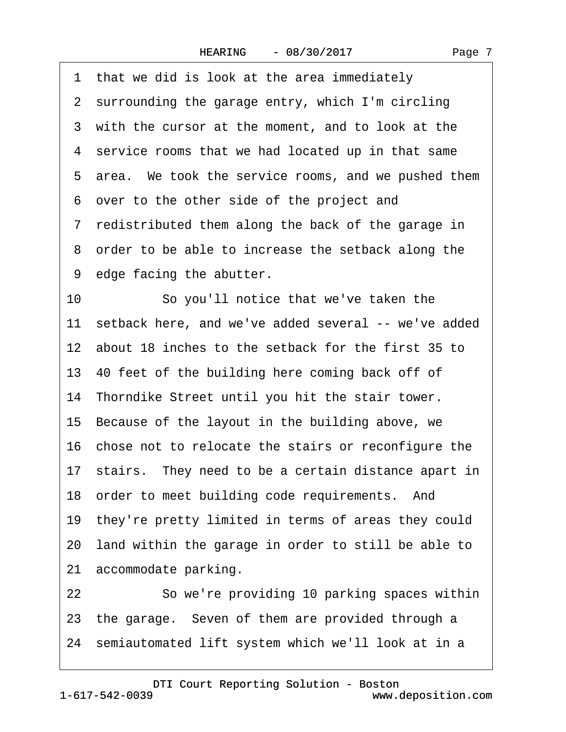| 1 that we did is look at the area immediately           |
|---------------------------------------------------------|
| 2 surrounding the garage entry, which I'm circling      |
| 3 with the cursor at the moment, and to look at the     |
| 4 service rooms that we had located up in that same     |
| 5 area. We took the service rooms, and we pushed them   |
| 6 over to the other side of the project and             |
| 7 redistributed them along the back of the garage in    |
| 8 order to be able to increase the setback along the    |
| 9 edge facing the abutter.                              |
| 10<br>So you'll notice that we've taken the             |
| 11 setback here, and we've added several -- we've added |
| 12 about 18 inches to the setback for the first 35 to   |
| 13 40 feet of the building here coming back off of      |
| 14 Thorndike Street until you hit the stair tower.      |
| 15 Because of the layout in the building above, we      |
| 16 chose not to relocate the stairs or reconfigure the  |
| 17 stairs. They need to be a certain distance apart in  |
| 18 order to meet building code requirements. And        |
| 19 they're pretty limited in terms of areas they could  |
| 20 land within the garage in order to still be able to  |
| 21 accommodate parking.                                 |
| 22<br>So we're providing 10 parking spaces within       |
| 23 the garage. Seven of them are provided through a     |
| 24 semiautomated lift system which we'll look at in a   |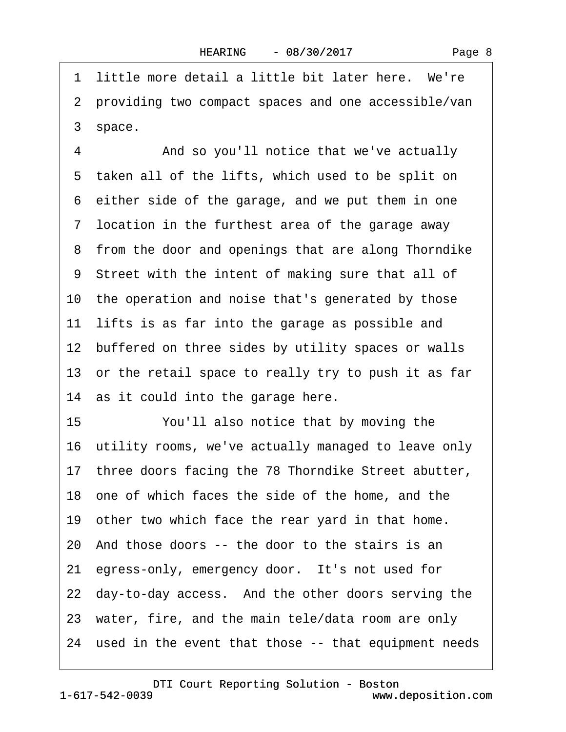1 little more detail a little bit later here. We're ·2· providing two compact spaces and one accessible/van 3 space. 4 • • And so you'll notice that we've actually 5 taken all of the lifts, which used to be split on 6 either side of the garage, and we put them in one ·7· location in the furthest area of the garage away 8 from the door and openings that are along Thorndike ·9· Street with the intent of making sure that all of 10· the operation and noise that's generated by those 11 lifts is as far into the garage as possible and 12 buffered on three sides by utility spaces or walls 13 or the retail space to really try to push it as far 14 as it could into the garage here. 15 You'll also notice that by moving the 16 utility rooms, we've actually managed to leave only 17 three doors facing the 78 Thorndike Street abutter, 18· one of which faces the side of the home, and the 19 other two which face the rear yard in that home. 20· And those doors -- the door to the stairs is an 21 egress-only, emergency door. It's not used for 22 day-to-day access. And the other doors serving the 23· water, fire, and the main tele/data room are only 24 used in the event that those -- that equipment needs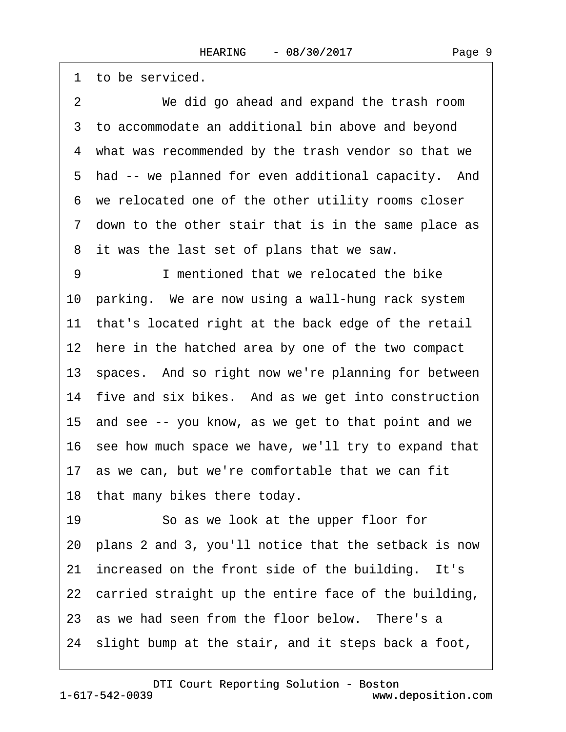1 to be serviced.

2 We did go ahead and expand the trash room 3 to accommodate an additional bin above and beyond 4 what was recommended by the trash vendor so that we 5 had -- we planned for even additional capacity. And ·6· we relocated one of the other utility rooms closer ·7· down to the other stair that is in the same place as 8 it was the last set of plans that we saw. 9 **I** mentioned that we relocated the bike 10· parking.· We are now using a wall-hung rack system 11 that's located right at the back edge of the retail 12 here in the hatched area by one of the two compact 13 spaces. And so right now we're planning for between 14 five and six bikes. And as we get into construction 15· and see -- you know, as we get to that point and we 16· see how much space we have, we'll try to expand that 17 as we can, but we're comfortable that we can fit 18 that many bikes there today. 19 • So as we look at the upper floor for 20· plans 2 and 3, you'll notice that the setback is now 21 increased on the front side of the building. It's 22 carried straight up the entire face of the building, 23 as we had seen from the floor below. There's a 24· slight bump at the stair, and it steps back a foot,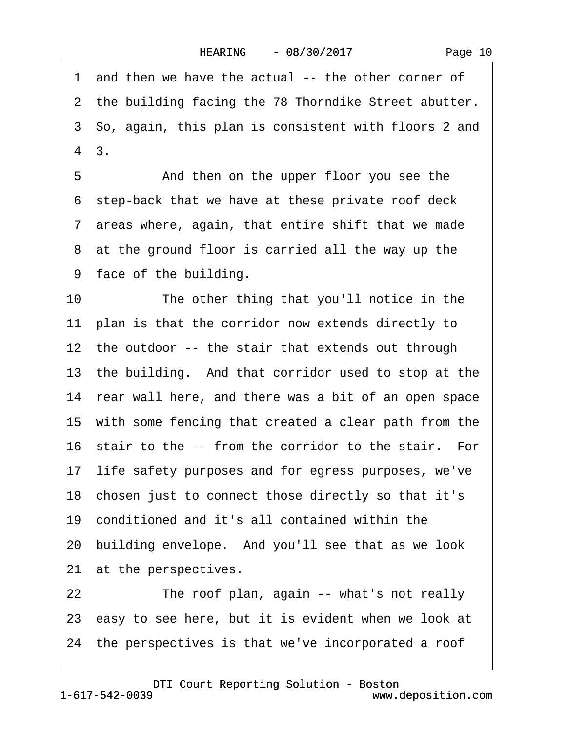1 and then we have the actual -- the other corner of 2 the building facing the 78 Thorndike Street abutter. ·3· So, again, this plan is consistent with floors 2 and ·4· 3. 5 • **And then on the upper floor you see the** ·6· step-back that we have at these private roof deck ·7· areas where, again, that entire shift that we made 8 at the ground floor is carried all the way up the 9 face of the building. 10 The other thing that you'll notice in the 11 plan is that the corridor now extends directly to 12 the outdoor -- the stair that extends out through 13 the building. And that corridor used to stop at the 14 rear wall here, and there was a bit of an open space 15 with some fencing that created a clear path from the 16 stair to the -- from the corridor to the stair. For 17 life safety purposes and for egress purposes, we've 18 chosen just to connect those directly so that it's 19· conditioned and it's all contained within the 20 building envelope. And you'll see that as we look 21 at the perspectives. 22 The roof plan, again -- what's not really 23 easy to see here, but it is evident when we look at 24· the perspectives is that we've incorporated a roof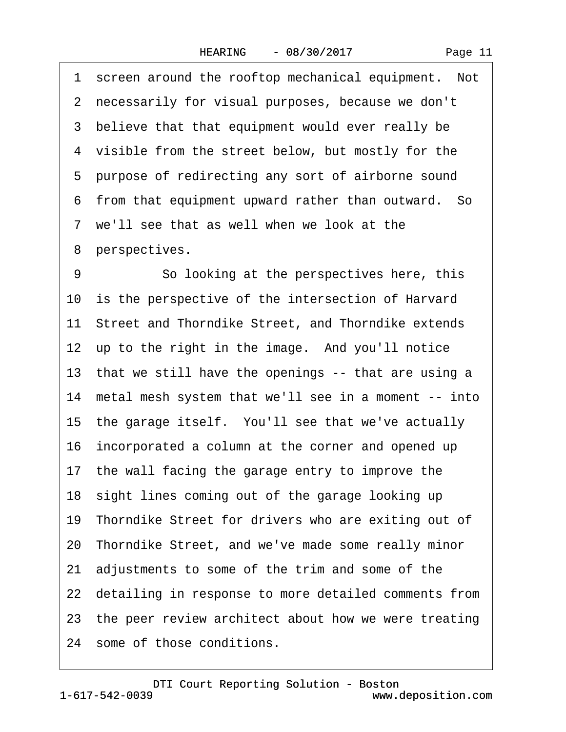1 screen around the rooftop mechanical equipment. Not 2 necessarily for visual purposes, because we don't 3 believe that that equipment would ever really be 4 visible from the street below, but mostly for the 5 purpose of redirecting any sort of airborne sound ·6· from that equipment upward rather than outward.· So ·7· we'll see that as well when we look at the 8 perspectives. 9 **So looking at the perspectives here, this** 10 is the perspective of the intersection of Harvard 11 Street and Thorndike Street, and Thorndike extends 12 up to the right in the image. And you'll notice 13 that we still have the openings -- that are using a 14· metal mesh system that we'll see in a moment -- into 15 the garage itself. You'll see that we've actually 16 incorporated a column at the corner and opened up 17 the wall facing the garage entry to improve the 18 sight lines coming out of the garage looking up 19 Thorndike Street for drivers who are exiting out of 20· Thorndike Street, and we've made some really minor 21· adjustments to some of the trim and some of the 22 detailing in response to more detailed comments from 23 the peer review architect about how we were treating 24 some of those conditions.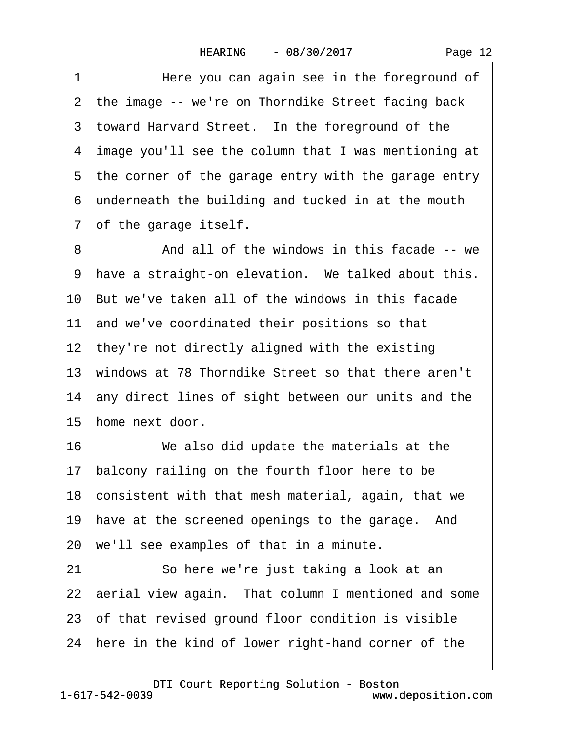1 Here you can again see in the foreground of 2 the image -- we're on Thorndike Street facing back 3 toward Harvard Street. In the foreground of the ·4· image you'll see the column that I was mentioning at 5 the corner of the garage entry with the garage entry ·6· underneath the building and tucked in at the mouth 7 of the garage itself.

8 • **And all of the windows in this facade** -- we 9 have a straight-on elevation. We talked about this. 10· But we've taken all of the windows in this facade 11 and we've coordinated their positions so that 12 they're not directly aligned with the existing 13 windows at 78 Thorndike Street so that there aren't 14 any direct lines of sight between our units and the 15 home next door.

16 We also did update the materials at the 17 balcony railing on the fourth floor here to be 18· consistent with that mesh material, again, that we 19 have at the screened openings to the garage. And 20· we'll see examples of that in a minute. 21 · · · So here we're just taking a look at an 22 aerial view again. That column I mentioned and some 23· of that revised ground floor condition is visible 24 here in the kind of lower right-hand corner of the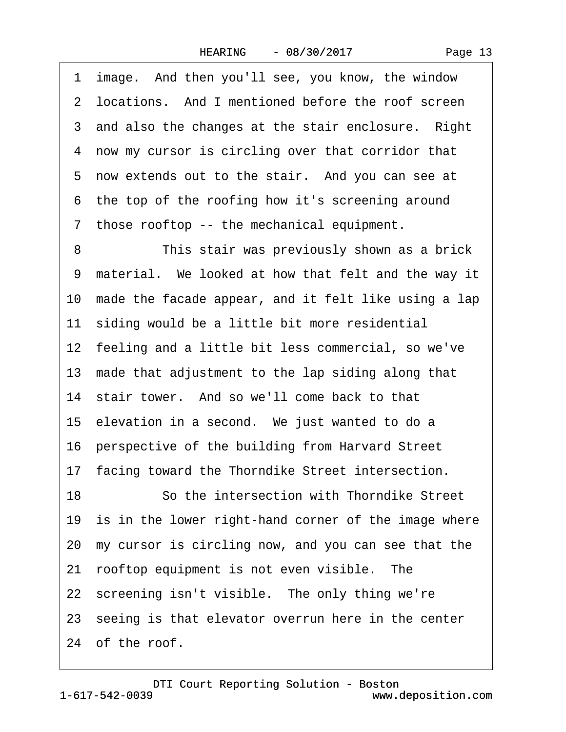1 image. And then you'll see, you know, the window 2 locations. And I mentioned before the roof screen 3 and also the changes at the stair enclosure. Right 4 now my cursor is circling over that corridor that 5 now extends out to the stair. And you can see at 6 the top of the roofing how it's screening around ·7· those rooftop -- the mechanical equipment.

8 This stair was previously shown as a brick 9 material. We looked at how that felt and the way it 10 made the facade appear, and it felt like using a lap 11 siding would be a little bit more residential 12 feeling and a little bit less commercial, so we've 13· made that adjustment to the lap siding along that 14 stair tower. And so we'll come back to that 15 elevation in a second. We just wanted to do a 16· perspective of the building from Harvard Street 17 facing toward the Thorndike Street intersection. 18 **· · · · So the intersection with Thorndike Street** 19 is in the lower right-hand corner of the image where 20· my cursor is circling now, and you can see that the 21 rooftop equipment is not even visible. The 22 screening isn't visible. The only thing we're 23 seeing is that elevator overrun here in the center 24 of the roof.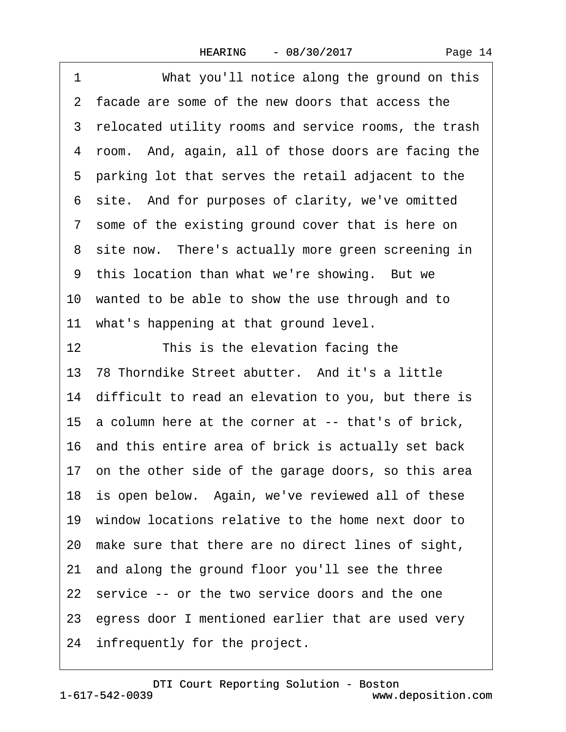1 What you'll notice along the ground on this 2 facade are some of the new doors that access the 3 relocated utility rooms and service rooms, the trash 4 room. And, again, all of those doors are facing the 5 parking lot that serves the retail adjacent to the 6 site. And for purposes of clarity, we've omitted 7 some of the existing ground cover that is here on 8 site now. There's actually more green screening in 9 this location than what we're showing. But we 10 wanted to be able to show the use through and to 11 what's happening at that ground level. 12 This is the elevation facing the 13–78 Thorndike Street abutter. And it's a little 14 difficult to read an elevation to you, but there is 15 a column here at the corner at -- that's of brick, 16· and this entire area of brick is actually set back 17 on the other side of the garage doors, so this area 18 is open below. Again, we've reviewed all of these 19· window locations relative to the home next door to 20· make sure that there are no direct lines of sight, 21· and along the ground floor you'll see the three 22 service -- or the two service doors and the one 23· egress door I mentioned earlier that are used very 24 infrequently for the project.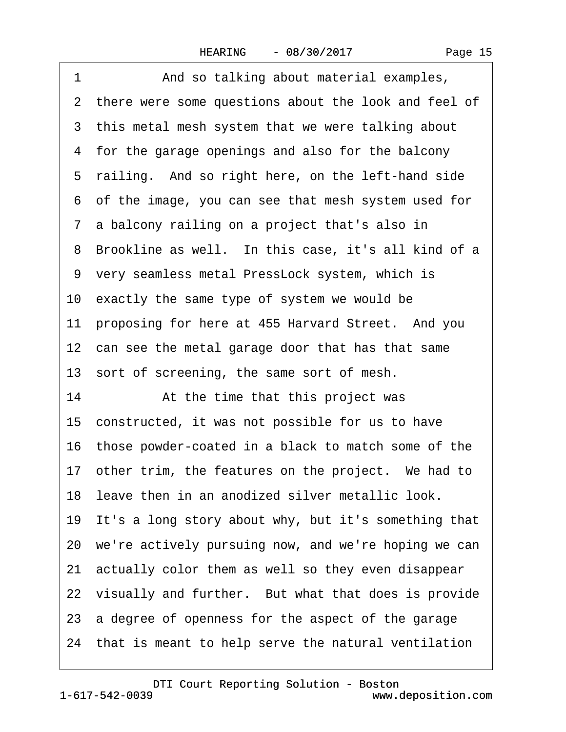| 1<br>And so talking about material examples,            |
|---------------------------------------------------------|
| 2 there were some questions about the look and feel of  |
| 3 this metal mesh system that we were talking about     |
| 4 for the garage openings and also for the balcony      |
| 5 railing. And so right here, on the left-hand side     |
| 6 of the image, you can see that mesh system used for   |
| 7 a balcony railing on a project that's also in         |
| 8 Brookline as well. In this case, it's all kind of a   |
| 9 very seamless metal PressLock system, which is        |
| 10 exactly the same type of system we would be          |
| 11 proposing for here at 455 Harvard Street. And you    |
| 12 can see the metal garage door that has that same     |
| 13 sort of screening, the same sort of mesh.            |
| At the time that this project was<br>14                 |
| 15 constructed, it was not possible for us to have      |
| 16 those powder-coated in a black to match some of the  |
| 17 other trim, the features on the project. We had to   |
| 18 leave then in an anodized silver metallic look.      |
| 19 It's a long story about why, but it's something that |
| 20 we're actively pursuing now, and we're hoping we can |
| 21 actually color them as well so they even disappear   |
| 22 visually and further. But what that does is provide  |
| 23 a degree of openness for the aspect of the garage    |
| 24 that is meant to help serve the natural ventilation  |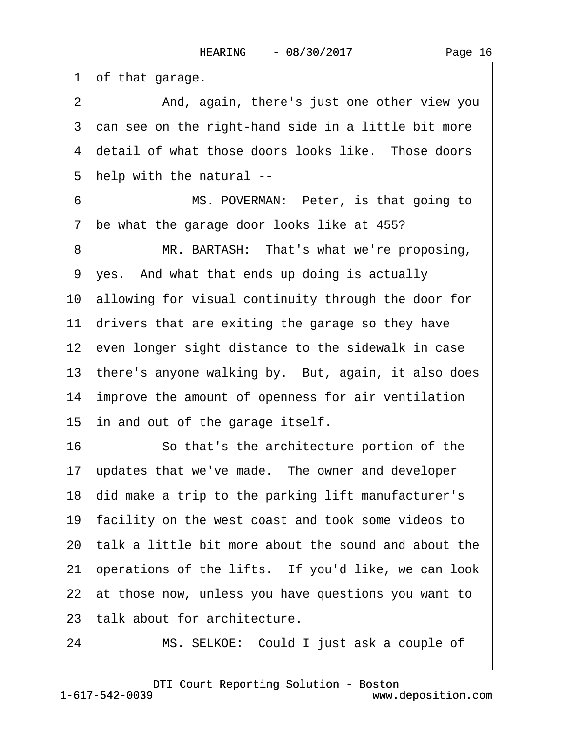1 of that garage.

2 And, again, there's just one other view you 3 can see on the right-hand side in a little bit more 4 detail of what those doors looks like. Those doors 5 help with the natural --

6 MS. POVERMAN: Peter, is that going to 7 be what the garage door looks like at 455?

8 MR. BARTASH: That's what we're proposing, ·9· yes.· And what that ends up doing is actually 10· allowing for visual continuity through the door for 11 drivers that are exiting the garage so they have 12 even longer sight distance to the sidewalk in case 13 there's anyone walking by. But, again, it also does 14 improve the amount of openness for air ventilation 15 in and out of the garage itself.

16 **· · · So that's the architecture portion of the** 17 updates that we've made. The owner and developer 18· did make a trip to the parking lift manufacturer's 19· facility on the west coast and took some videos to 20 talk a little bit more about the sound and about the 21 operations of the lifts. If you'd like, we can look 22 at those now, unless you have questions you want to 23 talk about for architecture. 24 MS. SELKOE: Could I just ask a couple of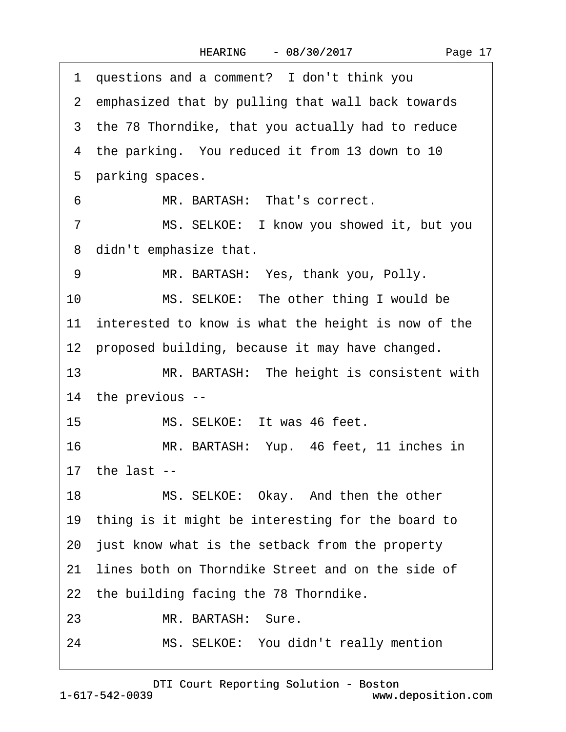| Page 17 |
|---------|
|---------|

1 questions and a comment? I don't think you 2 emphasized that by pulling that wall back towards 3 the 78 Thorndike, that you actually had to reduce 4 the parking. You reduced it from 13 down to 10 5 parking spaces. 6 MR. BARTASH: That's correct. 7 MS. SELKOE: I know you showed it, but you 8 didn't emphasize that. 9 MR. BARTASH: Yes, thank you, Polly. 10 MS. SELKOE: The other thing I would be 11 interested to know is what the height is now of the 12 proposed building, because it may have changed. 13 MR. BARTASH: The height is consistent with 14 the previous --15 MS. SELKOE: It was 46 feet. 16 MR. BARTASH: Yup. 46 feet, 11 inches in 17 the last  $-$ 18 MS. SELKOE: Okay. And then the other 19 thing is it might be interesting for the board to 20 just know what is the setback from the property 21 lines both on Thorndike Street and on the side of 22 the building facing the 78 Thorndike. 23 MR. BARTASH: Sure. 24 MS. SELKOE: You didn't really mention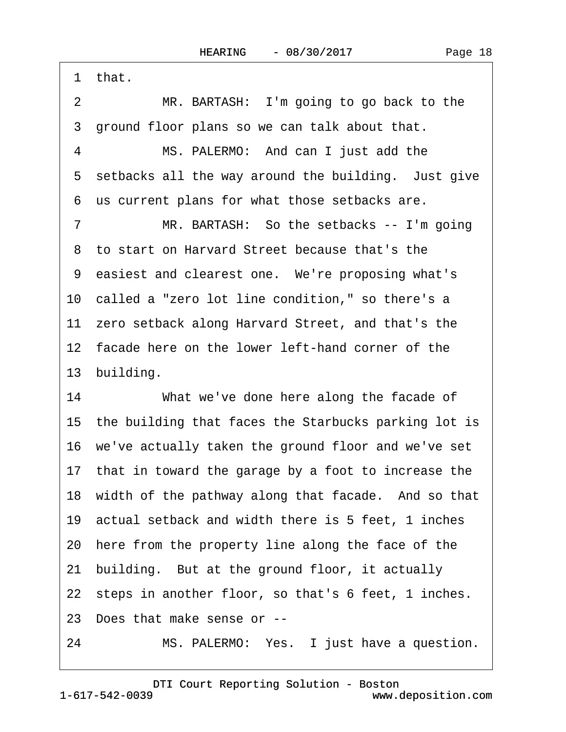·1· that.

2 MR. BARTASH: I'm going to go back to the 3 ground floor plans so we can talk about that.

4 MS. PALERMO: And can I just add the 5 setbacks all the way around the building. Just give ·6· us current plans for what those setbacks are.

7 MR. BARTASH: So the setbacks -- I'm going ·8· to start on Harvard Street because that's the 9 easiest and clearest one. We're proposing what's 10 called a "zero lot line condition," so there's a 11 zero setback along Harvard Street, and that's the 12 facade here on the lower left-hand corner of the 13 building.

14 What we've done here along the facade of 15 the building that faces the Starbucks parking lot is 16· we've actually taken the ground floor and we've set 17· that in toward the garage by a foot to increase the 18 width of the pathway along that facade. And so that 19· actual setback and width there is 5 feet, 1 inches 20 here from the property line along the face of the 21 building. But at the ground floor, it actually 22 steps in another floor, so that's 6 feet, 1 inches. 23· Does that make sense or --

24 MS. PALERMO: Yes. I just have a question.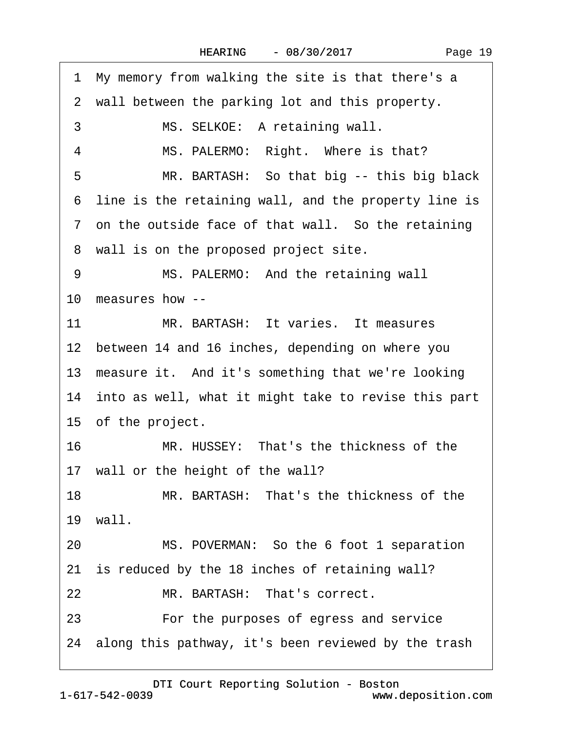| Page 19 |
|---------|
|---------|

·1· My memory from walking the site is that there's a 2 wall between the parking lot and this property. 3 MS. SELKOE: A retaining wall. 4 MS. PALERMO: Right. Where is that? 5 MR. BARTASH: So that big -- this big black 6 line is the retaining wall, and the property line is 7 on the outside face of that wall. So the retaining 8 wall is on the proposed project site. 9 MS. PALERMO: And the retaining wall 10 measures how --11 MR. BARTASH: It varies. It measures 12 between 14 and 16 inches, depending on where you 13 measure it. And it's something that we're looking 14 into as well, what it might take to revise this part 15 of the project. 16· · · · · ·MR. HUSSEY:· That's the thickness of the 17 wall or the height of the wall? 18 MR BARTASH: That's the thickness of the  $19$  wall. 20 MS. POVERMAN: So the 6 foot 1 separation 21 is reduced by the 18 inches of retaining wall? 22 MR. BARTASH: That's correct. 23 **• • • For the purposes of egress and service** 24· along this pathway, it's been reviewed by the trash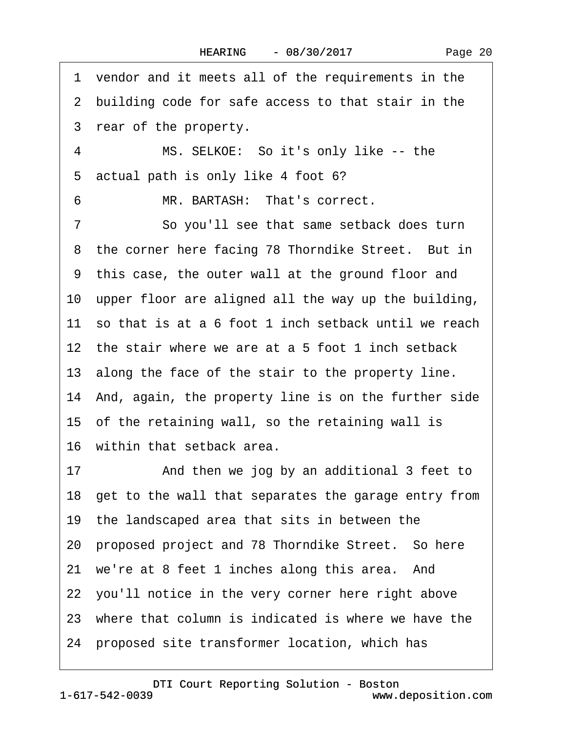Page 20

1 vendor and it meets all of the requirements in the 2 building code for safe access to that stair in the 3 rear of the property. 4 MS. SELKOE: So it's only like -- the 5 actual path is only like 4 foot 6? 6 MR. BARTASH: That's correct. 7 So you'll see that same setback does turn 8 the corner here facing 78 Thorndike Street. But in ·9· this case, the outer wall at the ground floor and 10 upper floor are aligned all the way up the building, 11 so that is at a 6 foot 1 inch setback until we reach 12· the stair where we are at a 5 foot 1 inch setback 13 along the face of the stair to the property line. 14 And, again, the property line is on the further side 15 of the retaining wall, so the retaining wall is 16 within that setback area. 17 • And then we jog by an additional 3 feet to 18· get to the wall that separates the garage entry from 19· the landscaped area that sits in between the 20 proposed project and 78 Thorndike Street. So here 21 we're at 8 feet 1 inches along this area. And 22 you'll notice in the very corner here right above 23 where that column is indicated is where we have the 24· proposed site transformer location, which has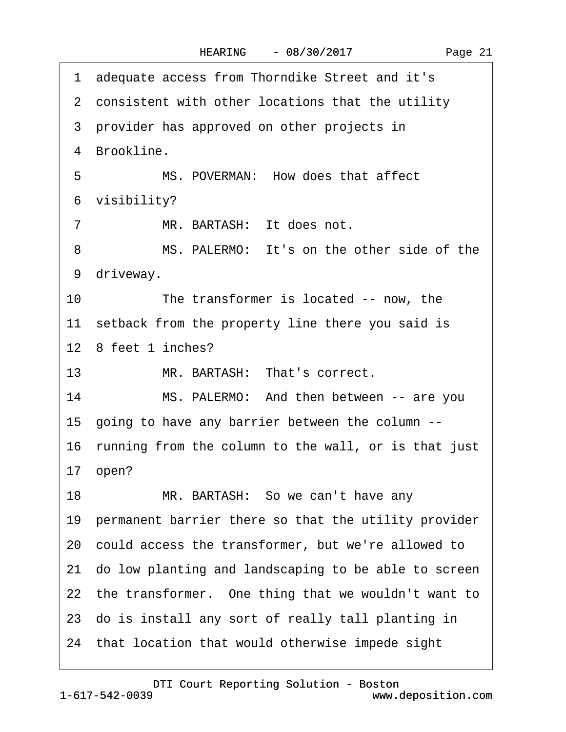·1· adequate access from Thorndike Street and it's 2 consistent with other locations that the utility 3 provider has approved on other projects in 4 Brookline. 5 MS. POVERMAN: How does that affect 6 visibility? 7 MR. BARTASH: It does not. 8 MS. PALERMO: It's on the other side of the 9 driveway. 10 The transformer is located -- now, the 11 setback from the property line there you said is 12· 8 feet 1 inches? 13 MR. BARTASH: That's correct. 14 MS. PALERMO: And then between -- are you 15· going to have any barrier between the column -- 16 running from the column to the wall, or is that just 17· open? 18 MR. BARTASH: So we can't have any 19 permanent barrier there so that the utility provider 20· could access the transformer, but we're allowed to 21· do low planting and landscaping to be able to screen 22 the transformer. One thing that we wouldn't want to 23· do is install any sort of really tall planting in 24 that location that would otherwise impede sight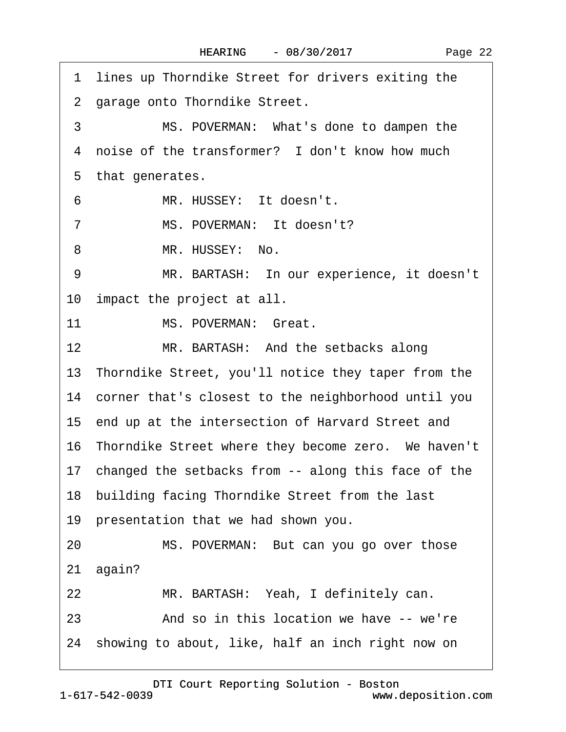|  | Page 22 |
|--|---------|
|--|---------|

|                | 1 lines up Thorndike Street for drivers exiting the    |
|----------------|--------------------------------------------------------|
|                | 2 garage onto Thorndike Street.                        |
| 3              | MS. POVERMAN: What's done to dampen the                |
|                | 4 noise of the transformer? I don't know how much      |
|                | 5 that generates.                                      |
| 6              | MR. HUSSEY: It doesn't.                                |
| $\overline{7}$ | MS. POVERMAN: It doesn't?                              |
| 8              | MR. HUSSEY: No.                                        |
| 9              | MR. BARTASH: In our experience, it doesn't             |
|                | 10 impact the project at all.                          |
| 11             | MS. POVERMAN: Great.                                   |
| 12             | MR. BARTASH: And the setbacks along                    |
|                | 13 Thorndike Street, you'll notice they taper from the |
|                | 14 corner that's closest to the neighborhood until you |
|                | 15 end up at the intersection of Harvard Street and    |
|                | 16 Thorndike Street where they become zero. We haven't |
|                | 17 changed the setbacks from -- along this face of the |
|                | 18 building facing Thorndike Street from the last      |
|                | 19 presentation that we had shown you.                 |
| 20             | MS. POVERMAN: But can you go over those                |
|                | 21 again?                                              |
| 22             | MR. BARTASH: Yeah, I definitely can.                   |
| 23             | And so in this location we have -- we're               |
|                | 24 showing to about, like, half an inch right now on   |
|                |                                                        |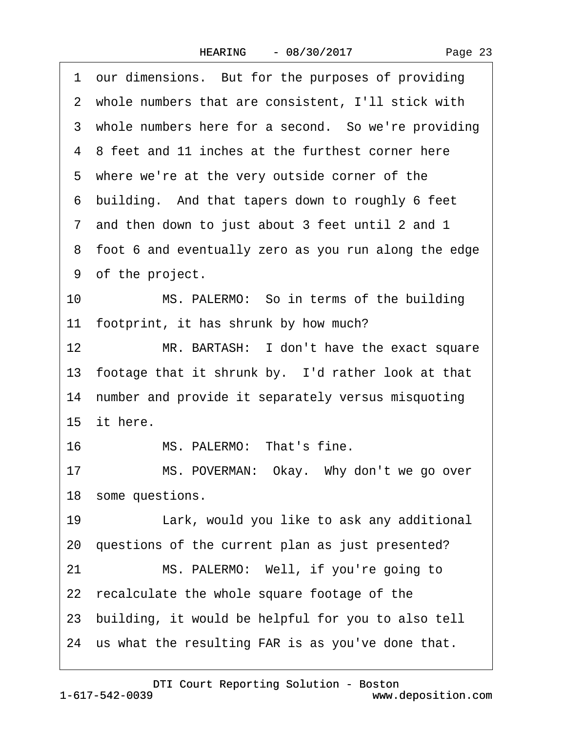|  | Page 23 |  |
|--|---------|--|
|--|---------|--|

1 our dimensions. But for the purposes of providing ·2· whole numbers that are consistent, I'll stick with 3 whole numbers here for a second. So we're providing ·4· 8 feet and 11 inches at the furthest corner here 5 where we're at the very outside corner of the ·6· building.· And that tapers down to roughly 6 feet ·7· and then down to just about 3 feet until 2 and 1 ·8· foot 6 and eventually zero as you run along the edge 9 of the project. 10 MS. PALERMO: So in terms of the building 11 footprint, it has shrunk by how much? 12 MR. BARTASH: I don't have the exact square 13 footage that it shrunk by. I'd rather look at that 14 number and provide it separately versus misquoting 15· it here. 16 MS. PALERMO: That's fine. 17 MS. POVERMAN: Okay. Why don't we go over 18 some questions. 19 Lark, would you like to ask any additional 20 questions of the current plan as just presented? 21 MS. PALERMO: Well, if you're going to 22· recalculate the whole square footage of the 23· building, it would be helpful for you to also tell 24 us what the resulting FAR is as you've done that.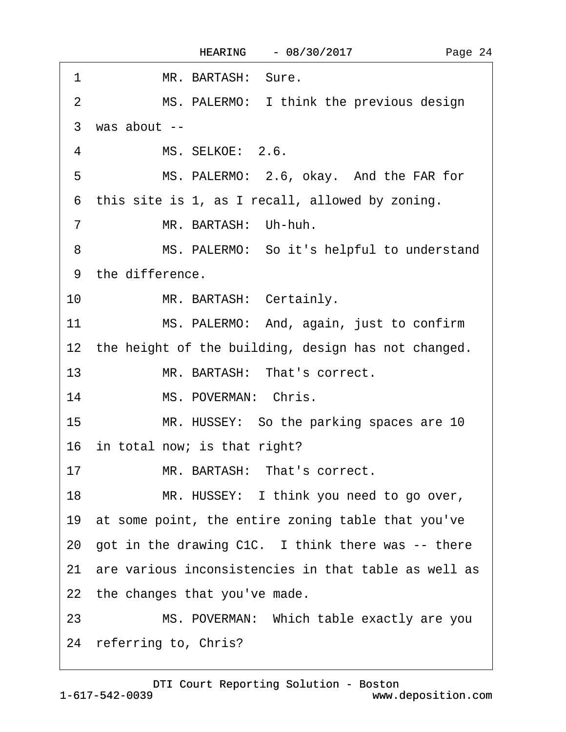| MR. BARTASH: Sure.<br>1                                 |
|---------------------------------------------------------|
| MS. PALERMO: I think the previous design<br>2           |
| 3 was about --                                          |
| MS. SELKOE: 2.6.<br>4                                   |
| MS. PALERMO: 2.6, okay. And the FAR for<br>5            |
| 6 this site is 1, as I recall, allowed by zoning.       |
| $\overline{7}$<br>MR. BARTASH: Uh-huh.                  |
| MS. PALERMO: So it's helpful to understand<br>8         |
| 9 the difference.                                       |
| MR. BARTASH: Certainly.<br>10                           |
| 11<br>MS. PALERMO: And, again, just to confirm          |
| 12 the height of the building, design has not changed.  |
| 13 <sup>2</sup><br>MR. BARTASH: That's correct.         |
| MS. POVERMAN: Chris.<br>14                              |
| 15<br>MR. HUSSEY: So the parking spaces are 10          |
| 16 in total now; is that right?                         |
| MR. BARTASH: That's correct.<br>17                      |
| 18<br>MR. HUSSEY: I think you need to go over,          |
| 19 at some point, the entire zoning table that you've   |
| 20 got in the drawing C1C. I think there was -- there   |
| 21 are various inconsistencies in that table as well as |
| 22 the changes that you've made.                        |
| MS. POVERMAN: Which table exactly are you<br>23         |
| 24 referring to, Chris?                                 |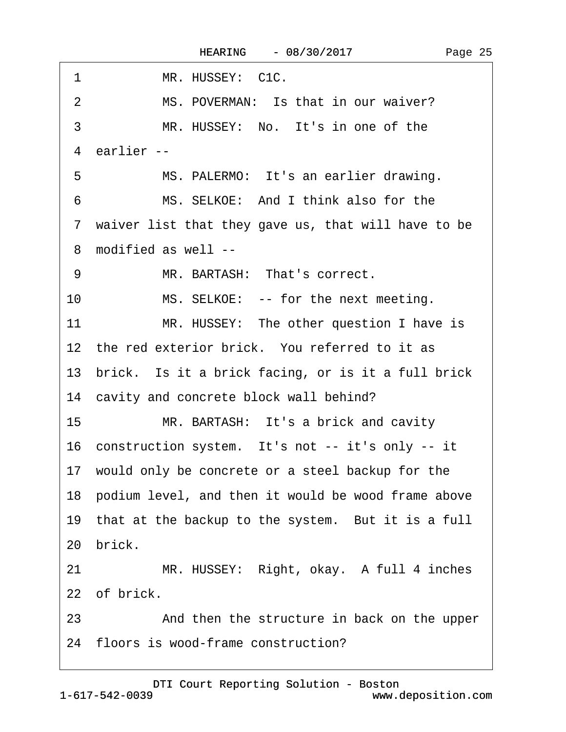| MR. HUSSEY: C1C.<br>1                                  |
|--------------------------------------------------------|
| MS. POVERMAN: Is that in our waiver?<br>$\overline{2}$ |
| 3<br>MR. HUSSEY: No. It's in one of the                |
| 4 earlier --                                           |
| MS. PALERMO: It's an earlier drawing.<br>5             |
| MS. SELKOE: And I think also for the<br>6              |
| 7 waiver list that they gave us, that will have to be  |
| 8 modified as well --                                  |
| MR. BARTASH: That's correct.<br>9                      |
| 10<br>MS. SELKOE: -- for the next meeting.             |
| 11<br>MR. HUSSEY: The other question I have is         |
| 12 the red exterior brick. You referred to it as       |
| 13 brick. Is it a brick facing, or is it a full brick  |
| 14 cavity and concrete block wall behind?              |
| 15<br>MR. BARTASH: It's a brick and cavity             |
| 16 construction system. It's not -- it's only -- it    |
| 17 would only be concrete or a steel backup for the    |
| 18 podium level, and then it would be wood frame above |
| 19 that at the backup to the system. But it is a full  |
| brick.<br>20                                           |
| MR. HUSSEY: Right, okay. A full 4 inches<br>21         |
| 22 of brick.                                           |
| 23<br>And then the structure in back on the upper      |
| 24 floors is wood-frame construction?                  |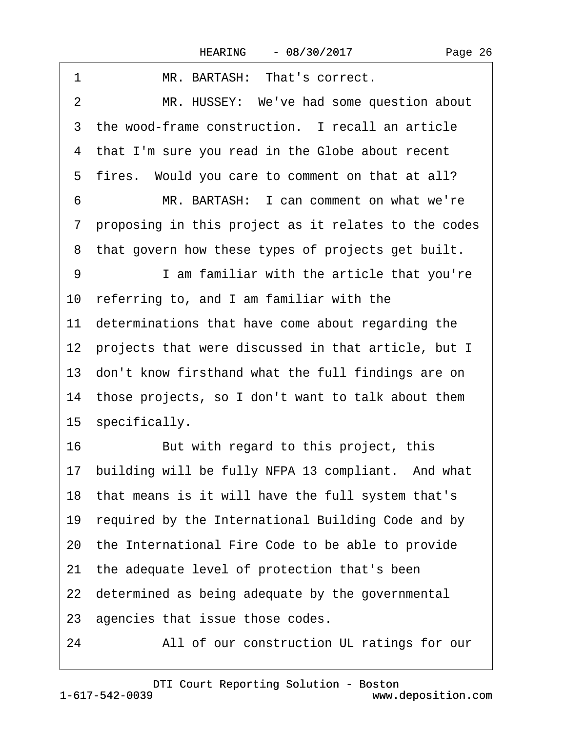| 1<br>MR. BARTASH: That's correct.                      |
|--------------------------------------------------------|
| MR. HUSSEY: We've had some question about<br>2         |
| 3 the wood-frame construction. I recall an article     |
| 4 that I'm sure you read in the Globe about recent     |
| 5 fires. Would you care to comment on that at all?     |
| 6<br>MR. BARTASH: I can comment on what we're          |
| 7 proposing in this project as it relates to the codes |
| 8 that govern how these types of projects get built.   |
| 9<br>I am familiar with the article that you're        |
| 10 referring to, and I am familiar with the            |
| 11 determinations that have come about regarding the   |
| 12 projects that were discussed in that article, but I |
| 13 don't know firsthand what the full findings are on  |
| 14 those projects, so I don't want to talk about them  |
| 15 specifically.                                       |
| 16<br>But with regard to this project, this            |
| 17 building will be fully NFPA 13 compliant. And what  |
| 18 that means is it will have the full system that's   |
| 19 required by the International Building Code and by  |
| 20 the International Fire Code to be able to provide   |
| 21 the adequate level of protection that's been        |
| 22 determined as being adequate by the governmental    |
| 23 agencies that issue those codes.                    |
| 24<br>All of our construction UL ratings for our       |
|                                                        |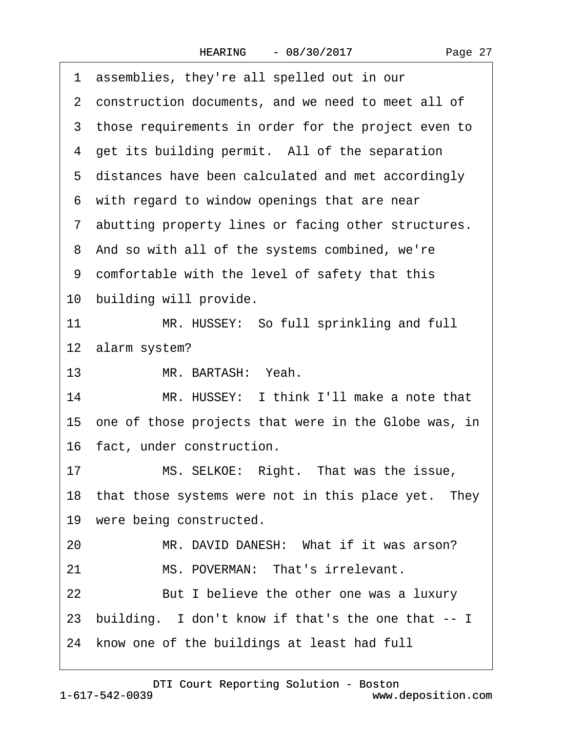1 assemblies, they're all spelled out in our

|                 | 2 construction documents, and we need to meet all of    |
|-----------------|---------------------------------------------------------|
|                 | 3 those requirements in order for the project even to   |
|                 | 4 get its building permit. All of the separation        |
|                 | 5 distances have been calculated and met accordingly    |
|                 | 6 with regard to window openings that are near          |
|                 | 7 abutting property lines or facing other structures.   |
|                 | 8 And so with all of the systems combined, we're        |
|                 | 9 comfortable with the level of safety that this        |
|                 | 10 building will provide.                               |
| 11              | MR. HUSSEY: So full sprinkling and full                 |
|                 | 12 alarm system?                                        |
| 13 <sup>°</sup> | MR. BARTASH: Yeah.                                      |
| 14              | MR. HUSSEY: I think I'll make a note that               |
|                 | 15 one of those projects that were in the Globe was, in |
|                 | 16 fact, under construction.                            |
| 17              | MS. SELKOE: Right. That was the issue,                  |
|                 | 18 that those systems were not in this place yet. They  |
|                 | 19 were being constructed.                              |
| 20              | MR. DAVID DANESH: What if it was arson?                 |
| 21              | MS. POVERMAN: That's irrelevant.                        |
| 22              | But I believe the other one was a luxury                |
|                 | 23 building. I don't know if that's the one that -- I   |
|                 | 24 know one of the buildings at least had full          |
|                 |                                                         |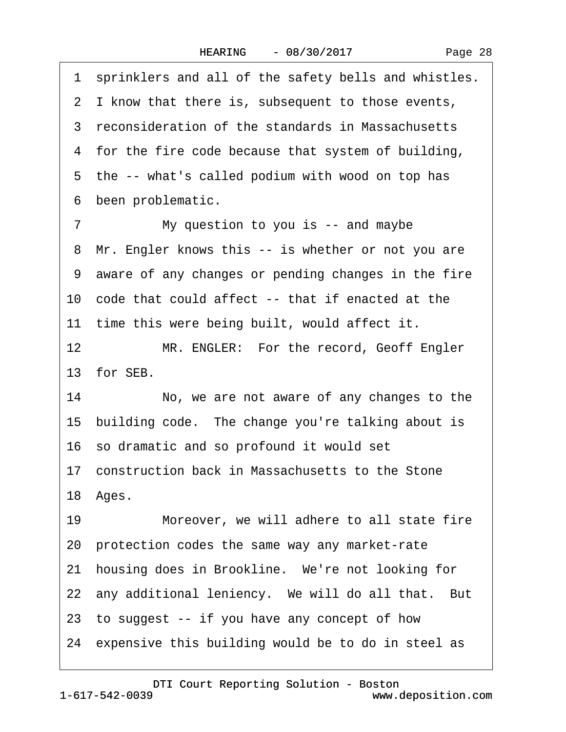1 sprinklers and all of the safety bells and whistles. 2 I know that there is, subsequent to those events, 3 reconsideration of the standards in Massachusetts 4 for the fire code because that system of building, 5 the -- what's called podium with wood on top has 6 been problematic. 7 My question to you is -- and maybe 8 Mr. Engler knows this -- is whether or not you are ·9· aware of any changes or pending changes in the fire

10 code that could affect -- that if enacted at the

11 time this were being built, would affect it.

12 MR. ENGLER: For the record, Geoff Engler 13· for SEB.

14 No, we are not aware of any changes to the 15 building code. The change you're talking about is 16· so dramatic and so profound it would set 17 construction back in Massachusetts to the Stone 18 Ages.

19 Moreover, we will adhere to all state fire 20· protection codes the same way any market-rate 21 housing does in Brookline. We're not looking for 22 any additional leniency. We will do all that. But 23· to suggest -- if you have any concept of how 24 expensive this building would be to do in steel as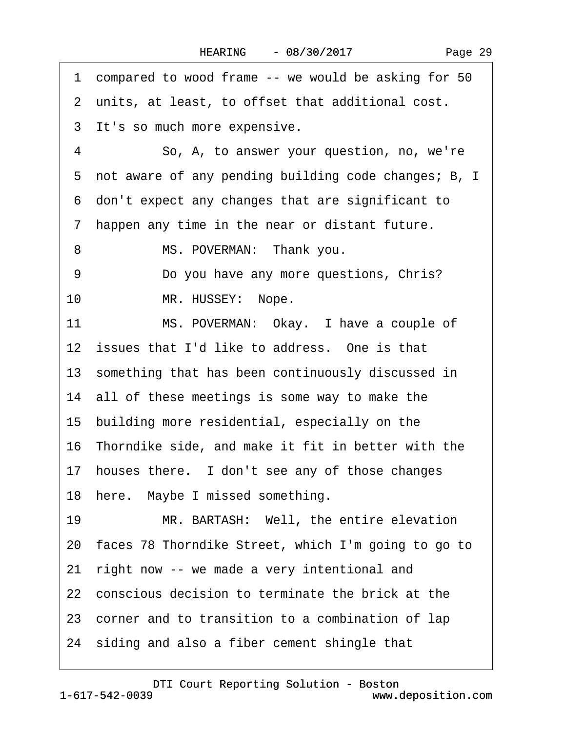·1· compared to wood frame -- we would be asking for 50 ·2· units, at least, to offset that additional cost. 3 It's so much more expensive. 4 So, A, to answer your question, no, we're 5 not aware of any pending building code changes; B, I ·6· don't expect any changes that are significant to 7 happen any time in the near or distant future. 8 MS. POVERMAN: Thank you. 9 Do you have any more questions, Chris? 10 MR. HUSSEY: Nope. 11 MS. POVERMAN: Okay. I have a couple of 12 issues that I'd like to address. One is that 13· something that has been continuously discussed in 14 all of these meetings is some way to make the 15· building more residential, especially on the 16· Thorndike side, and make it fit in better with the 17 houses there. I don't see any of those changes 18 here. Maybe I missed something. 19 MR. BARTASH: Well, the entire elevation 20· faces 78 Thorndike Street, which I'm going to go to 21 right now -- we made a very intentional and 22· conscious decision to terminate the brick at the 23· corner and to transition to a combination of lap 24· siding and also a fiber cement shingle that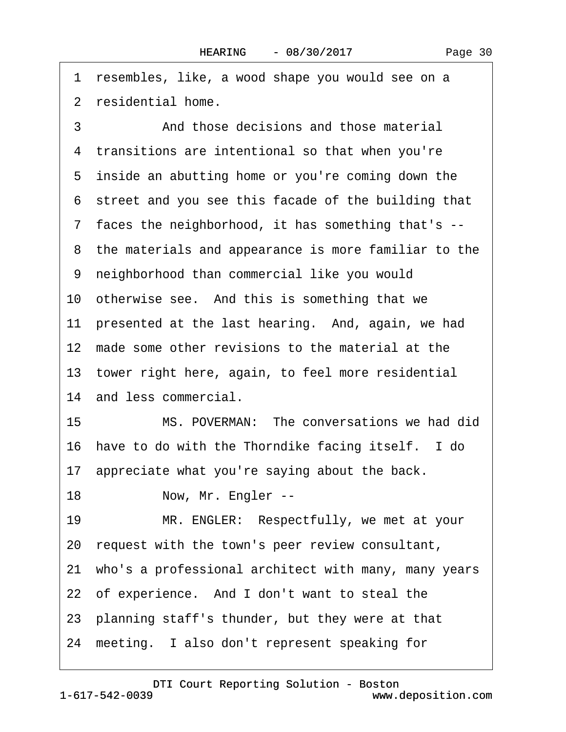Page 30

1 resembles, like, a wood shape you would see on a ·2· residential home.

3 3 3 3 And those decisions and those material ·4· transitions are intentional so that when you're 5 inside an abutting home or you're coming down the ·6· street and you see this facade of the building that ·7· faces the neighborhood, it has something that's -- 8 the materials and appearance is more familiar to the ·9· neighborhood than commercial like you would 10 otherwise see. And this is something that we 11 presented at the last hearing. And, again, we had 12 made some other revisions to the material at the 13 tower right here, again, to feel more residential 14 and less commercial. 15 MS. POVERMAN: The conversations we had did 16 have to do with the Thorndike facing itself. I do 17 appreciate what you're saying about the back. 18 Now, Mr. Engler --19 MR. ENGLER: Respectfully, we met at your 20· request with the town's peer review consultant, 21· who's a professional architect with many, many years 22 of experience. And I don't want to steal the 23· planning staff's thunder, but they were at that 24 meeting. I also don't represent speaking for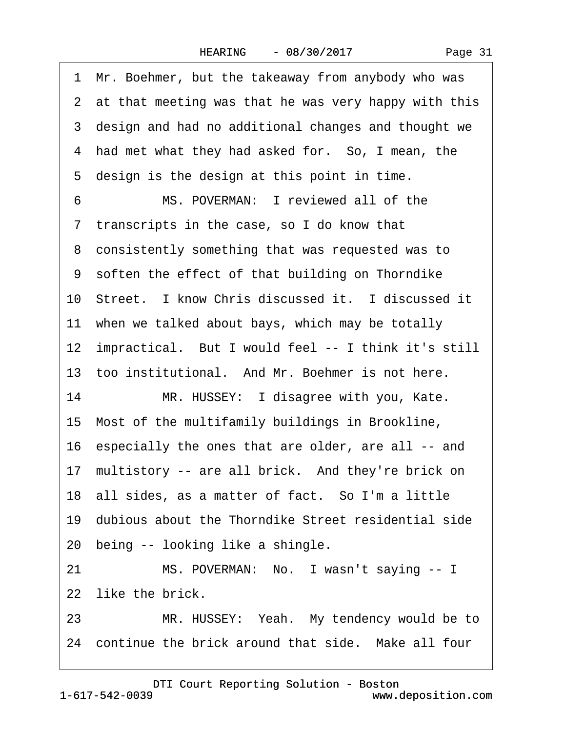·1· Mr. Boehmer, but the takeaway from anybody who was 2 at that meeting was that he was very happy with this 3 design and had no additional changes and thought we 4 had met what they had asked for. So, I mean, the 5 design is the design at this point in time. 6 MS. POVERMAN: I reviewed all of the ·7· transcripts in the case, so I do know that 8 consistently something that was requested was to ·9· soften the effect of that building on Thorndike 10 Street. I know Chris discussed it. I discussed it 11 when we talked about bays, which may be totally 12 impractical. But I would feel -- I think it's still 13 too institutional. And Mr. Boehmer is not here. 14 MR. HUSSEY: I disagree with you, Kate. 15 Most of the multifamily buildings in Brookline, 16 especially the ones that are older, are all -- and 17 multistory -- are all brick. And they're brick on 18 all sides, as a matter of fact. So I'm a little 19· dubious about the Thorndike Street residential side 20 being -- looking like a shingle. 21 MS. POVERMAN: No. I wasn't saying -- I 22 like the brick. 23 MR. HUSSEY: Yeah. My tendency would be to 24 continue the brick around that side. Make all four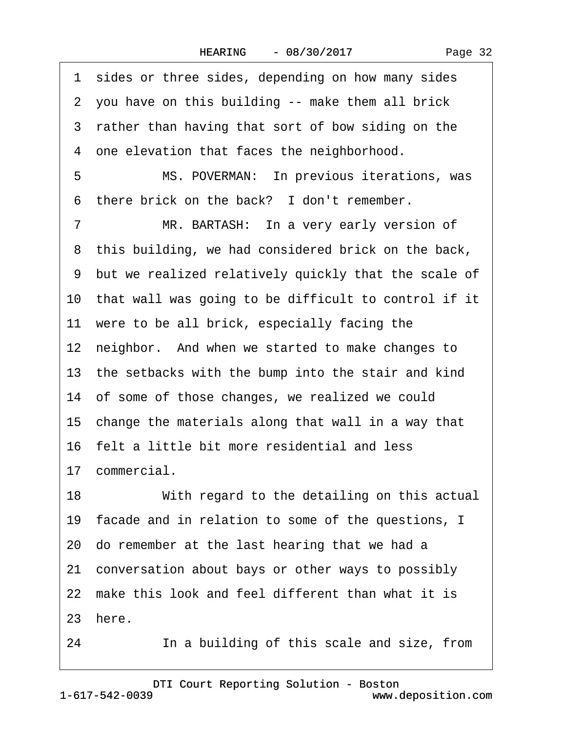1 sides or three sides, depending on how many sides ·2· you have on this building -- make them all brick 3 rather than having that sort of bow siding on the 4 one elevation that faces the neighborhood. 5 MS. POVERMAN: In previous iterations, was 6 there brick on the back? I don't remember. 7 MR. BARTASH: In a very early version of 8 this building, we had considered brick on the back, ·9· but we realized relatively quickly that the scale of 10· that wall was going to be difficult to control if it 11 were to be all brick, especially facing the 12 neighbor. And when we started to make changes to 13· the setbacks with the bump into the stair and kind 14 of some of those changes, we realized we could 15· change the materials along that wall in a way that 16· felt a little bit more residential and less 17· commercial. 18 With regard to the detailing on this actual 19· facade and in relation to some of the questions, I 20· do remember at the last hearing that we had a 21· conversation about bays or other ways to possibly 22 make this look and feel different than what it is 23 here.

24 In a building of this scale and size, from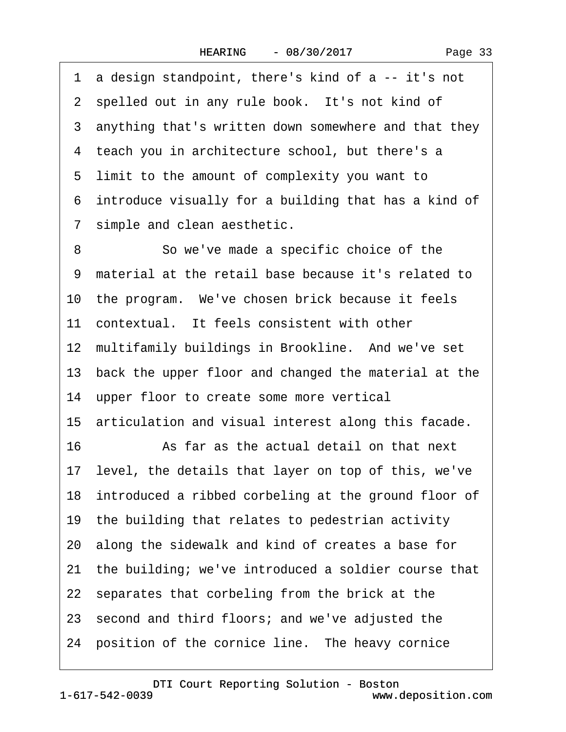·1· a design standpoint, there's kind of a -- it's not 2 spelled out in any rule book. It's not kind of 3 anything that's written down somewhere and that they 4 teach you in architecture school, but there's a 5 limit to the amount of complexity you want to ·6· introduce visually for a building that has a kind of 7 simple and clean aesthetic. 8 **So we've made a specific choice of the** ·9· material at the retail base because it's related to 10 the program. We've chosen brick because it feels 11 contextual. It feels consistent with other 12 multifamily buildings in Brookline. And we've set 13 back the upper floor and changed the material at the 14 upper floor to create some more vertical 15 articulation and visual interest along this facade. 16· · · · · ·As far as the actual detail on that next 17 level, the details that layer on top of this, we've 18 introduced a ribbed corbeling at the ground floor of 19 the building that relates to pedestrian activity 20· along the sidewalk and kind of creates a base for 21 the building; we've introduced a soldier course that 22 separates that corbeling from the brick at the 23 second and third floors; and we've adjusted the 24 position of the cornice line. The heavy cornice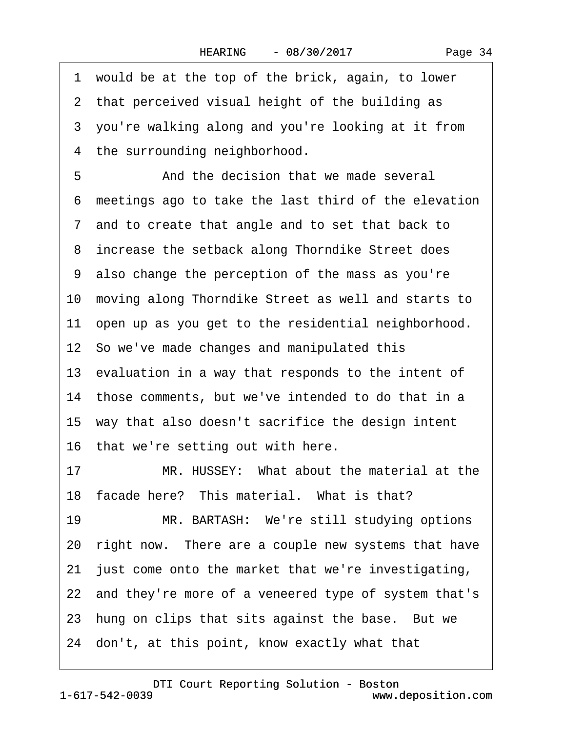1 would be at the top of the brick, again, to lower 2 that perceived visual height of the building as 3 you're walking along and you're looking at it from 4 the surrounding neighborhood. 5 **• • And the decision that we made several** ·6· meetings ago to take the last third of the elevation ·7· and to create that angle and to set that back to 8 increase the setback along Thorndike Street does ·9· also change the perception of the mass as you're 10 moving along Thorndike Street as well and starts to 11 open up as you get to the residential neighborhood. 12 So we've made changes and manipulated this 13 evaluation in a way that responds to the intent of 14 those comments, but we've intended to do that in a 15· way that also doesn't sacrifice the design intent 16 that we're setting out with here. 17 MR. HUSSEY: What about the material at the 18 facade here? This material. What is that? 19 MR. BARTASH: We're still studying options 20 right now. There are a couple new systems that have 21 just come onto the market that we're investigating, 22 and they're more of a veneered type of system that's 23 hung on clips that sits against the base. But we 24· don't, at this point, know exactly what that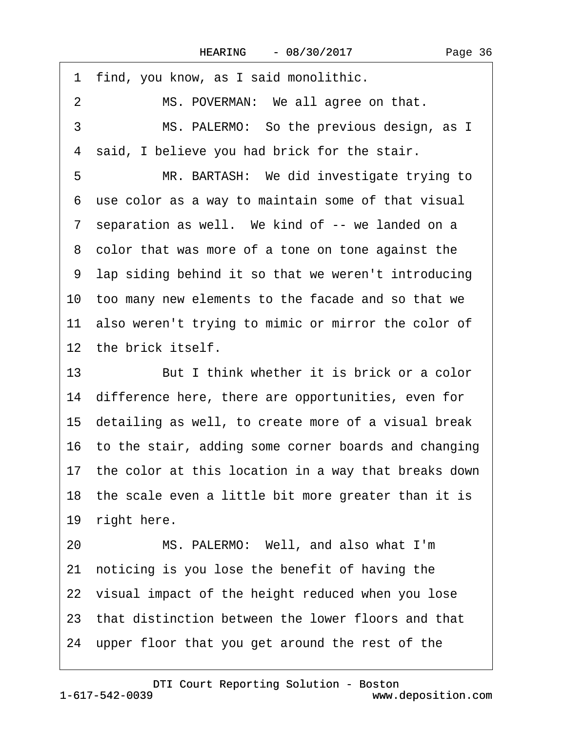| 1<br>find, you know, as I said monolithic.                    |
|---------------------------------------------------------------|
| MS. POVERMAN: We all agree on that.<br>2                      |
| MS. PALERMO: So the previous design, as I<br>3                |
| said, I believe you had brick for the stair.<br>4             |
| 5<br>MR. BARTASH: We did investigate trying to                |
| use color as a way to maintain some of that visual<br>6       |
| 7 separation as well. We kind of -- we landed on a            |
| 8 color that was more of a tone on tone against the           |
| 9 lap siding behind it so that we weren't introducing         |
| 10 too many new elements to the facade and so that we         |
| 11 also weren't trying to mimic or mirror the color of        |
| 12 the brick itself.                                          |
| 13 <sup>°</sup><br>But I think whether it is brick or a color |
|                                                               |
| 14 difference here, there are opportunities, even for         |
| 15 detailing as well, to create more of a visual break        |
| 16 to the stair, adding some corner boards and changing       |
| 17 the color at this location in a way that breaks down       |
| 18 the scale even a little bit more greater than it is        |
| 19 right here.                                                |
| MS. PALERMO: Well, and also what I'm<br>20                    |
| 21 noticing is you lose the benefit of having the             |
| 22 visual impact of the height reduced when you lose          |
| 23 that distinction between the lower floors and that         |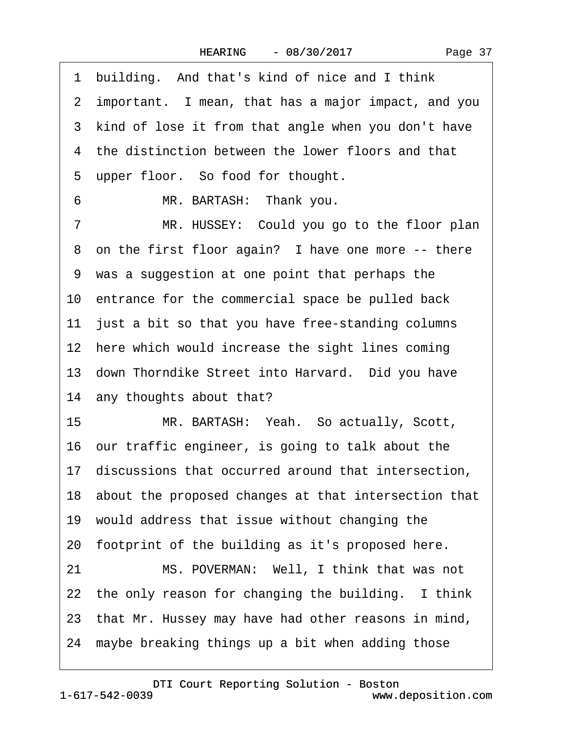1 building. And that's kind of nice and I think 2 important. I mean, that has a major impact, and you 3 kind of lose it from that angle when you don't have 4 the distinction between the lower floors and that 5 upper floor. So food for thought. 6 MR. BARTASH: Thank you. 7 MR. HUSSEY: Could you go to the floor plan 8 on the first floor again? I have one more -- there ·9· was a suggestion at one point that perhaps the 10 entrance for the commercial space be pulled back 11 just a bit so that you have free-standing columns 12 here which would increase the sight lines coming 13 down Thorndike Street into Harvard. Did you have 14 any thoughts about that? 15 MR. BARTASH: Yeah. So actually, Scott, 16· our traffic engineer, is going to talk about the 17 discussions that occurred around that intersection, 18· about the proposed changes at that intersection that 19· would address that issue without changing the 20 footprint of the building as it's proposed here. 21 MS. POVERMAN: Well, I think that was not 22 the only reason for changing the building. I think 23· that Mr. Hussey may have had other reasons in mind, 24 maybe breaking things up a bit when adding those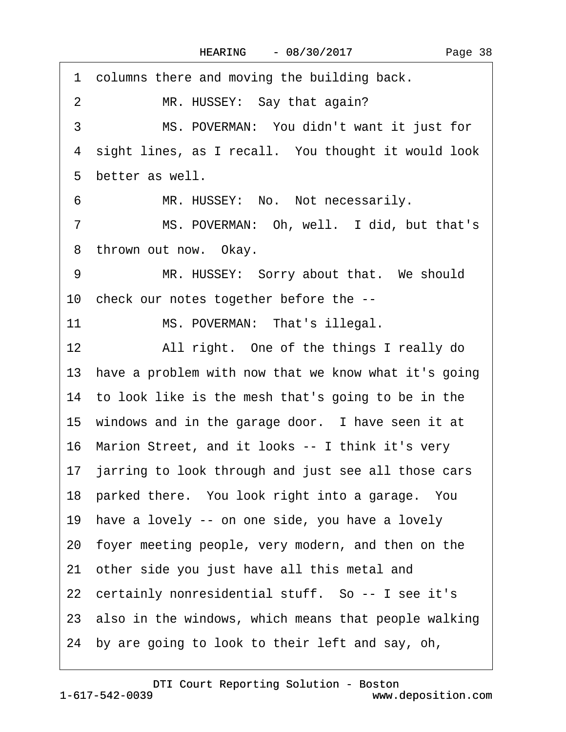1 columns there and moving the building back. 2 MR. HUSSEY: Say that again? 3 MS. POVERMAN: You didn't want it just for 4 sight lines, as I recall. You thought it would look 5 better as well. 6 MR. HUSSEY: No. Not necessarily. 7 MS. POVERMAN: Oh, well. I did, but that's 8 thrown out now. Okay. 9 MR. HUSSEY: Sorry about that. We should 10 check our notes together before the --11 MS. POVERMAN: That's illegal. 12 • All right. One of the things I really do 13 have a problem with now that we know what it's going 14· to look like is the mesh that's going to be in the 15 windows and in the garage door. I have seen it at 16· Marion Street, and it looks -- I think it's very 17 jarring to look through and just see all those cars 18· parked there.· You look right into a garage.· You 19 have a lovely -- on one side, you have a lovely 20· foyer meeting people, very modern, and then on the 21 other side you just have all this metal and 22 certainly nonresidential stuff. So -- I see it's 23 also in the windows, which means that people walking 24· by are going to look to their left and say, oh,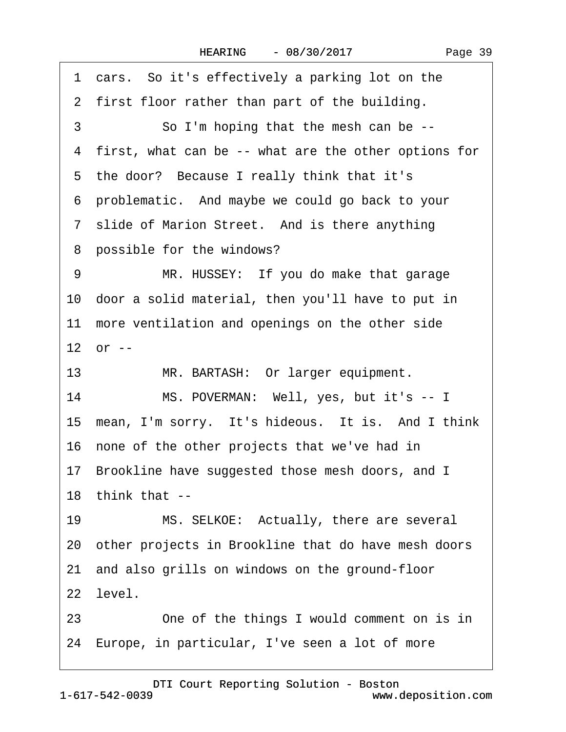|    | 1 cars. So it's effectively a parking lot on the       |
|----|--------------------------------------------------------|
|    | 2 first floor rather than part of the building.        |
| 3  | So I'm hoping that the mesh can be --                  |
|    | 4 first, what can be -- what are the other options for |
|    | 5 the door? Because I really think that it's           |
|    | 6 problematic. And maybe we could go back to your      |
|    | 7 slide of Marion Street. And is there anything        |
|    | 8 possible for the windows?                            |
| 9  | MR. HUSSEY: If you do make that garage                 |
|    | 10 door a solid material, then you'll have to put in   |
|    | 11 more ventilation and openings on the other side     |
|    | 12 or --                                               |
| 13 | MR. BARTASH: Or larger equipment.                      |
| 14 | MS. POVERMAN: Well, yes, but it's -- I                 |
|    | 15 mean, I'm sorry. It's hideous. It is. And I think   |
|    | 16 none of the other projects that we've had in        |
|    | 17 Brookline have suggested those mesh doors, and I    |
|    | 18 think that --                                       |
| 19 | MS. SELKOE: Actually, there are several                |
|    | 20 other projects in Brookline that do have mesh doors |
|    | 21 and also grills on windows on the ground-floor      |
|    | 22 level.                                              |
| 23 | One of the things I would comment on is in             |
|    | 24 Europe, in particular, I've seen a lot of more      |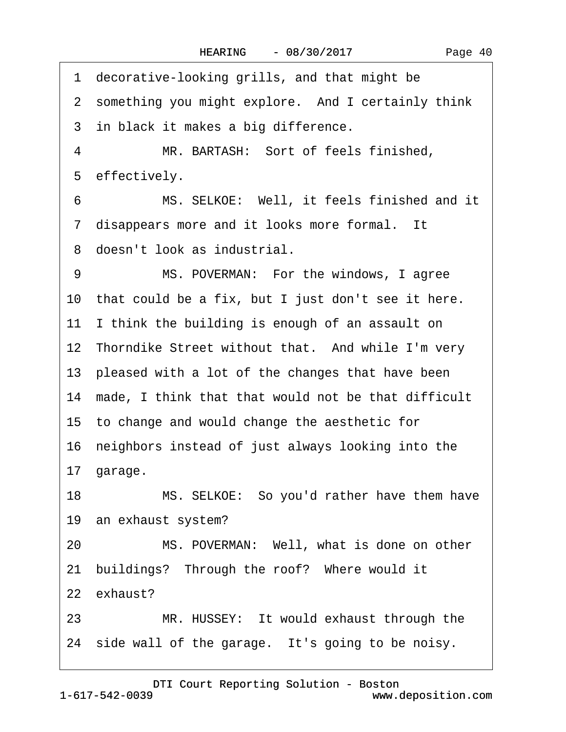1 decorative-looking grills, and that might be 2 something you might explore. And I certainly think 3 in black it makes a big difference. 4 MR. BARTASH: Sort of feels finished, 5 effectively. 6 MS. SELKOE: Well, it feels finished and it 7 disappears more and it looks more formal. It 8 doesn't look as industrial. 9 MS. POVERMAN: For the windows, I agree 10 that could be a fix, but I just don't see it here. 11 I think the building is enough of an assault on 12 Thorndike Street without that. And while I'm very 13 pleased with a lot of the changes that have been 14 made. I think that that would not be that difficult 15· to change and would change the aesthetic for 16· neighbors instead of just always looking into the 17· garage. 18 MS. SELKOE: So you'd rather have them have 19 an exhaust system? 20 MS. POVERMAN: Well, what is done on other 21 buildings? Through the roof? Where would it 22 exhaust? 23 MR. HUSSEY: It would exhaust through the 24 side wall of the garage. It's going to be noisy.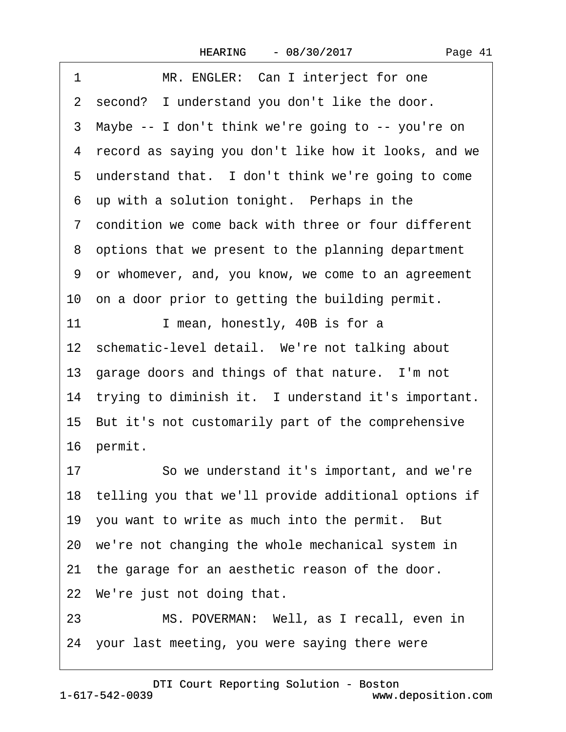| MR. ENGLER: Can I interject for one<br>1                |
|---------------------------------------------------------|
| 2 second? I understand you don't like the door.         |
| 3 Maybe -- I don't think we're going to -- you're on    |
| 4 record as saying you don't like how it looks, and we  |
| 5 understand that. I don't think we're going to come    |
| 6 up with a solution tonight. Perhaps in the            |
| 7 condition we come back with three or four different   |
| 8 options that we present to the planning department    |
| 9 or whomever, and, you know, we come to an agreement   |
| 10 on a door prior to getting the building permit.      |
| 11<br>I mean, honestly, 40B is for a                    |
| 12 schematic-level detail. We're not talking about      |
| 13 garage doors and things of that nature. I'm not      |
| 14 trying to diminish it. I understand it's important.  |
| 15 But it's not customarily part of the comprehensive   |
| 16 permit.                                              |
| 17<br>So we understand it's important, and we're        |
| 18 telling you that we'll provide additional options if |
| 19 you want to write as much into the permit. But       |
| 20 we're not changing the whole mechanical system in    |
| 21 the garage for an aesthetic reason of the door.      |
| 22 We're just not doing that.                           |
| MS. POVERMAN: Well, as I recall, even in<br>23          |
| 24 your last meeting, you were saying there were        |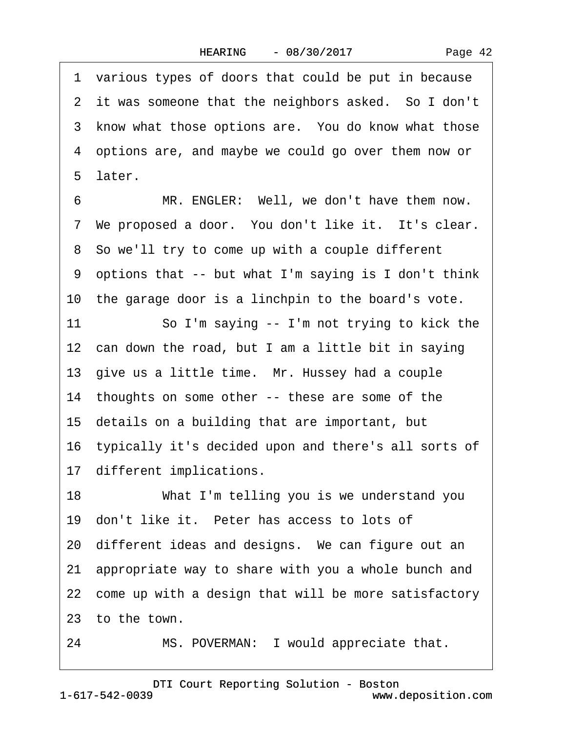·1· various types of doors that could be put in because 2 it was someone that the neighbors asked. So I don't 3 know what those options are. You do know what those ·4· options are, and maybe we could go over them now or ·5· later.

6 MR. ENGLER: Well, we don't have them now. 7 We proposed a door. You don't like it. It's clear. 8 So we'll try to come up with a couple different ·9· options that -- but what I'm saying is I don't think 10 the garage door is a linchpin to the board's vote.

11 So I'm saying -- I'm not trying to kick the 12 can down the road, but I am a little bit in saying 13 give us a little time. Mr. Hussey had a couple 14 thoughts on some other -- these are some of the 15· details on a building that are important, but 16 typically it's decided upon and there's all sorts of 17 different implications.

18 What I'm telling you is we understand you 19 don't like it. Peter has access to lots of 20 different ideas and designs. We can figure out an 21· appropriate way to share with you a whole bunch and 22 come up with a design that will be more satisfactory 23· to the town.

24 MS. POVERMAN: I would appreciate that.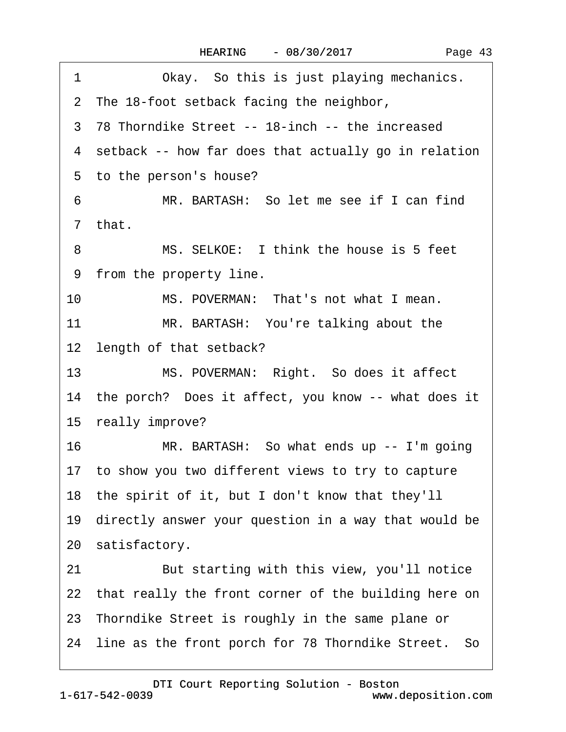| Okay. So this is just playing mechanics.<br>1           |
|---------------------------------------------------------|
| 2 The 18-foot setback facing the neighbor,              |
| 3 78 Thorndike Street -- 18-inch -- the increased       |
| 4 setback -- how far does that actually go in relation  |
| 5 to the person's house?                                |
| MR. BARTASH: So let me see if I can find<br>6           |
| 7 that.                                                 |
| MS. SELKOE: I think the house is 5 feet<br>8            |
| 9 from the property line.                               |
| 10<br>MS. POVERMAN: That's not what I mean.             |
| 11<br>MR. BARTASH: You're talking about the             |
| 12 length of that setback?                              |
| MS. POVERMAN: Right. So does it affect<br>13            |
| 14 the porch? Does it affect, you know -- what does it  |
| 15 really improve?                                      |
| 16<br>MR. BARTASH: So what ends up -- I'm going         |
| 17 to show you two different views to try to capture    |
| 18 the spirit of it, but I don't know that they'll      |
| 19 directly answer your question in a way that would be |
| 20 satisfactory.                                        |
| 21<br>But starting with this view, you'll notice        |
| 22 that really the front corner of the building here on |
| 23 Thorndike Street is roughly in the same plane or     |
| 24 line as the front porch for 78 Thorndike Street. So  |
|                                                         |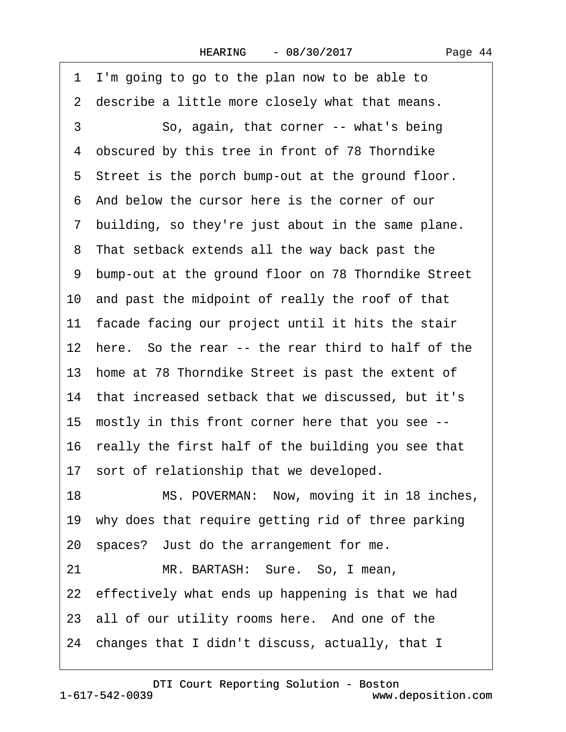2 describe a little more closely what that means. 3 So, again, that corner -- what's being 4 obscured by this tree in front of 78 Thorndike 5 Street is the porch bump-out at the ground floor. ·6· And below the cursor here is the corner of our ·7· building, so they're just about in the same plane. 8 That setback extends all the way back past the 9 bump-out at the ground floor on 78 Thorndike Street 10 and past the midpoint of really the roof of that 11 facade facing our project until it hits the stair 12 here. So the rear -- the rear third to half of the 13 home at 78 Thorndike Street is past the extent of 14 that increased setback that we discussed, but it's 15· mostly in this front corner here that you see -- 16· really the first half of the building you see that 17 sort of relationship that we developed. 18 MS. POVERMAN: Now, moving it in 18 inches, 19 why does that require getting rid of three parking 20· spaces?· Just do the arrangement for me. 21 MR. BARTASH: Sure. So, I mean, 22 effectively what ends up happening is that we had 23 all of our utility rooms here. And one of the 24· changes that I didn't discuss, actually, that I

·1· I'm going to go to the plan now to be able to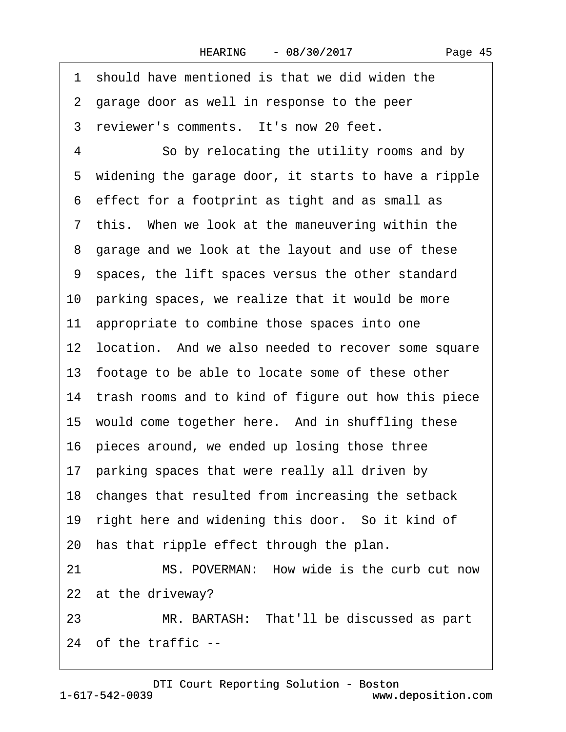Page 45

|    | 1 should have mentioned is that we did widen the        |  |
|----|---------------------------------------------------------|--|
|    | 2 garage door as well in response to the peer           |  |
|    | 3 reviewer's comments. It's now 20 feet.                |  |
| 4  | So by relocating the utility rooms and by               |  |
|    | 5 widening the garage door, it starts to have a ripple  |  |
|    | 6 effect for a footprint as tight and as small as       |  |
|    | 7 this. When we look at the maneuvering within the      |  |
|    | 8 garage and we look at the layout and use of these     |  |
|    | 9 spaces, the lift spaces versus the other standard     |  |
|    | 10 parking spaces, we realize that it would be more     |  |
|    | 11 appropriate to combine those spaces into one         |  |
|    | 12 location. And we also needed to recover some square  |  |
|    | 13 footage to be able to locate some of these other     |  |
|    | 14 trash rooms and to kind of figure out how this piece |  |
|    | 15 would come together here. And in shuffling these     |  |
|    | 16 pieces around, we ended up losing those three        |  |
|    | 17 parking spaces that were really all driven by        |  |
|    | 18 changes that resulted from increasing the setback    |  |
|    | 19 right here and widening this door. So it kind of     |  |
|    | 20 has that ripple effect through the plan.             |  |
| 21 | MS. POVERMAN: How wide is the curb cut now              |  |
|    | 22 at the driveway?                                     |  |
| 23 | MR. BARTASH: That'll be discussed as part               |  |
|    | 24 of the traffic --                                    |  |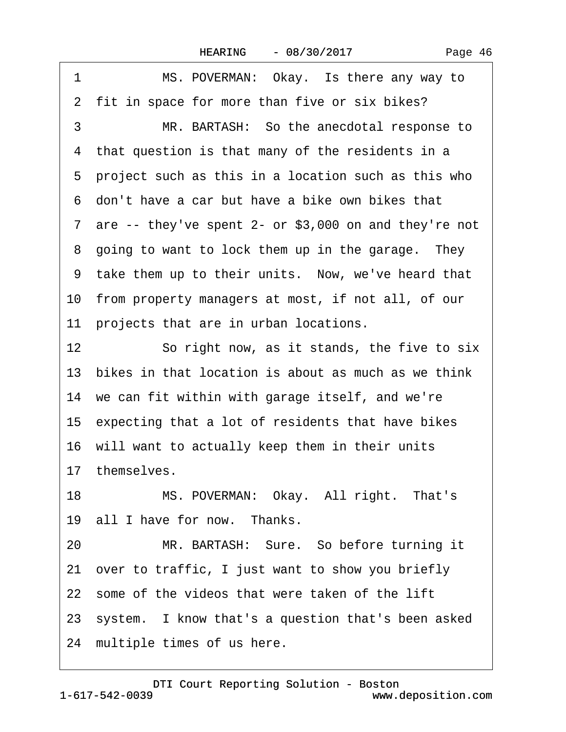|  | Page 46 |
|--|---------|
|--|---------|

1 MS. POVERMAN: Okay. Is there any way to 2 fit in space for more than five or six bikes? 3 MR. BARTASH: So the anecdotal response to 4 that question is that many of the residents in a 5 project such as this in a location such as this who ·6· don't have a car but have a bike own bikes that 7 are  $-$  they've spent 2- or \$3,000 on and they're not 8 going to want to lock them up in the garage. They 9 take them up to their units. Now, we've heard that 10 from property managers at most, if not all, of our 11 projects that are in urban locations. 12 So right now, as it stands, the five to six 13 bikes in that location is about as much as we think 14 we can fit within with garage itself, and we're 15 expecting that a lot of residents that have bikes 16 will want to actually keep them in their units 17 themselves. 18 MS. POVERMAN: Okay. All right. That's 19 all I have for now. Thanks. 20 MR. BARTASH: Sure. So before turning it 21· over to traffic, I just want to show you briefly 22 some of the videos that were taken of the lift 23 system. I know that's a question that's been asked 24 multiple times of us here.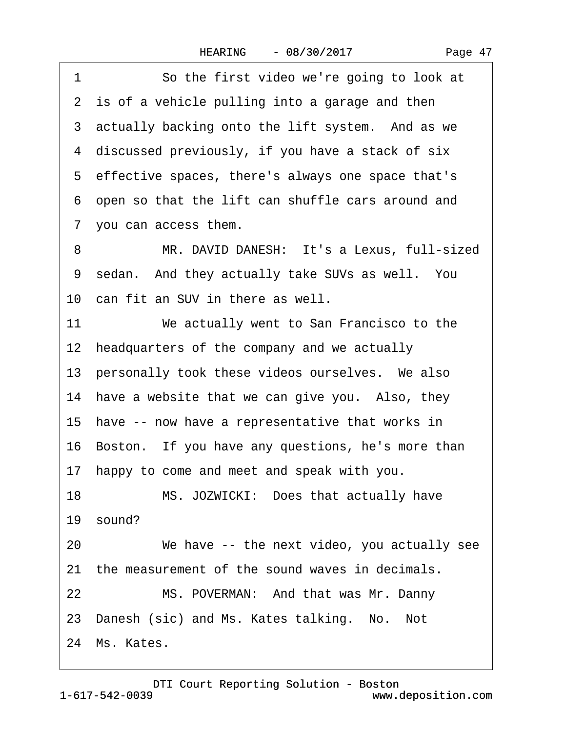1 So the first video we're going to look at 2 is of a vehicle pulling into a garage and then 3 actually backing onto the lift system. And as we 4 discussed previously, if you have a stack of six 5 effective spaces, there's always one space that's ·6· open so that the lift can shuffle cars around and 7 you can access them.

8 MR. DAVID DANESH: It's a Lexus, full-sized 9 sedan. And they actually take SUVs as well. You 10 can fit an SUV in there as well.

11 We actually went to San Francisco to the 12 headquarters of the company and we actually 13 personally took these videos ourselves. We also 14 have a website that we can give you. Also, they 15 have -- now have a representative that works in 16 Boston. If you have any questions, he's more than 17· happy to come and meet and speak with you. 18 MS. JOZWICKI: Does that actually have 19 sound? 20 We have -- the next video, you actually see 21 the measurement of the sound waves in decimals. 22 MS. POVERMAN: And that was Mr. Danny 23 Danesh (sic) and Ms. Kates talking. No. Not 24 Ms. Kates.

1-617-542-0039 [DTI Court Reporting Solution - Boston](http://www.deposition.com) www.deposition.com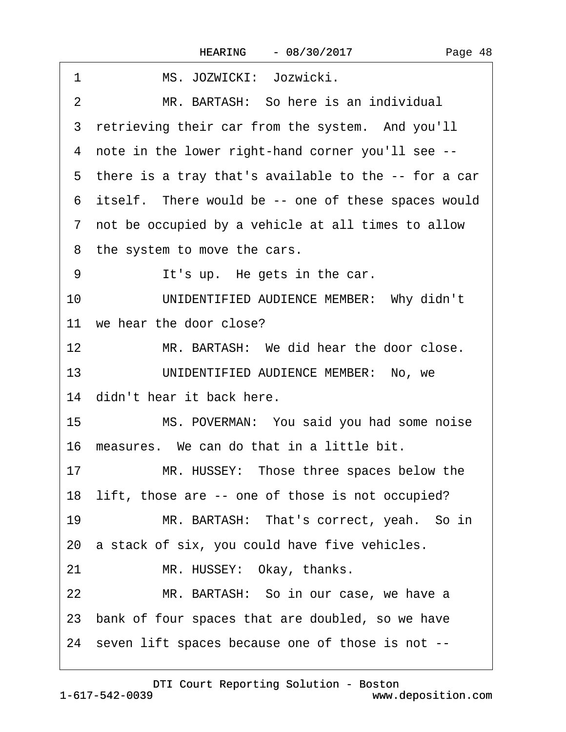| MS. JOZWICKI: Jozwicki.<br>1                           |
|--------------------------------------------------------|
| MR. BARTASH: So here is an individual<br>2             |
| 3 retrieving their car from the system. And you'll     |
| 4 note in the lower right-hand corner you'll see --    |
| 5 there is a tray that's available to the -- for a car |
| 6 itself. There would be -- one of these spaces would  |
| 7 not be occupied by a vehicle at all times to allow   |
| 8 the system to move the cars.                         |
| 9<br>It's up. He gets in the car.                      |
| UNIDENTIFIED AUDIENCE MEMBER: Why didn't<br>10         |
| 11 we hear the door close?                             |
| 12<br>MR. BARTASH: We did hear the door close.         |
| UNIDENTIFIED AUDIENCE MEMBER: No, we<br>13             |
| 14 didn't hear it back here.                           |
| 15<br>MS. POVERMAN: You said you had some noise        |
| 16 measures. We can do that in a little bit.           |
| MR. HUSSEY: Those three spaces below the<br>17         |
| 18 lift, those are -- one of those is not occupied?    |
| 19<br>MR. BARTASH: That's correct, yeah. So in         |
| 20 a stack of six, you could have five vehicles.       |
| MR. HUSSEY: Okay, thanks.<br>21                        |
| 22<br>MR. BARTASH: So in our case, we have a           |
| 23 bank of four spaces that are doubled, so we have    |
| 24 seven lift spaces because one of those is not --    |
|                                                        |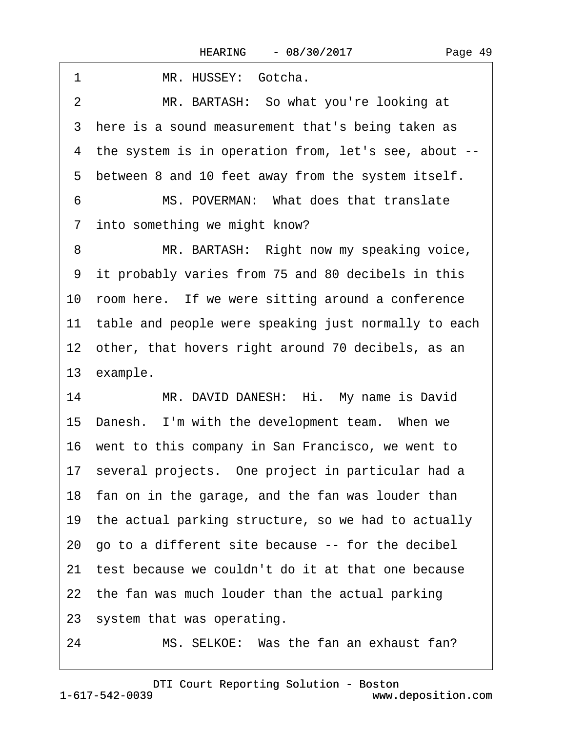| MR. HUSSEY: Gotcha.<br>1                                |
|---------------------------------------------------------|
| MR. BARTASH: So what you're looking at<br>2             |
| 3 here is a sound measurement that's being taken as     |
| 4 the system is in operation from, let's see, about --  |
| between 8 and 10 feet away from the system itself.<br>5 |
| MS. POVERMAN: What does that translate<br>6             |
| 7 into something we might know?                         |
| MR. BARTASH: Right now my speaking voice,<br>8          |
| 9 it probably varies from 75 and 80 decibels in this    |
| 10 room here. If we were sitting around a conference    |
| 11 table and people were speaking just normally to each |
| 12 other, that hovers right around 70 decibels, as an   |
| 13 example.                                             |
| MR. DAVID DANESH: Hi. My name is David<br>14            |
| 15 Danesh. I'm with the development team. When we       |
| 16 went to this company in San Francisco, we went to    |
| 17 several projects. One project in particular had a    |
| 18 fan on in the garage, and the fan was louder than    |
| 19 the actual parking structure, so we had to actually  |
| 20 go to a different site because -- for the decibel    |
| 21 test because we couldn't do it at that one because   |
| 22 the fan was much louder than the actual parking      |
| 23 system that was operating.                           |
| MS. SELKOE: Was the fan an exhaust fan?<br>24           |

1-617-542-0039 [DTI Court Reporting Solution - Boston](http://www.deposition.com) www.deposition.com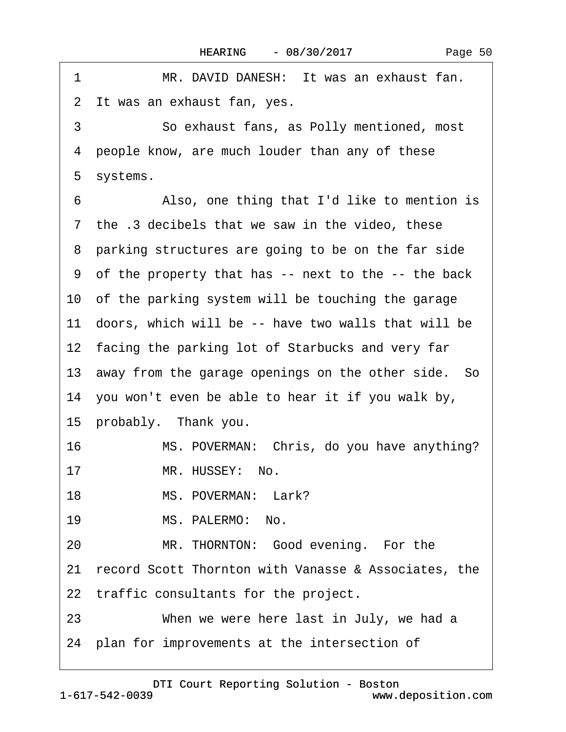| MR. DAVID DANESH: It was an exhaust fan.<br>1           |
|---------------------------------------------------------|
| 2 It was an exhaust fan, yes.                           |
| 3<br>So exhaust fans, as Polly mentioned, most          |
| people know, are much louder than any of these<br>4     |
| 5 systems.                                              |
| 6<br>Also, one thing that I'd like to mention is        |
| 7 the 3 decibels that we saw in the video, these        |
| 8 parking structures are going to be on the far side    |
| 9 of the property that has -- next to the -- the back   |
| 10 of the parking system will be touching the garage    |
| 11 doors, which will be -- have two walls that will be  |
| 12 facing the parking lot of Starbucks and very far     |
| 13 away from the garage openings on the other side. So  |
| 14 you won't even be able to hear it if you walk by,    |
| 15 probably. Thank you.                                 |
| 16<br>MS. POVERMAN: Chris, do you have anything?        |
| MR. HUSSEY: No.<br>17                                   |
| MS. POVERMAN: Lark?<br>18                               |
| MS. PALERMO: No.<br>19                                  |
| MR. THORNTON: Good evening. For the<br>20               |
| 21 record Scott Thornton with Vanasse & Associates, the |
| 22 traffic consultants for the project.                 |
| When we were here last in July, we had a<br>23          |
| 24 plan for improvements at the intersection of         |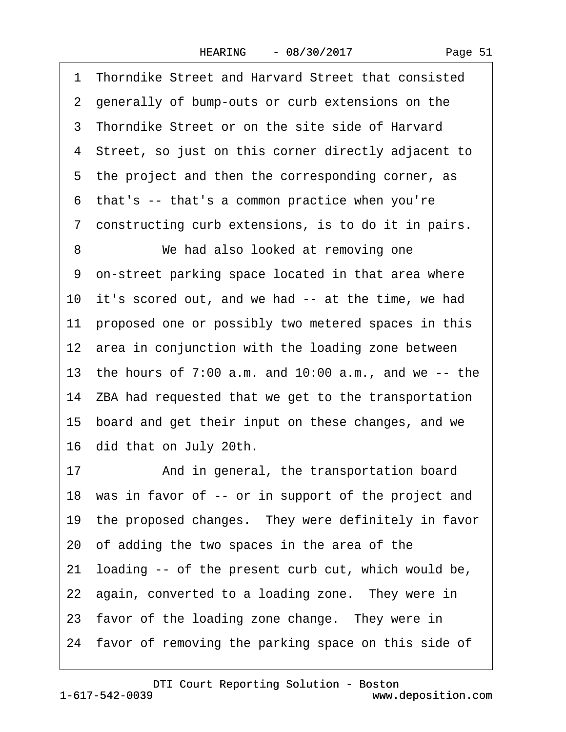·1· Thorndike Street and Harvard Street that consisted 2 generally of bump-outs or curb extensions on the 3 Thorndike Street or on the site side of Harvard 4 Street, so just on this corner directly adjacent to 5 the project and then the corresponding corner, as ·6· that's -- that's a common practice when you're 7 constructing curb extensions, is to do it in pairs. 8 We had also looked at removing one ·9· on-street parking space located in that area where 10 it's scored out, and we had -- at the time, we had 11 proposed one or possibly two metered spaces in this 12 area in conjunction with the loading zone between 13· the hours of 7:00 a.m. and 10:00 a.m., and we -- the 14 ZBA had requested that we get to the transportation 15· board and get their input on these changes, and we 16· did that on July 20th. 17 • And in general, the transportation board 18 was in favor of -- or in support of the project and 19 the proposed changes. They were definitely in favor 20· of adding the two spaces in the area of the 21· loading -- of the present curb cut, which would be, 22 again, converted to a loading zone. They were in

- 23 favor of the loading zone change. They were in
- 24 favor of removing the parking space on this side of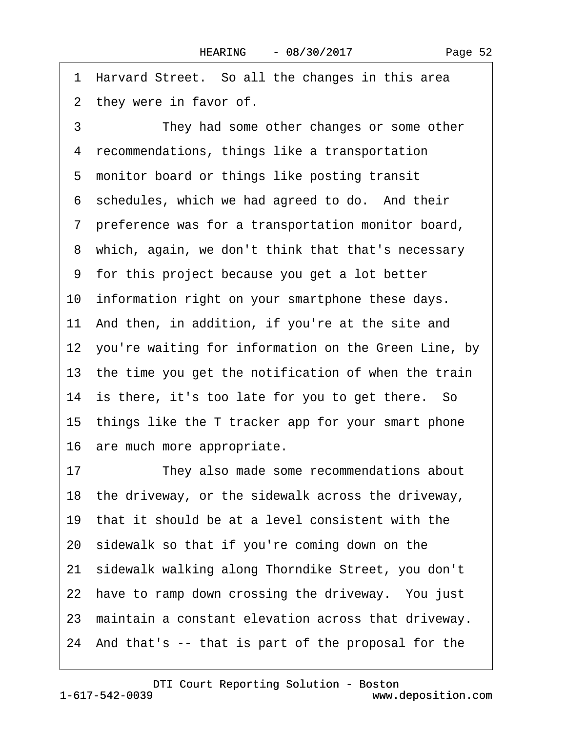1 Harvard Street. So all the changes in this area 2 they were in favor of. 3 They had some other changes or some other 4 recommendations, things like a transportation 5 monitor board or things like posting transit 6 schedules, which we had agreed to do. And their ·7· preference was for a transportation monitor board, 8 which, again, we don't think that that's necessary ·9· for this project because you get a lot better 10 information right on your smartphone these days. 11· And then, in addition, if you're at the site and 12 you're waiting for information on the Green Line, by 13 the time you get the notification of when the train 14 is there, it's too late for you to get there. So 15 things like the T tracker app for your smart phone 16 are much more appropriate. 17 They also made some recommendations about 18· the driveway, or the sidewalk across the driveway, 19· that it should be at a level consistent with the 20· sidewalk so that if you're coming down on the 21· sidewalk walking along Thorndike Street, you don't 22 have to ramp down crossing the driveway. You just 23 maintain a constant elevation across that driveway. 24· And that's -- that is part of the proposal for the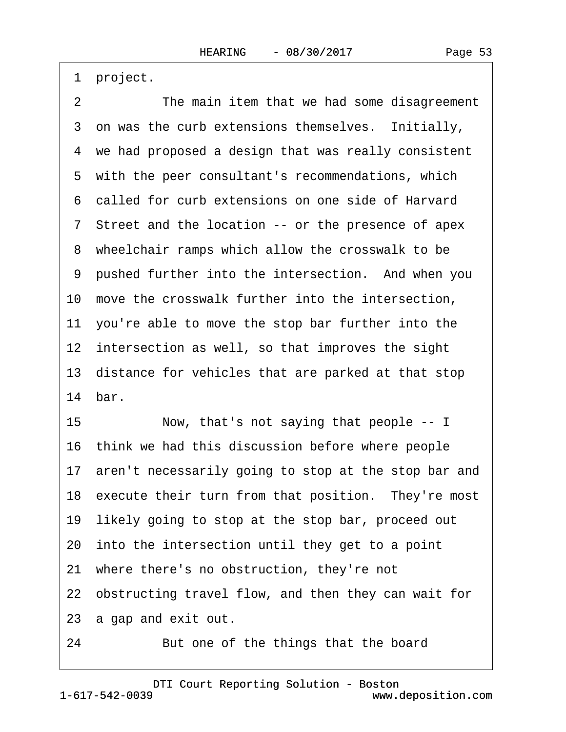1 project.

2 The main item that we had some disagreement 3 on was the curb extensions themselves. Initially, 4 we had proposed a design that was really consistent 5 with the peer consultant's recommendations, which ·6· called for curb extensions on one side of Harvard ·7· Street and the location -- or the presence of apex 8 wheelchair ramps which allow the crosswalk to be 9 pushed further into the intersection. And when you 10 move the crosswalk further into the intersection, 11· you're able to move the stop bar further into the 12 intersection as well, so that improves the sight 13· distance for vehicles that are parked at that stop 14 bar. 15 Now, that's not saying that people -- I 16· think we had this discussion before where people

17 aren't necessarily going to stop at the stop bar and

18 execute their turn from that position. They're most

19 likely going to stop at the stop bar, proceed out

20· into the intersection until they get to a point

21· where there's no obstruction, they're not

22 obstructing travel flow, and then they can wait for

23 a gap and exit out.

24 But one of the things that the board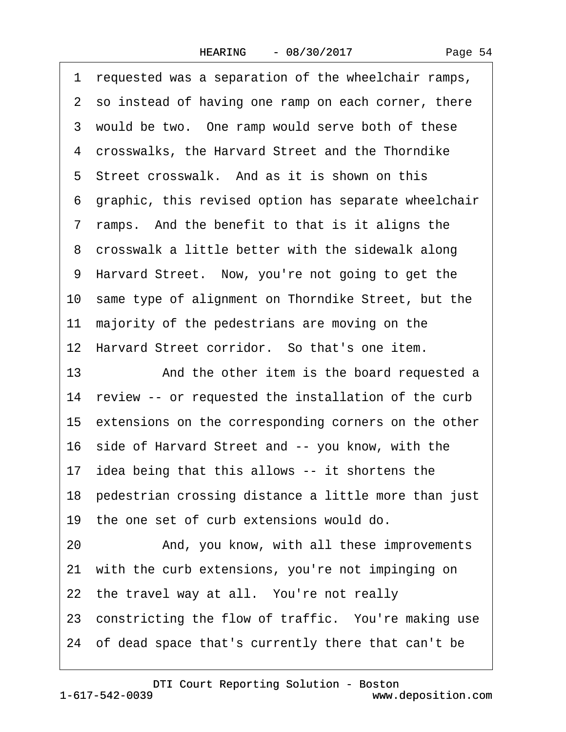·1· requested was a separation of the wheelchair ramps, 2 so instead of having one ramp on each corner, there 3 would be two. One ramp would serve both of these 4 crosswalks, the Harvard Street and the Thorndike 5 Street crosswalk. And as it is shown on this ·6· graphic, this revised option has separate wheelchair ·7· ramps.· And the benefit to that is it aligns the 8 crosswalk a little better with the sidewalk along 9 Harvard Street. Now, you're not going to get the 10 same type of alignment on Thorndike Street, but the 11 majority of the pedestrians are moving on the 12 Harvard Street corridor. So that's one item. 13 • And the other item is the board requested a 14 review -- or requested the installation of the curb 15 extensions on the corresponding corners on the other 16· side of Harvard Street and -- you know, with the 17 idea being that this allows -- it shortens the 18 pedestrian crossing distance a little more than just 19 the one set of curb extensions would do. 20 • And, you know, with all these improvements 21· with the curb extensions, you're not impinging on 22 the travel way at all. You're not really 23 constricting the flow of traffic. You're making use 24· of dead space that's currently there that can't be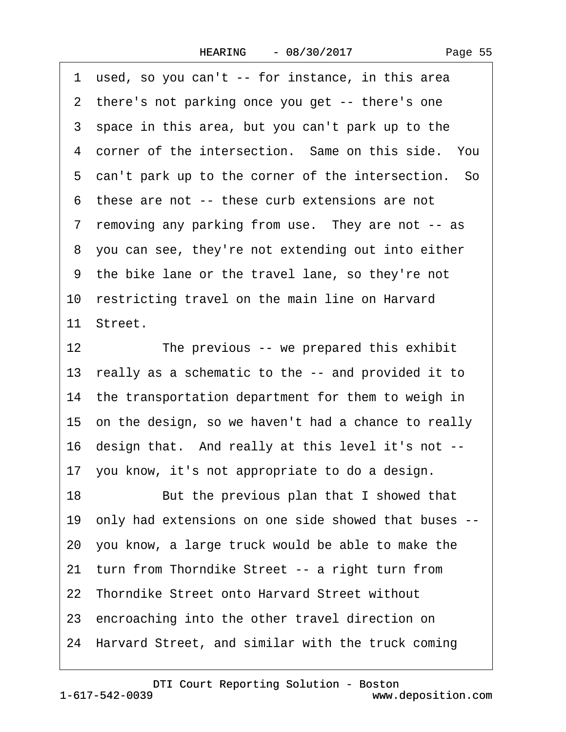1 used, so you can't -- for instance, in this area

|                 | 2 there's not parking once you get -- there's one       |
|-----------------|---------------------------------------------------------|
|                 | 3 space in this area, but you can't park up to the      |
|                 | 4 corner of the intersection. Same on this side. You    |
|                 | 5 can't park up to the corner of the intersection. So   |
|                 | 6 these are not -- these curb extensions are not        |
|                 | 7 removing any parking from use. They are not -- as     |
|                 | 8 you can see, they're not extending out into either    |
|                 | 9 the bike lane or the travel lane, so they're not      |
|                 | 10 restricting travel on the main line on Harvard       |
|                 | 11 Street.                                              |
| 12 <sub>2</sub> | The previous -- we prepared this exhibit                |
|                 | 13 really as a schematic to the -- and provided it to   |
|                 | 14 the transportation department for them to weigh in   |
|                 | 15 on the design, so we haven't had a chance to really  |
|                 | 16 design that. And really at this level it's not --    |
|                 | 17 you know, it's not appropriate to do a design.       |
| 18              | But the previous plan that I showed that                |
|                 | 19 only had extensions on one side showed that buses -- |
|                 | 20 you know, a large truck would be able to make the    |
|                 | 21 turn from Thorndike Street -- a right turn from      |
|                 | 22 Thorndike Street onto Harvard Street without         |
|                 | 23 encroaching into the other travel direction on       |
|                 | 24 Harvard Street, and similar with the truck coming    |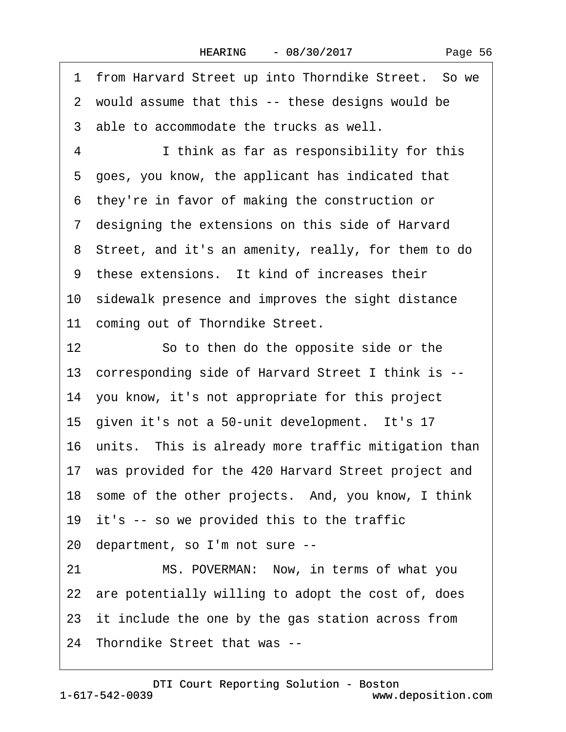|    | 1 from Harvard Street up into Thorndike Street. So we  |
|----|--------------------------------------------------------|
|    | 2 would assume that this -- these designs would be     |
|    | 3 able to accommodate the trucks as well.              |
| 4  | I think as far as responsibility for this              |
|    | 5 goes, you know, the applicant has indicated that     |
|    | 6 they're in favor of making the construction or       |
|    | 7 designing the extensions on this side of Harvard     |
|    | 8 Street, and it's an amenity, really, for them to do  |
|    | 9 these extensions. It kind of increases their         |
|    | 10 sidewalk presence and improves the sight distance   |
|    | 11 coming out of Thorndike Street.                     |
| 12 | So to then do the opposite side or the                 |
|    | 13 corresponding side of Harvard Street I think is --  |
|    | 14 you know, it's not appropriate for this project     |
|    | 15 given it's not a 50-unit development. It's 17       |
|    | 16 units. This is already more traffic mitigation than |
|    | 17 was provided for the 420 Harvard Street project and |
|    | 18 some of the other projects. And, you know, I think  |
|    | 19 it's -- so we provided this to the traffic          |
|    | 20 department, so I'm not sure --                      |
| 21 | MS. POVERMAN: Now, in terms of what you                |
|    | 22 are potentially willing to adopt the cost of, does  |
|    | 23 it include the one by the gas station across from   |
|    | 24 Thorndike Street that was --                        |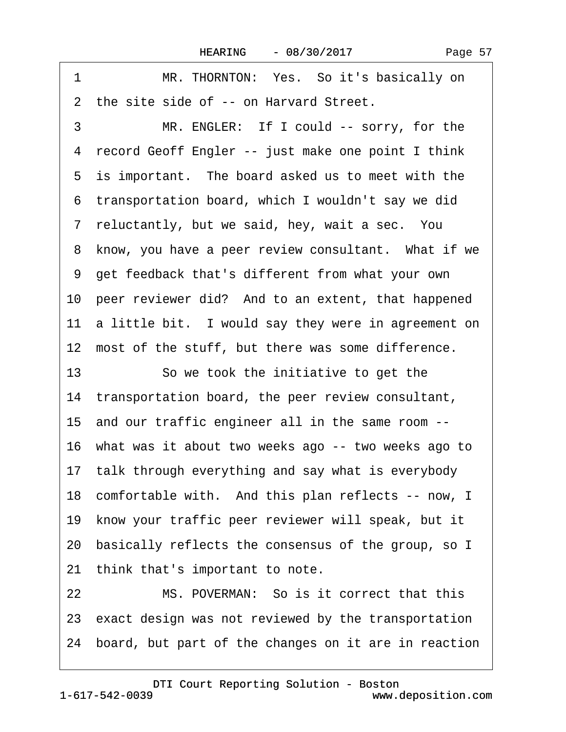| MR. THORNTON: Yes. So it's basically on<br>1               |
|------------------------------------------------------------|
| 2 the site side of -- on Harvard Street.                   |
| MR. ENGLER: If I could -- sorry, for the<br>3              |
| record Geoff Engler -- just make one point I think<br>4    |
| 5 is important. The board asked us to meet with the        |
| 6 transportation board, which I wouldn't say we did        |
| 7 reluctantly, but we said, hey, wait a sec. You           |
| 8 know, you have a peer review consultant. What if we      |
| 9 get feedback that's different from what your own         |
| 10 peer reviewer did? And to an extent, that happened      |
| 11 a little bit. I would say they were in agreement on     |
| 12 most of the stuff, but there was some difference.       |
| 13<br>So we took the initiative to get the                 |
| 14 transportation board, the peer review consultant,       |
| 15 and our traffic engineer all in the same room --        |
| 16 what was it about two weeks ago -- two weeks ago to     |
| 17 talk through everything and say what is everybody       |
| 18 comfortable with. And this plan reflects -- now, I      |
| 19 know your traffic peer reviewer will speak, but it      |
| 20 basically reflects the consensus of the group, so I     |
| 21 think that's important to note.                         |
| MS. POVERMAN: So is it correct that this<br>22             |
| 23 exact design was not reviewed by the transportation     |
| board, but part of the changes on it are in reaction<br>24 |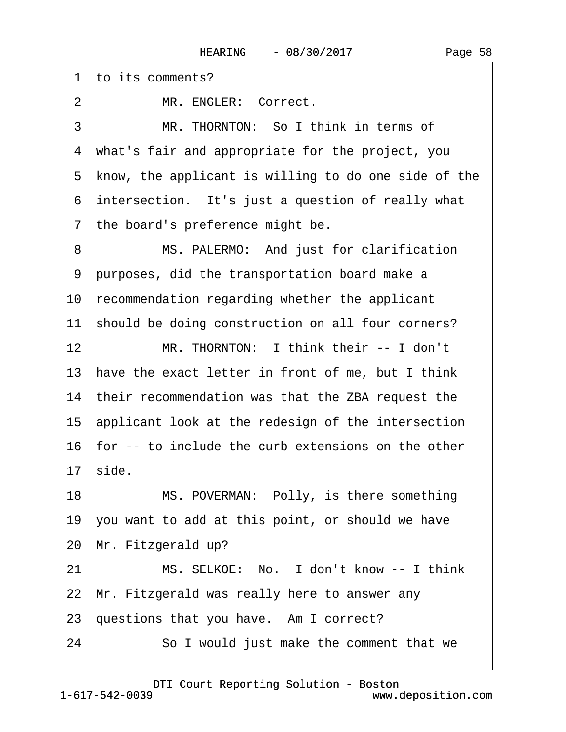1 to its comments?

2 MR. ENGLER: Correct.

3 MR. THORNTON: So I think in terms of ·4· what's fair and appropriate for the project, you 5 know, the applicant is willing to do one side of the 6 intersection. It's just a question of really what 7 the board's preference might be.

8 MS. PALERMO: And just for clarification ·9· purposes, did the transportation board make a 10 recommendation regarding whether the applicant 11 should be doing construction on all four corners? 12 MR. THORNTON: I think their -- I don't 13· have the exact letter in front of me, but I think 14· their recommendation was that the ZBA request the 15· applicant look at the redesign of the intersection 16· for -- to include the curb extensions on the other 17· side.

18 MS. POVERMAN: Polly, is there something 19· you want to add at this point, or should we have 20 Mr. Fitzgerald up?

21 MS. SELKOE: No. I don't know -- I think

22· Mr. Fitzgerald was really here to answer any

23 questions that you have. Am I correct?

24 So I would just make the comment that we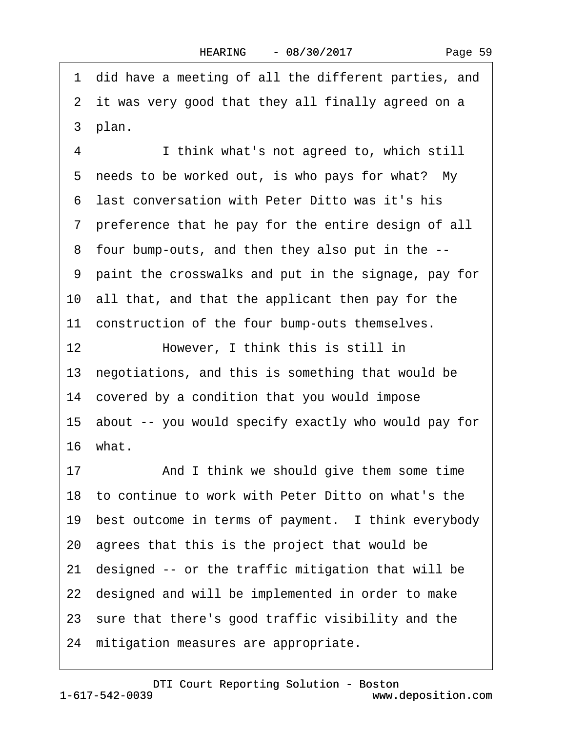1 did have a meeting of all the different parties, and 2 it was very good that they all finally agreed on a 3 plan. 4 I think what's not agreed to, which still 5 needs to be worked out, is who pays for what? My ·6· last conversation with Peter Ditto was it's his ·7· preference that he pay for the entire design of all ·8· four bump-outs, and then they also put in the -- ·9· paint the crosswalks and put in the signage, pay for 10 all that, and that the applicant then pay for the 11 construction of the four bump-outs themselves. 12· · · · · ·However, I think this is still in 13· negotiations, and this is something that would be 14 covered by a condition that you would impose 15· about -- you would specify exactly who would pay for 16· what. 17 • And I think we should give them some time 18· to continue to work with Peter Ditto on what's the 19 best outcome in terms of payment. I think everybody 20· agrees that this is the project that would be 21· designed -- or the traffic mitigation that will be 22 designed and will be implemented in order to make 23· sure that there's good traffic visibility and the 24 mitigation measures are appropriate.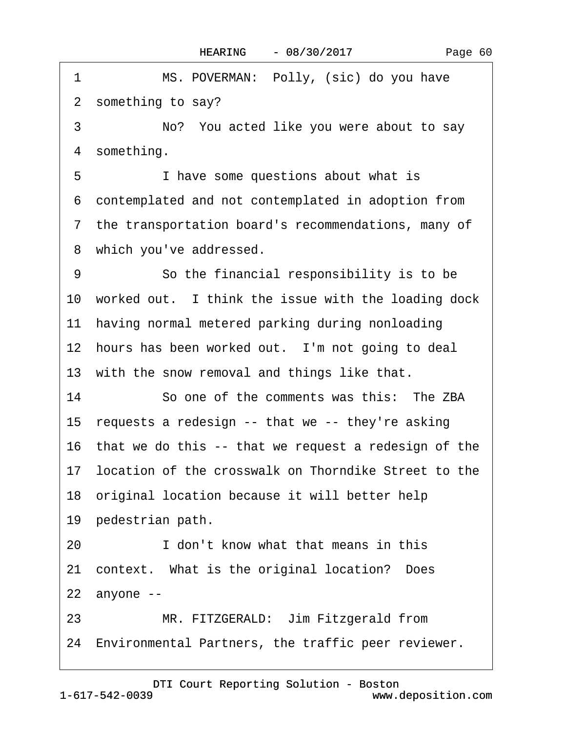1 MS. POVERMAN: Polly, (sic) do you have ·2· something to say? 3 No? You acted like you were about to say 4 something. 5 • I have some questions about what is ·6· contemplated and not contemplated in adoption from ·7· the transportation board's recommendations, many of 8 which you've addressed. 9 **So the financial responsibility is to be** 10 worked out. I think the issue with the loading dock 11 having normal metered parking during nonloading 12 hours has been worked out. I'm not going to deal 13 with the snow removal and things like that. 14 So one of the comments was this: The ZBA 15 requests a redesign -- that we -- they're asking 16 that we do this -- that we request a redesign of the 17 location of the crosswalk on Thorndike Street to the 18 original location because it will better help 19 pedestrian path. 20· · · · · ·I don't know what that means in this 21· context.· What is the original location?· Does  $22$  anyone  $-$ 23 MR. FITZGERALD: Jim Fitzgerald from

24 Environmental Partners, the traffic peer reviewer.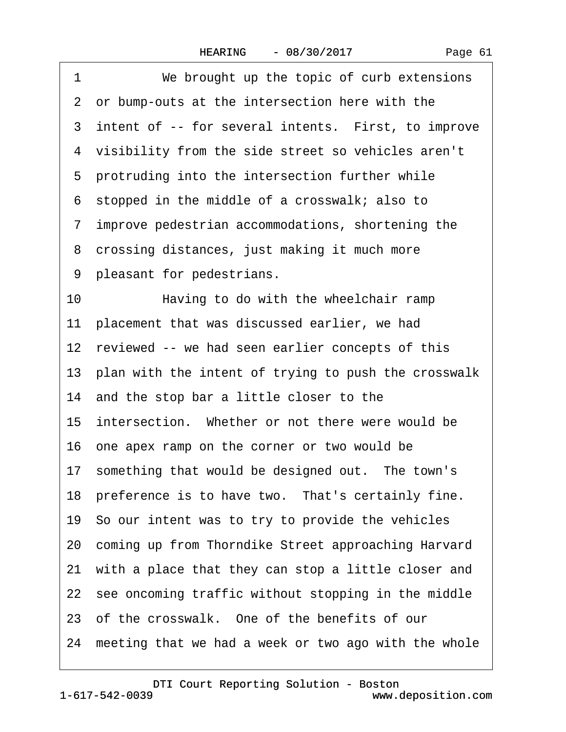|  | Page 61 |  |
|--|---------|--|
|--|---------|--|

| 1  | We brought up the topic of curb extensions              |
|----|---------------------------------------------------------|
|    | 2 or bump-outs at the intersection here with the        |
|    | 3 intent of -- for several intents. First, to improve   |
|    | 4 visibility from the side street so vehicles aren't    |
|    | 5 protruding into the intersection further while        |
|    | 6 stopped in the middle of a crosswalk; also to         |
|    | 7 improve pedestrian accommodations, shortening the     |
|    | 8 crossing distances, just making it much more          |
|    | 9 pleasant for pedestrians.                             |
| 10 | Having to do with the wheelchair ramp                   |
|    | 11 placement that was discussed earlier, we had         |
|    | 12 reviewed -- we had seen earlier concepts of this     |
|    | 13 plan with the intent of trying to push the crosswalk |
|    | 14 and the stop bar a little closer to the              |
|    | 15 intersection. Whether or not there were would be     |
|    | 16 one apex ramp on the corner or two would be          |
|    | 17 something that would be designed out. The town's     |
|    | 18 preference is to have two. That's certainly fine.    |
|    | 19 So our intent was to try to provide the vehicles     |
|    | 20 coming up from Thorndike Street approaching Harvard  |
|    | 21 with a place that they can stop a little closer and  |
|    | 22 see oncoming traffic without stopping in the middle  |
|    | 23 of the crosswalk. One of the benefits of our         |
|    | 24 meeting that we had a week or two ago with the whole |
|    |                                                         |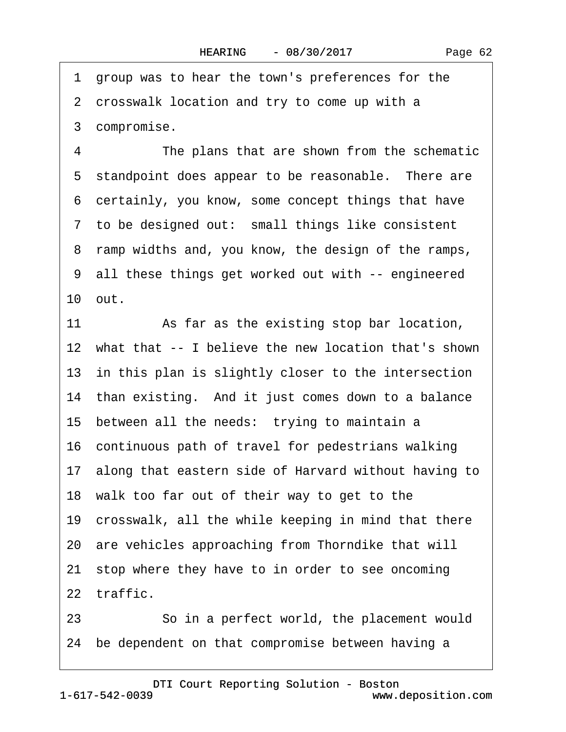·1· group was to hear the town's preferences for the

2 crosswalk location and try to come up with a

3 compromise.

4 The plans that are shown from the schematic 5 standpoint does appear to be reasonable. There are ·6· certainly, you know, some concept things that have 7 to be designed out: small things like consistent 8 ramp widths and, you know, the design of the ramps, ·9· all these things get worked out with -- engineered 10· out.

11 As far as the existing stop bar location,

12 what that -- I believe the new location that's shown

13 in this plan is slightly closer to the intersection

14 than existing. And it just comes down to a balance

15 between all the needs: trying to maintain a

16· continuous path of travel for pedestrians walking

17· along that eastern side of Harvard without having to

18· walk too far out of their way to get to the

19 crosswalk, all the while keeping in mind that there

20 are vehicles approaching from Thorndike that will

21· stop where they have to in order to see oncoming 22 traffic.

23 So in a perfect world, the placement would 24· be dependent on that compromise between having a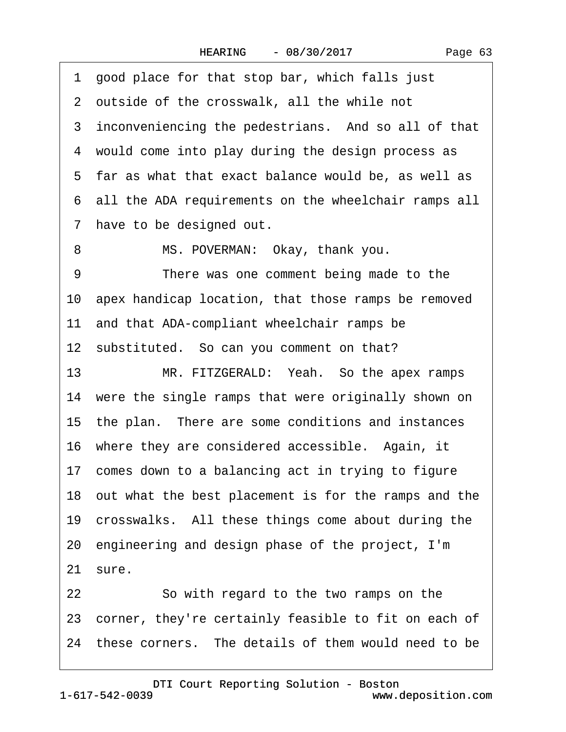Page 63

·1· good place for that stop bar, which falls just 2 outside of the crosswalk, all the while not 3 inconveniencing the pedestrians. And so all of that 4 would come into play during the design process as ·5· far as what that exact balance would be, as well as ·6· all the ADA requirements on the wheelchair ramps all 7 have to be designed out. 8 MS. POVERMAN: Okay, thank you. 9 There was one comment being made to the 10· apex handicap location, that those ramps be removed 11· and that ADA-compliant wheelchair ramps be 12 substituted. So can you comment on that? 13 MR. FITZGERALD: Yeah. So the apex ramps 14 were the single ramps that were originally shown on 15· the plan.· There are some conditions and instances 16 where they are considered accessible. Again, it 17 comes down to a balancing act in trying to figure 18· out what the best placement is for the ramps and the 19 crosswalks. All these things come about during the 20· engineering and design phase of the project, I'm

21 sure.

22 **· · · So with regard to the two ramps on the** 23 corner, they're certainly feasible to fit on each of 24 these corners. The details of them would need to be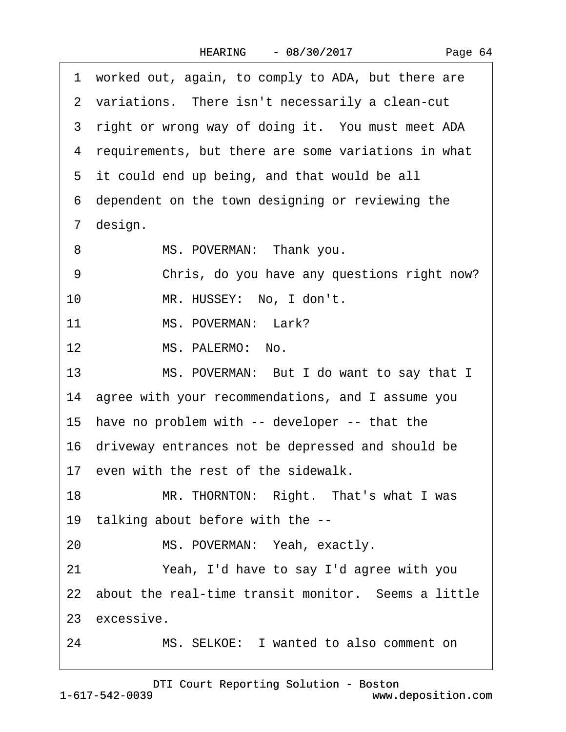| Page 64 |  |
|---------|--|
|         |  |

|    | 1 worked out, again, to comply to ADA, but there are   |
|----|--------------------------------------------------------|
|    | 2 variations. There isn't necessarily a clean-cut      |
|    | 3 right or wrong way of doing it. You must meet ADA    |
|    | 4 requirements, but there are some variations in what  |
|    | 5 it could end up being, and that would be all         |
|    | 6 dependent on the town designing or reviewing the     |
|    | 7 design.                                              |
| 8  | MS. POVERMAN: Thank you.                               |
| 9  | Chris, do you have any questions right now?            |
| 10 | MR. HUSSEY: No, I don't.                               |
| 11 | MS. POVERMAN: Lark?                                    |
| 12 | MS. PALERMO: No.                                       |
| 13 | MS. POVERMAN: But I do want to say that I              |
|    | 14 agree with your recommendations, and I assume you   |
|    | 15 have no problem with -- developer -- that the       |
|    | 16 driveway entrances not be depressed and should be   |
|    | 17 even with the rest of the sidewalk.                 |
| 18 | MR. THORNTON: Right. That's what I was                 |
|    | 19 talking about before with the --                    |
| 20 | MS. POVERMAN: Yeah, exactly.                           |
| 21 | Yeah, I'd have to say I'd agree with you               |
|    | 22 about the real-time transit monitor. Seems a little |
|    | 23 excessive.                                          |
| 24 | MS. SELKOE: I wanted to also comment on                |
|    |                                                        |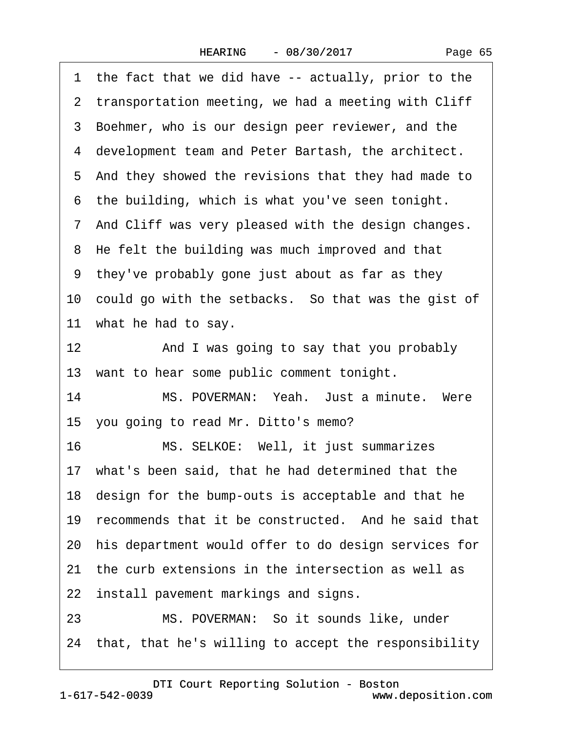·1· the fact that we did have -- actually, prior to the 2 transportation meeting, we had a meeting with Cliff 3 Boehmer, who is our design peer reviewer, and the 4 development team and Peter Bartash, the architect. 5 And they showed the revisions that they had made to 6 the building, which is what you've seen tonight. ·7· And Cliff was very pleased with the design changes. 8 He felt the building was much improved and that 9 they've probably gone just about as far as they 10 could go with the setbacks. So that was the gist of 11 what he had to say. 12 • And I was going to say that you probably 13 want to hear some public comment tonight. 14 MS. POVERMAN: Yeah. Just a minute. Were 15· you going to read Mr. Ditto's memo? 16 MS. SELKOE: Well, it just summarizes 17· what's been said, that he had determined that the 18 design for the bump-outs is acceptable and that he 19 recommends that it be constructed. And he said that 20· his department would offer to do design services for 21 the curb extensions in the intersection as well as 22 install pavement markings and signs. 23 MS. POVERMAN: So it sounds like, under 24· that, that he's willing to accept the responsibility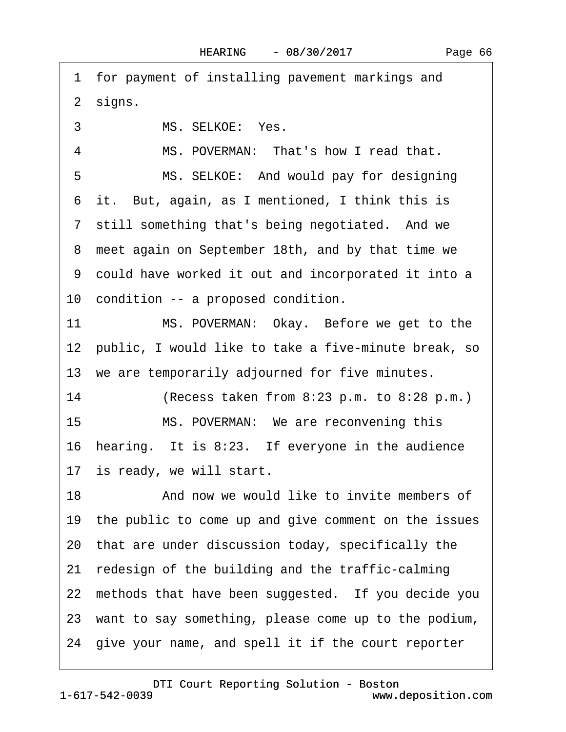1 for payment of installing pavement markings and 2 signs. 3 MS. SELKOE: Yes. 4 MS. POVERMAN: That's how I read that. 5 MS. SELKOE: And would pay for designing 6 it. But, again, as I mentioned, I think this is 7 still something that's being negotiated. And we 8 meet again on September 18th, and by that time we ·9· could have worked it out and incorporated it into a 10 condition -- a proposed condition. 11 MS. POVERMAN: Okay. Before we get to the 12 public, I would like to take a five-minute break, so 13 we are temporarily adjourned for five minutes. 14  $(Recess taken from 8:23 p.m. to 8:28 p.m.)$ 15 MS. POVERMAN: We are reconvening this 16 hearing. It is 8:23. If everyone in the audience 17 is ready, we will start. 18 **18** And now we would like to invite members of 19 the public to come up and give comment on the issues 20· that are under discussion today, specifically the 21 redesign of the building and the traffic-calming 22 methods that have been suggested. If you decide you 23· want to say something, please come up to the podium, 24· give your name, and spell it if the court reporter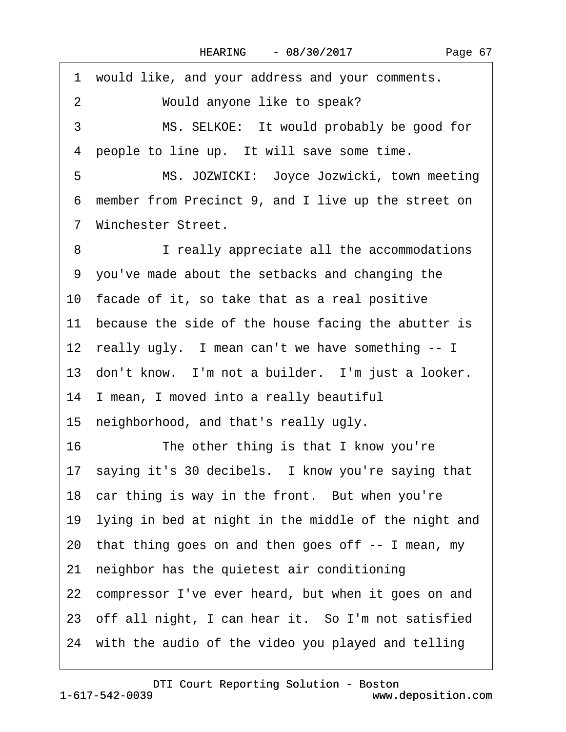1 would like, and your address and your comments. 2 Would anyone like to speak? 3 MS. SELKOE: It would probably be good for 4 people to line up. It will save some time. 5 MS. JOZWICKI: Joyce Jozwicki, town meeting ·6· member from Precinct 9, and I live up the street on ·7· Winchester Street. 8 **I** really appreciate all the accommodations ·9· you've made about the setbacks and changing the 10 facade of it, so take that as a real positive 11 because the side of the house facing the abutter is 12 really ugly. I mean can't we have something -- I 13 don't know. I'm not a builder. I'm just a looker. 14 I mean, I moved into a really beautiful 15· neighborhood, and that's really ugly. 16 The other thing is that I know you're 17 saying it's 30 decibels. I know you're saying that 18 car thing is way in the front. But when you're 19 lying in bed at night in the middle of the night and 20· that thing goes on and then goes off -- I mean, my 21· neighbor has the quietest air conditioning 22 compressor I've ever heard, but when it goes on and 23 off all night, I can hear it. So I'm not satisfied 24 with the audio of the video you played and telling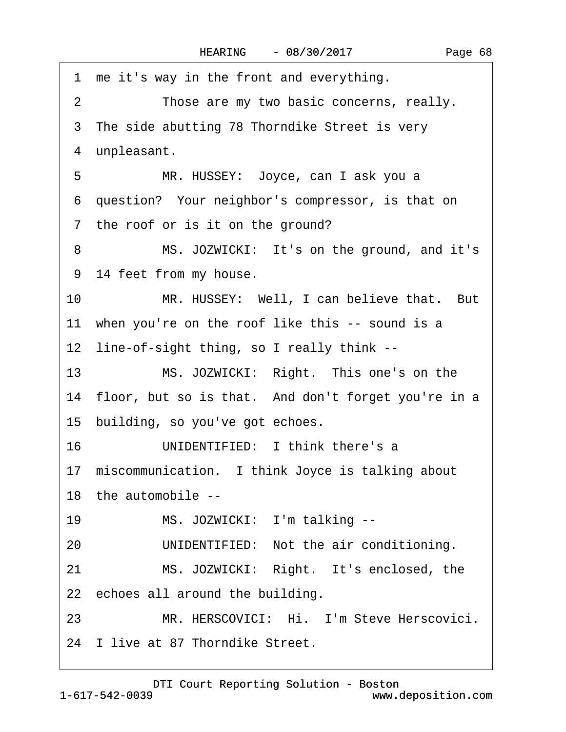|                | 1 me it's way in the front and everything.             |
|----------------|--------------------------------------------------------|
| $\overline{2}$ | Those are my two basic concerns, really.               |
|                | 3 The side abutting 78 Thorndike Street is very        |
|                | 4 unpleasant.                                          |
| 5              | MR. HUSSEY: Joyce, can I ask you a                     |
|                | 6 question? Your neighbor's compressor, is that on     |
|                | 7 the roof or is it on the ground?                     |
| 8              | MS. JOZWICKI: It's on the ground, and it's             |
|                | 9 14 feet from my house.                               |
| 10             | MR. HUSSEY: Well, I can believe that. But              |
|                | 11 when you're on the roof like this -- sound is a     |
|                | 12 line-of-sight thing, so I really think --           |
| 13             | MS. JOZWICKI: Right. This one's on the                 |
|                | 14 floor, but so is that. And don't forget you're in a |
|                | 15 building, so you've got echoes.                     |
| 16             | UNIDENTIFIED: I think there's a                        |
|                | 17 miscommunication. I think Joyce is talking about    |
|                | 18 the automobile --                                   |
| 19             | MS. JOZWICKI: I'm talking --                           |
| 20             | UNIDENTIFIED: Not the air conditioning.                |
| 21             | MS. JOZWICKI: Right. It's enclosed, the                |
|                | 22 echoes all around the building.                     |
| 23             | MR. HERSCOVICI: Hi. I'm Steve Herscovici.              |
|                | 24 I live at 87 Thorndike Street.                      |

Page 68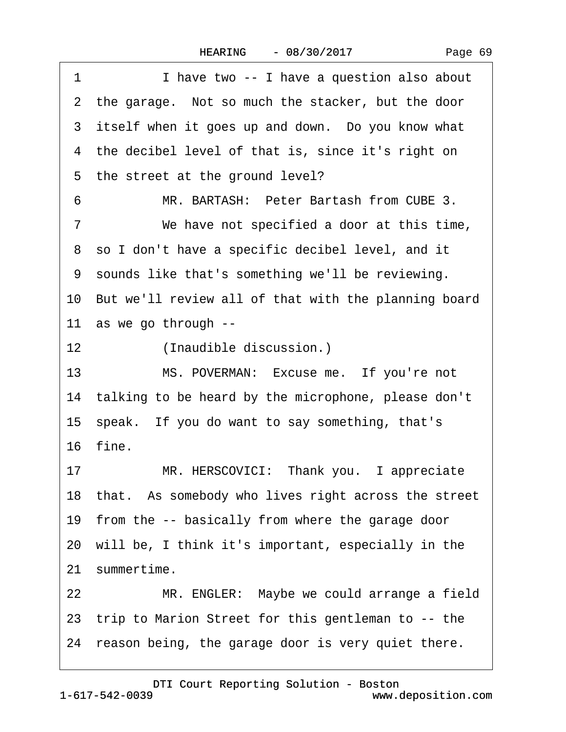| Page 69 |
|---------|
|---------|

| 1               | I have two -- I have a question also about              |
|-----------------|---------------------------------------------------------|
|                 | 2 the garage. Not so much the stacker, but the door     |
|                 | 3 itself when it goes up and down. Do you know what     |
|                 | 4 the decibel level of that is, since it's right on     |
|                 | 5 the street at the ground level?                       |
| 6               | MR. BARTASH: Peter Bartash from CUBE 3.                 |
| 7               | We have not specified a door at this time,              |
|                 | 8 so I don't have a specific decibel level, and it      |
|                 | 9 sounds like that's something we'll be reviewing.      |
|                 | 10 But we'll review all of that with the planning board |
|                 | 11 as we go through --                                  |
| 12 <sup>1</sup> | (Inaudible discussion.)                                 |
| 13              | MS. POVERMAN: Excuse me. If you're not                  |
|                 | 14 talking to be heard by the microphone, please don't  |
|                 | 15 speak. If you do want to say something, that's       |
|                 | 16 fine.                                                |
| 17              | MR. HERSCOVICI: Thank you. I appreciate                 |
|                 | 18 that. As somebody who lives right across the street  |
|                 | 19 from the -- basically from where the garage door     |
|                 | 20 will be, I think it's important, especially in the   |
|                 | 21 summertime.                                          |
| 22              | MR. ENGLER: Maybe we could arrange a field              |
|                 | 23 trip to Marion Street for this gentleman to -- the   |
|                 | 24 reason being, the garage door is very quiet there.   |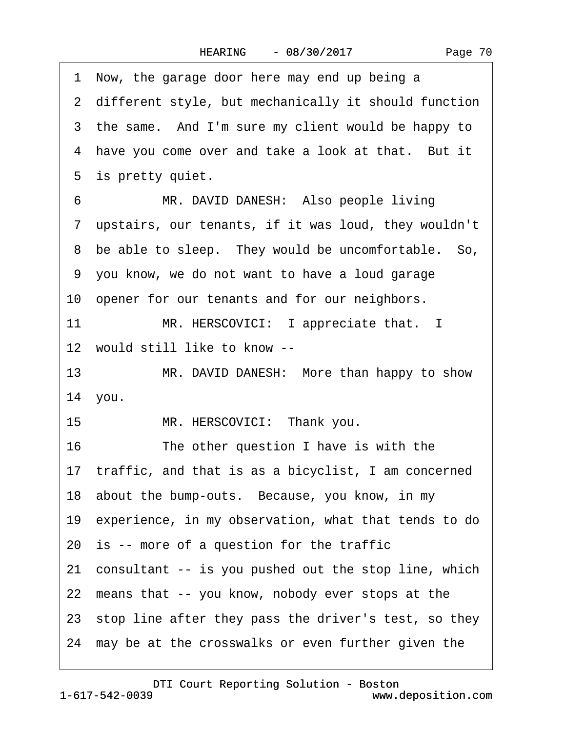1 Now, the garage door here may end up being a 2 different style, but mechanically it should function 3 the same. And I'm sure my client would be happy to 4 have you come over and take a look at that. But it 5 is pretty quiet. 6 MR. DAVID DANESH: Also people living ·7· upstairs, our tenants, if it was loud, they wouldn't 8 be able to sleep. They would be uncomfortable. So, ·9· you know, we do not want to have a loud garage 10 opener for our tenants and for our neighbors. 11 MR. HERSCOVICI: I appreciate that. I 12 would still like to know --13 MR. DAVID DANESH: More than happy to show 14 you. 15 MR. HERSCOVICI: Thank you. 16 The other question I have is with the 17 traffic, and that is as a bicyclist, I am concerned 18· about the bump-outs.· Because, you know, in my 19 experience, in my observation, what that tends to do 20 is -- more of a question for the traffic 21 consultant -- is you pushed out the stop line, which 22 means that -- you know, nobody ever stops at the 23 stop line after they pass the driver's test, so they 24 may be at the crosswalks or even further given the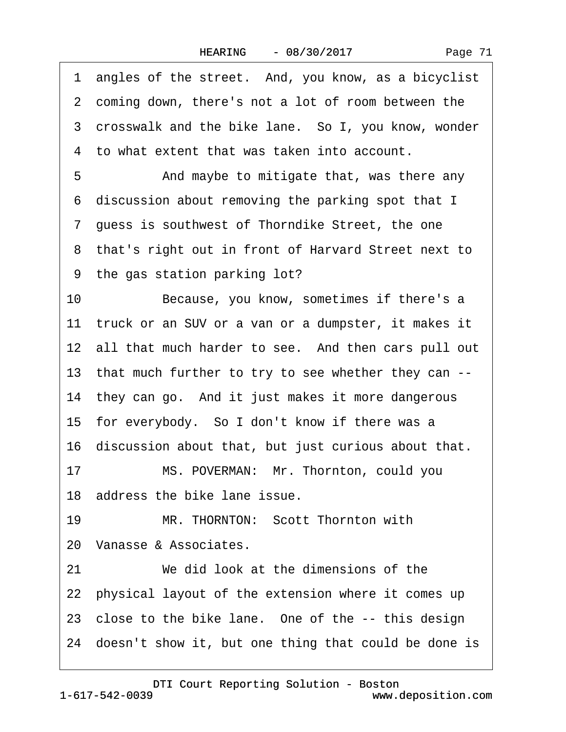1 angles of the street. And, you know, as a bicyclist 2 coming down, there's not a lot of room between the 3 crosswalk and the bike lane. So I, you know, wonder ·4· to what extent that was taken into account. 5 • • And maybe to mitigate that, was there any 6 discussion about removing the parking spot that I ·7· guess is southwest of Thorndike Street, the one 8 that's right out in front of Harvard Street next to ·9· the gas station parking lot? 10 Because, you know, sometimes if there's a 11 truck or an SUV or a van or a dumpster, it makes it 12 all that much harder to see. And then cars pull out 13 that much further to try to see whether they can --14 they can go. And it just makes it more dangerous 15 for everybody. So I don't know if there was a 16 discussion about that, but just curious about that. 17 MS. POVERMAN: Mr. Thornton, could you 18 address the bike lane issue. 19 MR. THORNTON: Scott Thornton with 20 Vanasse & Associates. 21 We did look at the dimensions of the 22 physical layout of the extension where it comes up 23 close to the bike lane. One of the -- this design 24 doesn't show it, but one thing that could be done is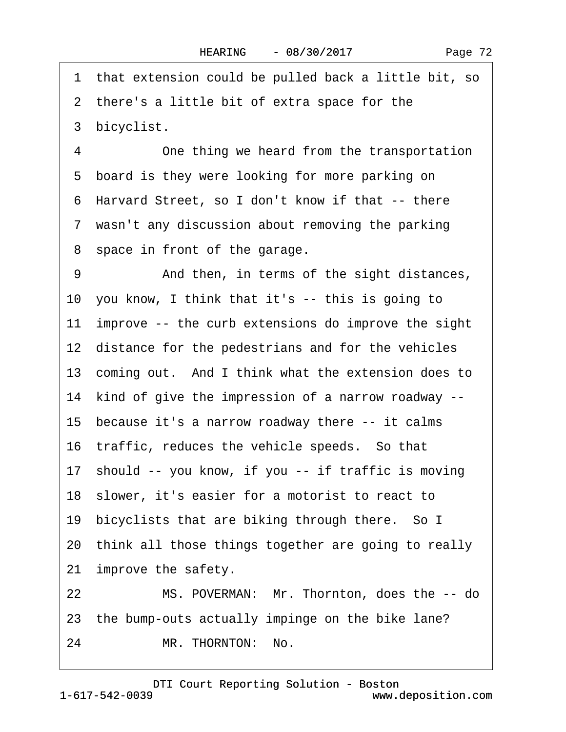·1· that extension could be pulled back a little bit, so 2 there's a little bit of extra space for the 3 bicyclist. 4 One thing we heard from the transportation 5 board is they were looking for more parking on ·6· Harvard Street, so I don't know if that -- there 7 wasn't any discussion about removing the parking 8 space in front of the garage. 9 • **And then, in terms of the sight distances,** 10· you know, I think that it's -- this is going to 11 improve -- the curb extensions do improve the sight 12 distance for the pedestrians and for the vehicles 13 coming out. And I think what the extension does to 14· kind of give the impression of a narrow roadway -- 15 because it's a narrow roadway there -- it calms 16 traffic, reduces the vehicle speeds. So that 17· should -- you know, if you -- if traffic is moving 18· slower, it's easier for a motorist to react to 19 bicyclists that are biking through there. So I 20· think all those things together are going to really 21 improve the safety. 22 MS. POVERMAN: Mr. Thornton, does the -- do 23 the bump-outs actually impinge on the bike lane? 24 MR. THORNTON: No.

1-617-542-0039 [DTI Court Reporting Solution - Boston](http://www.deposition.com) www.deposition.com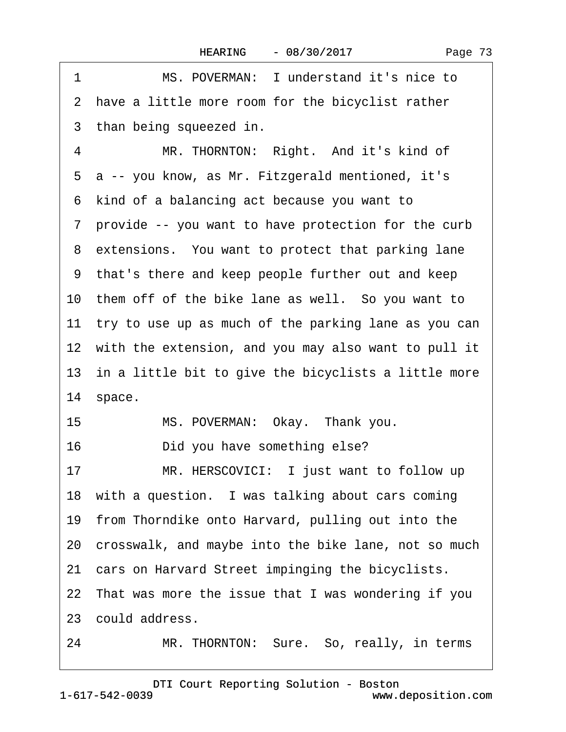<span id="page-72-0"></span>

| 1  | MS. POVERMAN: I understand it's nice to                 |
|----|---------------------------------------------------------|
|    | 2 have a little more room for the bicyclist rather      |
|    | 3 than being squeezed in.                               |
| 4  | MR. THORNTON: Right. And it's kind of                   |
|    | 5 a -- you know, as Mr. Fitzgerald mentioned, it's      |
|    | 6 kind of a balancing act because you want to           |
|    | 7 provide -- you want to have protection for the curb   |
|    | 8 extensions. You want to protect that parking lane     |
|    | 9 that's there and keep people further out and keep     |
|    | 10 them off of the bike lane as well. So you want to    |
|    | 11 try to use up as much of the parking lane as you can |
|    | 12 with the extension, and you may also want to pull it |
|    | 13 in a little bit to give the bicyclists a little more |
|    | 14 space.                                               |
| 15 | MS. POVERMAN: Okay. Thank you.                          |
| 16 | Did you have something else?                            |
| 17 | MR. HERSCOVICI: I just want to follow up                |
|    | 18 with a question. I was talking about cars coming     |
|    | 19 from Thorndike onto Harvard, pulling out into the    |
|    | 20 crosswalk, and maybe into the bike lane, not so much |
|    | 21 cars on Harvard Street impinging the bicyclists.     |
|    | 22 That was more the issue that I was wondering if you  |
|    | 23 could address.                                       |
| 24 | MR. THORNTON: Sure. So, really, in terms                |

1-617-542-0039 [DTI Court Reporting Solution - Boston](http://www.deposition.com) www.deposition.com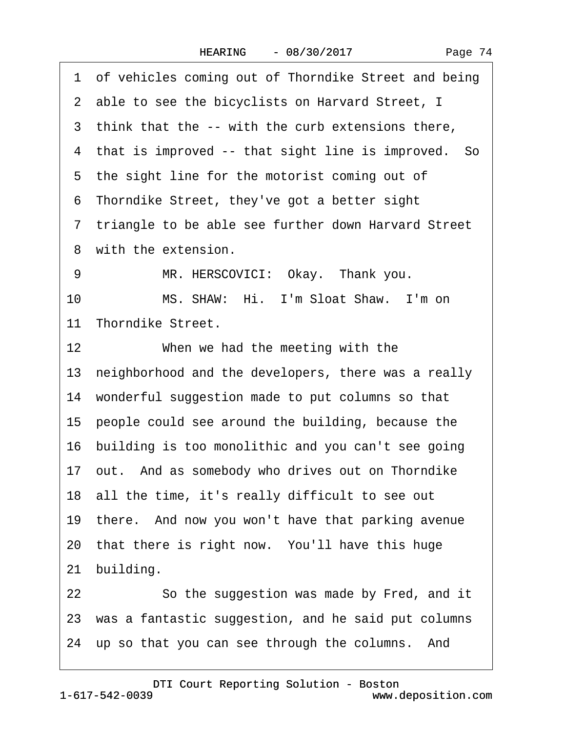| Page 74 |  |
|---------|--|
|---------|--|

<span id="page-73-0"></span>

|    | 1 of vehicles coming out of Thorndike Street and being |
|----|--------------------------------------------------------|
|    | 2 able to see the bicyclists on Harvard Street, I      |
|    | 3 think that the -- with the curb extensions there,    |
|    | 4 that is improved -- that sight line is improved. So  |
|    | 5 the sight line for the motorist coming out of        |
|    | 6 Thorndike Street, they've got a better sight         |
|    | 7 triangle to be able see further down Harvard Street  |
|    | 8 with the extension.                                  |
| 9  | MR. HERSCOVICI: Okay. Thank you.                       |
| 10 | MS. SHAW: Hi. I'm Sloat Shaw. I'm on                   |
|    | 11 Thorndike Street.                                   |
| 12 | When we had the meeting with the                       |
|    | 13 neighborhood and the developers, there was a really |
|    | 14 wonderful suggestion made to put columns so that    |
|    | 15 people could see around the building, because the   |
|    | 16 building is too monolithic and you can't see going  |
|    | 17 out. And as somebody who drives out on Thorndike    |
|    | 18 all the time, it's really difficult to see out      |
|    | 19 there. And now you won't have that parking avenue   |
|    | 20 that there is right now. You'll have this huge      |
|    | 21 building.                                           |
| 22 | So the suggestion was made by Fred, and it             |
|    | 23 was a fantastic suggestion, and he said put columns |
|    | 24 up so that you can see through the columns. And     |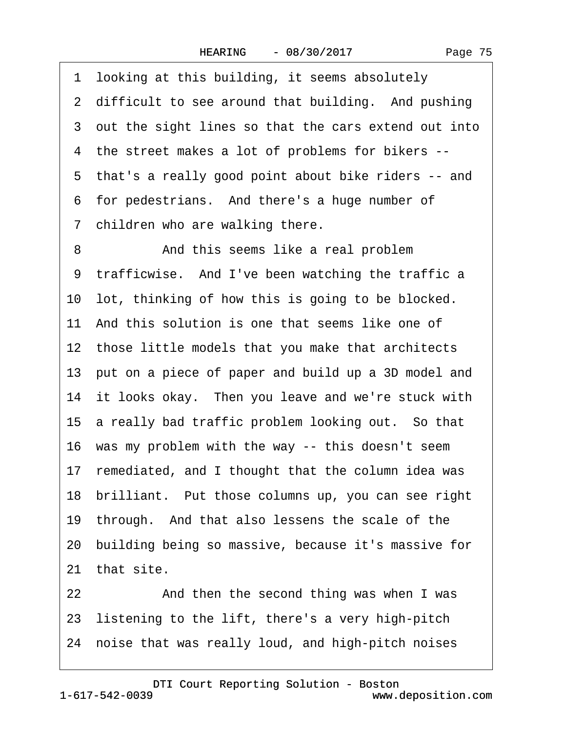<span id="page-74-0"></span>1 looking at this building, it seems absolutely 2 difficult to see around that building. And pushing 3 out the sight lines so that the cars extend out into ·4· the street makes a lot of problems for bikers -- 5 that's a really good point about bike riders -- and 6 for pedestrians. And there's a huge number of 7 children who are walking there. 8 **8** And this seems like a real problem 9 trafficwise. And I've been watching the traffic a 10 lot, thinking of how this is going to be blocked. 11 And this solution is one that seems like one of 12 those little models that you make that architects 13· put on a piece of paper and build up a 3D model and 14 it looks okay. Then you leave and we're stuck with 15 a really bad traffic problem looking out. So that 16 was my problem with the way -- this doesn't seem 17 remediated, and I thought that the column idea was 18 brilliant. Put those columns up, you can see right 19· through.· And that also lessens the scale of the 20· building being so massive, because it's massive for 21 that site. 22 And then the second thing was when I was 23· listening to the lift, there's a very high-pitch

24 noise that was really loud, and high-pitch noises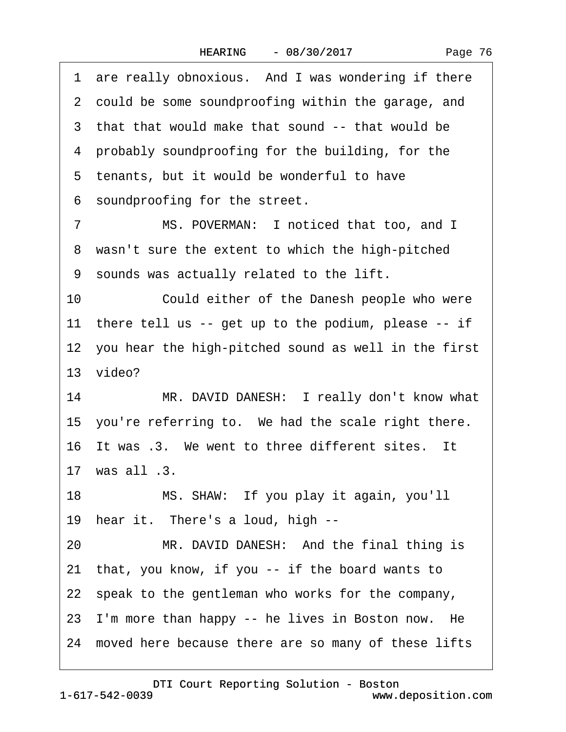|  | Page 76 |  |
|--|---------|--|
|--|---------|--|

<span id="page-75-0"></span>1 are really obnoxious. And I was wondering if there 2 could be some soundproofing within the garage, and 3 that that would make that sound -- that would be 4 probably soundproofing for the building, for the ·5· tenants, but it would be wonderful to have 6 soundproofing for the street. 7 MS. POVERMAN: I noticed that too, and I 8 wasn't sure the extent to which the high-pitched ·9· sounds was actually related to the lift. 10 Could either of the Danesh people who were 11 there tell us -- get up to the podium, please -- if 12 you hear the high-pitched sound as well in the first 13 video? 14 MR. DAVID DANESH: I really don't know what 15 you're referring to. We had the scale right there. 16 It was .3. We went to three different sites. It 17· was all .3. 18 MS. SHAW: If you play it again, you'll 19 hear it. There's a loud, high --20 MR. DAVID DANESH: And the final thing is 21· that, you know, if you -- if the board wants to 22 speak to the gentleman who works for the company, 23 I'm more than happy -- he lives in Boston now. He 24· moved here because there are so many of these lifts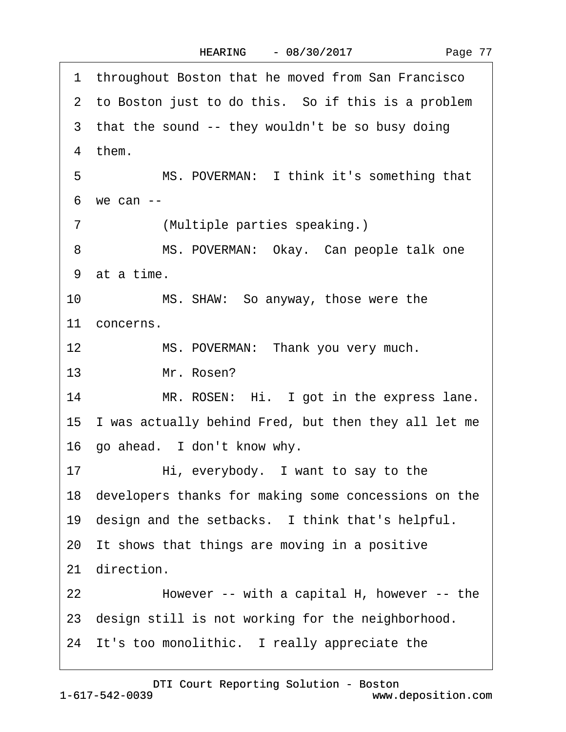|  | Page 77 |  |
|--|---------|--|
|--|---------|--|

<span id="page-76-0"></span>1 throughout Boston that he moved from San Francisco 2 to Boston just to do this. So if this is a problem 3 that the sound -- they wouldn't be so busy doing 4 them. 5 MS. POVERMAN: I think it's something that ·6· we can -- 7 (Multiple parties speaking.) 8 MS. POVERMAN: Okay. Can people talk one 9 at a time. 10 MS. SHAW: So anyway, those were the 11 concerns. 12 MS. POVERMAN: Thank you very much. 13 Mr. Rosen? 14 MR. ROSEN: Hi. I got in the express lane. 15 I was actually behind Fred, but then they all let me 16 go ahead. I don't know why. 17 • Hi, everybody. I want to say to the 18· developers thanks for making some concessions on the 19 design and the setbacks. I think that's helpful. 20· It shows that things are moving in a positive 21 direction. 22 • However -- with a capital H, however -- the 23 design still is not working for the neighborhood. 24 It's too monolithic. I really appreciate the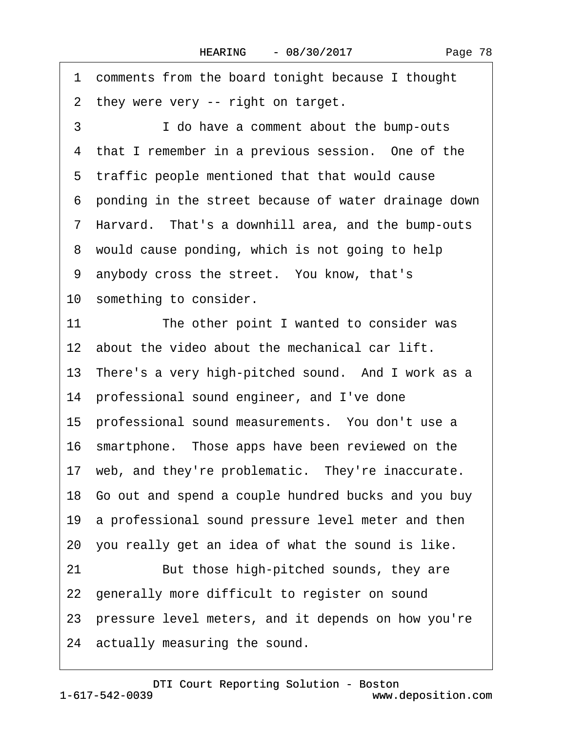<span id="page-77-0"></span>·1· comments from the board tonight because I thought 2 they were very -- right on target. 3 **I** do have a comment about the bump-outs 4 that I remember in a previous session. One of the 5 traffic people mentioned that that would cause ·6· ponding in the street because of water drainage down ·7· Harvard.· That's a downhill area, and the bump-outs 8 would cause ponding, which is not going to help 9 anybody cross the street. You know, that's 10 something to consider. 11 The other point I wanted to consider was 12 about the video about the mechanical car lift. 13 There's a very high-pitched sound. And I work as a 14 professional sound engineer, and I've done 15 professional sound measurements. You don't use a 16· smartphone.· Those apps have been reviewed on the 17 web, and they're problematic. They're inaccurate. 18· Go out and spend a couple hundred bucks and you buy 19· a professional sound pressure level meter and then 20· you really get an idea of what the sound is like. 21 But those high-pitched sounds, they are 22 generally more difficult to register on sound 23 pressure level meters, and it depends on how you're 24 actually measuring the sound.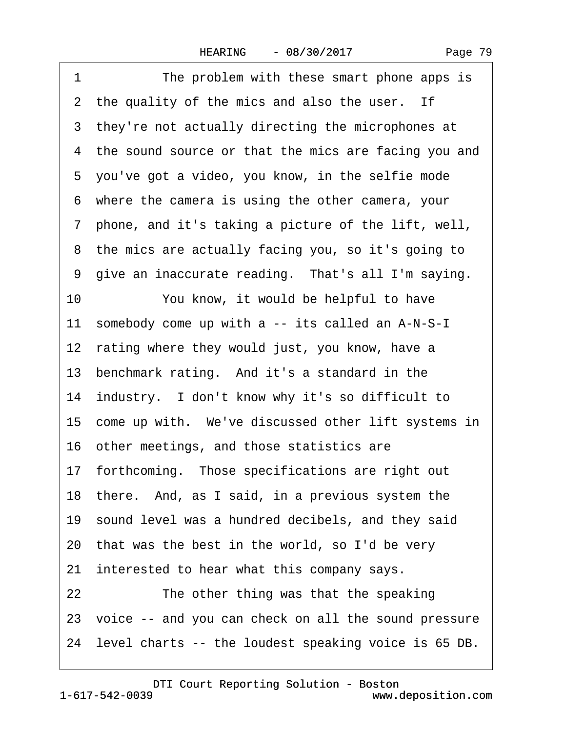<span id="page-78-0"></span>1 The problem with these smart phone apps is 2 the quality of the mics and also the user. If 3 they're not actually directing the microphones at 4 the sound source or that the mics are facing you and 5 you've got a video, you know, in the selfie mode ·6· where the camera is using the other camera, your ·7· phone, and it's taking a picture of the lift, well, 8 the mics are actually facing you, so it's going to 9 give an inaccurate reading. That's all I'm saying. 10 You know, it would be helpful to have 11 somebody come up with a -- its called an A-N-S-I 12 rating where they would just, you know, have a 13 benchmark rating. And it's a standard in the 14 industry. I don't know why it's so difficult to 15 come up with. We've discussed other lift systems in 16· other meetings, and those statistics are 17 forthcoming. Those specifications are right out 18 there. And, as I said, in a previous system the 19 sound level was a hundred decibels, and they said 20· that was the best in the world, so I'd be very 21 interested to hear what this company says. 22 The other thing was that the speaking 23· voice -- and you can check on all the sound pressure 24· level charts -- the loudest speaking voice is 65 DB.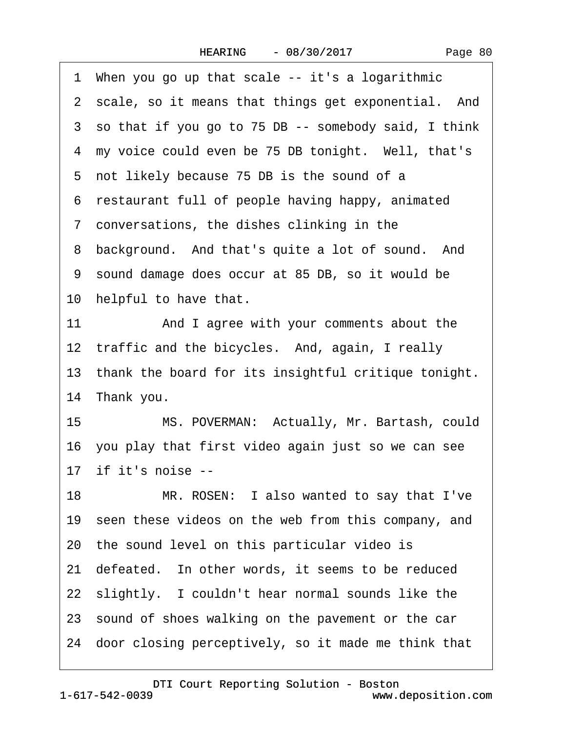|  | Page 80 |  |
|--|---------|--|
|--|---------|--|

<span id="page-79-0"></span>

|    | 1 When you go up that scale -- it's a logarithmic       |
|----|---------------------------------------------------------|
|    | 2 scale, so it means that things get exponential. And   |
|    | 3 so that if you go to 75 DB -- somebody said, I think  |
|    | 4 my voice could even be 75 DB tonight. Well, that's    |
|    | 5 not likely because 75 DB is the sound of a            |
|    | 6 restaurant full of people having happy, animated      |
|    | 7 conversations, the dishes clinking in the             |
|    | 8 background. And that's quite a lot of sound. And      |
|    | 9 sound damage does occur at 85 DB, so it would be      |
|    | 10 helpful to have that.                                |
| 11 | And I agree with your comments about the                |
|    | 12 traffic and the bicycles. And, again, I really       |
|    | 13 thank the board for its insightful critique tonight. |
|    | 14 Thank you.                                           |
| 15 | MS. POVERMAN: Actually, Mr. Bartash, could              |
|    | 16 you play that first video again just so we can see   |
|    | 17 if it's noise --                                     |
| 18 | MR. ROSEN: I also wanted to say that I've               |
|    | 19 seen these videos on the web from this company, and  |
|    | 20 the sound level on this particular video is          |
|    | 21 defeated. In other words, it seems to be reduced     |
|    | 22 slightly. I couldn't hear normal sounds like the     |
|    | 23 sound of shoes walking on the pavement or the car    |
|    | 24 door closing perceptively, so it made me think that  |
|    |                                                         |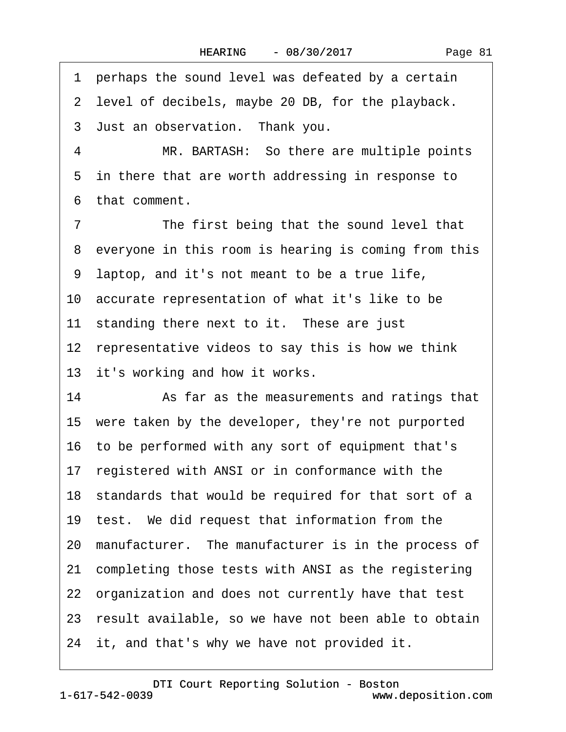<span id="page-80-0"></span>1 perhaps the sound level was defeated by a certain 2 level of decibels, maybe 20 DB, for the playback. 3 Just an observation. Thank you. 4 MR. BARTASH: So there are multiple points 5 in there that are worth addressing in response to ·6· that comment. 7 The first being that the sound level that 8 everyone in this room is hearing is coming from this ·9· laptop, and it's not meant to be a true life, 10· accurate representation of what it's like to be 11 standing there next to it. These are just 12 representative videos to say this is how we think 13 it's working and how it works. 14 • As far as the measurements and ratings that 15 were taken by the developer, they're not purported 16· to be performed with any sort of equipment that's 17 registered with ANSI or in conformance with the 18 standards that would be required for that sort of a 19 test. We did request that information from the 20· manufacturer.· The manufacturer is in the process of 21 completing those tests with ANSI as the registering 22 organization and does not currently have that test 23 result available, so we have not been able to obtain 24 it, and that's why we have not provided it.

1-617-542-0039 [DTI Court Reporting Solution - Boston](http://www.deposition.com) www.deposition.com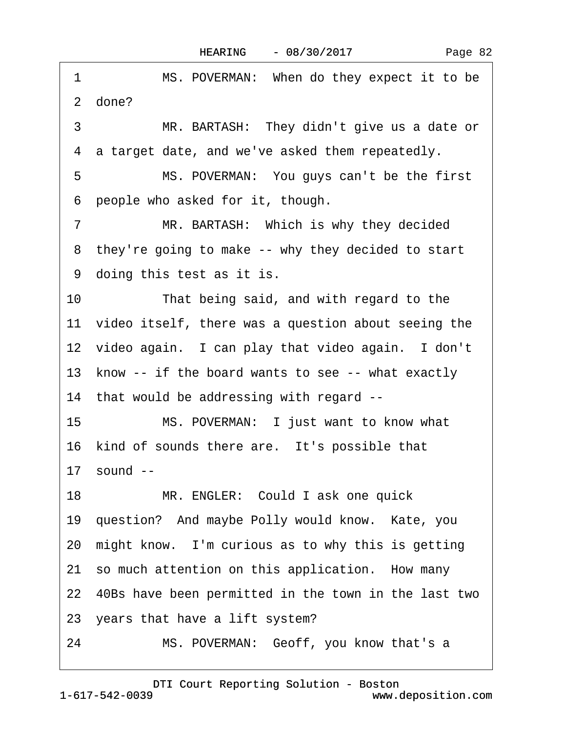<span id="page-81-0"></span>1 MS. POVERMAN: When do they expect it to be

|    | 2 done?                                                 |
|----|---------------------------------------------------------|
| 3  | MR. BARTASH: They didn't give us a date or              |
|    | 4 a target date, and we've asked them repeatedly.       |
| 5  | MS. POVERMAN: You guys can't be the first               |
|    | 6 people who asked for it, though.                      |
| 7  | MR. BARTASH: Which is why they decided                  |
|    | 8 they're going to make -- why they decided to start    |
|    | 9 doing this test as it is.                             |
| 10 | That being said, and with regard to the                 |
|    | 11 video itself, there was a question about seeing the  |
|    | 12 video again. I can play that video again. I don't    |
|    | 13 know -- if the board wants to see -- what exactly    |
|    | 14 that would be addressing with regard --              |
| 15 | MS. POVERMAN: I just want to know what                  |
|    | 16 kind of sounds there are. It's possible that         |
|    | 17 sound --                                             |
|    | 18<br>MR. ENGLER: Could I ask one quick                 |
|    | 19 question? And maybe Polly would know. Kate, you      |
|    | 20 might know. I'm curious as to why this is getting    |
|    | 21 so much attention on this application. How many      |
|    | 22 40Bs have been permitted in the town in the last two |
|    | 23 years that have a lift system?                       |
| 24 | MS. POVERMAN: Geoff, you know that's a                  |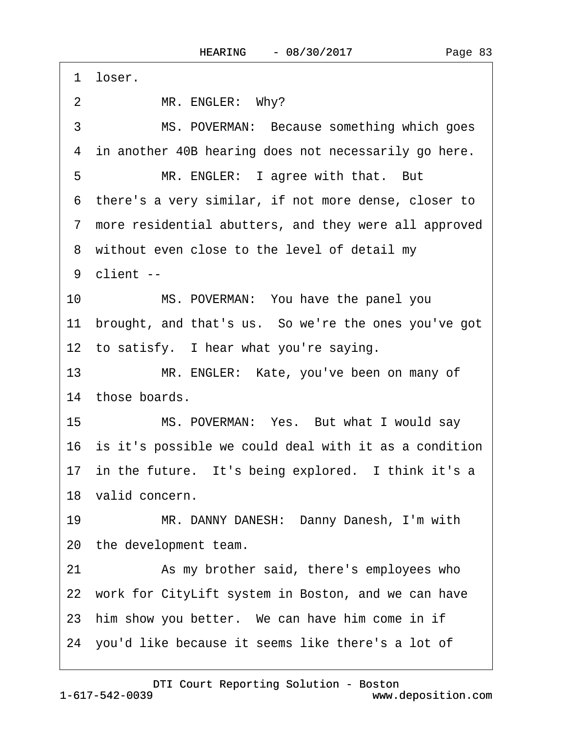<span id="page-82-0"></span>1 loser. 2 MR. ENGLER: Why? 3 MS. POVERMAN: Because something which goes 4 in another 40B hearing does not necessarily go here. 5 MR. ENGLER: I agree with that. But ·6· there's a very similar, if not more dense, closer to ·7· more residential abutters, and they were all approved 8 without even close to the level of detail my ·9· client -- 10 MS. POVERMAN: You have the panel you 11 brought, and that's us. So we're the ones you've got 12 to satisfy. I hear what you're saying. 13 MR. ENGLER: Kate, you've been on many of 14 those boards. 15 MS. POVERMAN: Yes. But what I would say 16 is it's possible we could deal with it as a condition 17 in the future. It's being explored. I think it's a 18 valid concern. 19 MR. DANNY DANESH: Danny Danesh, I'm with 20 the development team. 21 • As my brother said, there's employees who 22 work for CityLift system in Boston, and we can have 23 him show you better. We can have him come in if 24· you'd like because it seems like there's a lot of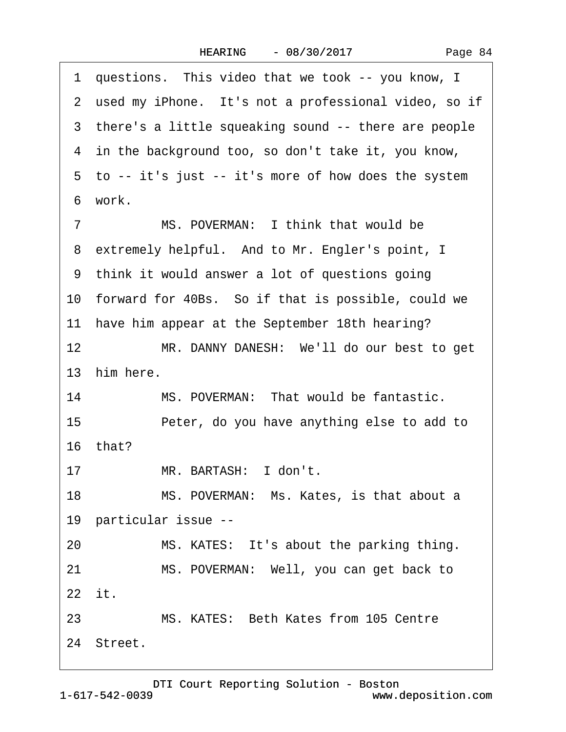<span id="page-83-0"></span>1 questions. This video that we took -- you know, I 2 used my iPhone. It's not a professional video, so if 3 there's a little squeaking sound -- there are people 4 in the background too, so don't take it, you know, 5 to -- it's just -- it's more of how does the system 6 work. 7 MS. POVERMAN: I think that would be 8 extremely helpful. And to Mr. Engler's point, I ·9· think it would answer a lot of questions going 10 forward for 40Bs. So if that is possible, could we 11 have him appear at the September 18th hearing? 12 MR. DANNY DANESH: We'll do our best to get 13 him here. 14 MS. POVERMAN: That would be fantastic. 15 • Peter, do you have anything else to add to 16 $that?$ 17 MR. BARTASH: I don't. 18 MS. POVERMAN: Ms. Kates, is that about a 19 particular issue --20 MS. KATES: It's about the parking thing. 21 MS. POVERMAN: Well, you can get back to 22 it. 23 MS. KATES: Beth Kates from 105 Centre 24 Street.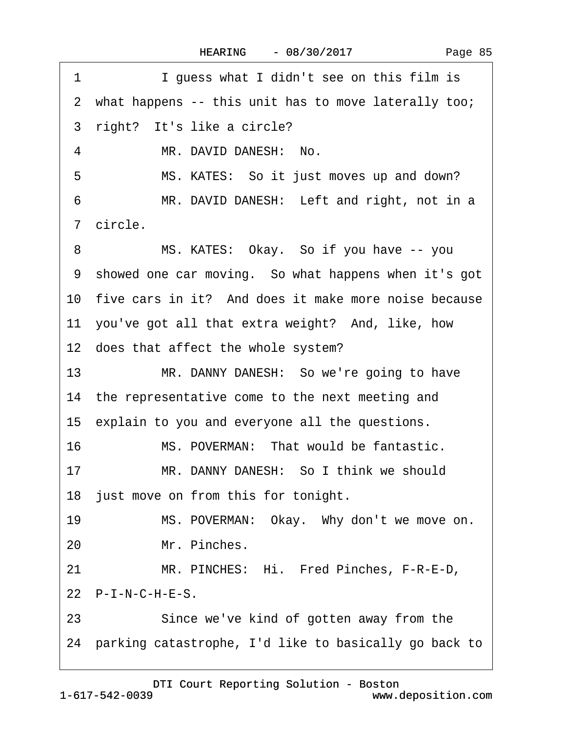| Page 85 |  |
|---------|--|
|         |  |

<span id="page-84-0"></span>

| 1  | I guess what I didn't see on this film is                |
|----|----------------------------------------------------------|
|    | 2 what happens -- this unit has to move laterally too;   |
|    | 3 right? It's like a circle?                             |
| 4  | MR. DAVID DANESH: No.                                    |
| 5  | MS. KATES: So it just moves up and down?                 |
| 6  | MR. DAVID DANESH: Left and right, not in a               |
|    | 7 circle.                                                |
| 8  | MS. KATES: Okay. So if you have -- you                   |
|    | 9 showed one car moving. So what happens when it's got   |
|    | 10 five cars in it? And does it make more noise because  |
|    | 11 you've got all that extra weight? And, like, how      |
|    | 12 does that affect the whole system?                    |
| 13 | MR. DANNY DANESH: So we're going to have                 |
|    | 14 the representative come to the next meeting and       |
|    | 15 explain to you and everyone all the questions.        |
| 16 | MS. POVERMAN: That would be fantastic.                   |
| 17 | MR. DANNY DANESH: So I think we should                   |
|    | 18 just move on from this for tonight.                   |
| 19 | MS. POVERMAN: Okay. Why don't we move on.                |
| 20 | Mr. Pinches.                                             |
| 21 | MR. PINCHES: Hi. Fred Pinches, F-R-E-D,                  |
|    | 22 P-I-N-C-H-E-S.                                        |
| 23 | Since we've kind of gotten away from the                 |
|    | 24 parking catastrophe, I'd like to basically go back to |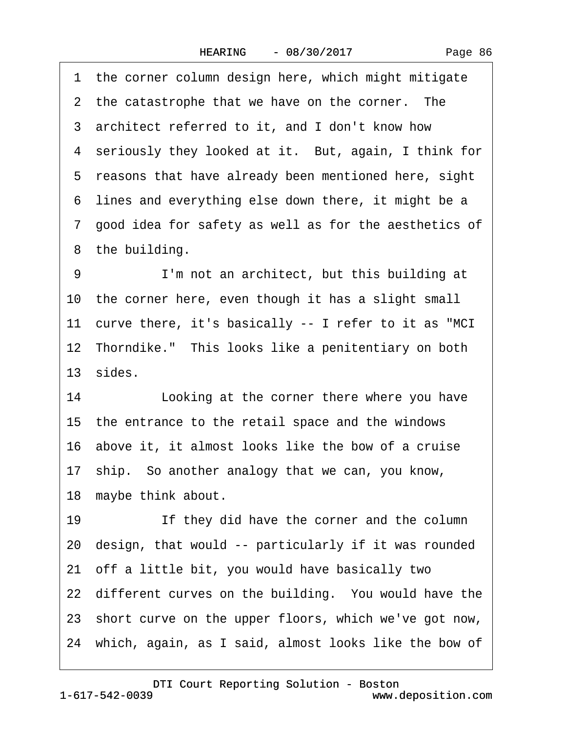<span id="page-85-0"></span>1 the corner column design here, which might mitigate 2 the catastrophe that we have on the corner. The 3 architect referred to it, and I don't know how 4 seriously they looked at it. But, again, I think for 5 reasons that have already been mentioned here, sight ·6· lines and everything else down there, it might be a ·7· good idea for safety as well as for the aesthetics of 8 the building. 9 I'm not an architect, but this building at 10 the corner here, even though it has a slight small 11 curve there, it's basically -- I refer to it as "MCI 12 Thorndike." This looks like a penitentiary on both 13 sides. 14 **· · Looking at the corner there where you have** 15· the entrance to the retail space and the windows 16· above it, it almost looks like the bow of a cruise 17· ship.· So another analogy that we can, you know, 18 maybe think about. 19 **If they did have the corner and the column** 20 design, that would -- particularly if it was rounded 21· off a little bit, you would have basically two 22 different curves on the building. You would have the 23 short curve on the upper floors, which we've got now, 24· which, again, as I said, almost looks like the bow of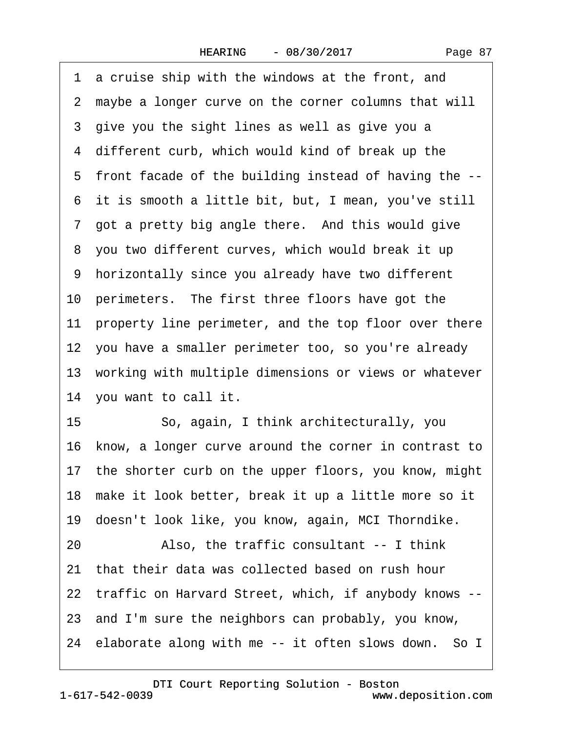Page 87

<span id="page-86-0"></span>1 a cruise ship with the windows at the front, and 2 maybe a longer curve on the corner columns that will 3 give you the sight lines as well as give you a 4 different curb, which would kind of break up the ·5· front facade of the building instead of having the -- 6 it is smooth a little bit, but, I mean, you've still 7 got a pretty big angle there. And this would give 8 you two different curves, which would break it up ·9· horizontally since you already have two different 10 perimeters. The first three floors have got the 11 property line perimeter, and the top floor over there 12 you have a smaller perimeter too, so you're already 13 working with multiple dimensions or views or whatever 14 you want to call it. 15· · · · · ·So, again, I think architecturally, you 16 know, a longer curve around the corner in contrast to 17 the shorter curb on the upper floors, you know, might 18· make it look better, break it up a little more so it 19· doesn't look like, you know, again, MCI Thorndike. 20 Also, the traffic consultant -- I think 21· that their data was collected based on rush hour 22 traffic on Harvard Street, which, if anybody knows --23· and I'm sure the neighbors can probably, you know, 24 elaborate along with me -- it often slows down. So I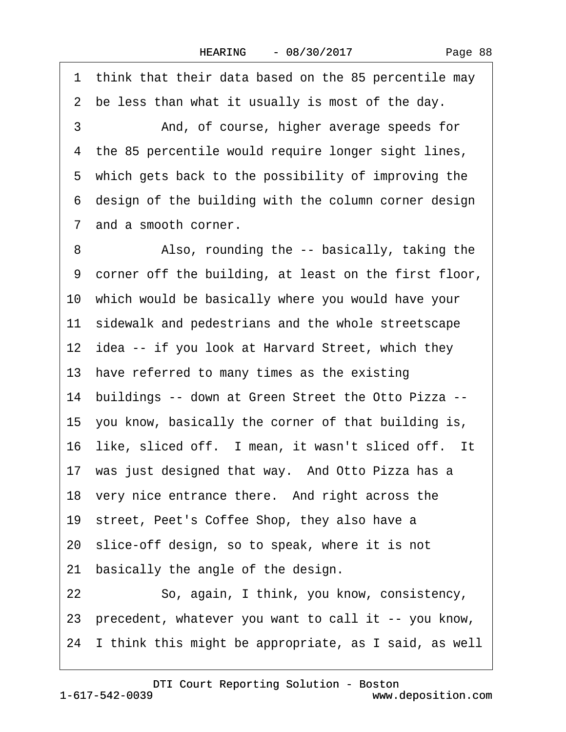Page 88

<span id="page-87-0"></span>·1· think that their data based on the 85 percentile may 2 be less than what it usually is most of the day. 3 And, of course, higher average speeds for 4 the 85 percentile would require longer sight lines, 5 which gets back to the possibility of improving the 6 design of the building with the column corner design 7 and a smooth corner. 8 • • Also, rounding the -- basically, taking the ·9· corner off the building, at least on the first floor, 10· which would be basically where you would have your 11 sidewalk and pedestrians and the whole streetscape 12 idea -- if you look at Harvard Street, which they 13 have referred to many times as the existing 14 buildings -- down at Green Street the Otto Pizza --15· you know, basically the corner of that building is, 16 like, sliced off. I mean, it wasn't sliced off. It 17 was just designed that way. And Otto Pizza has a 18 very nice entrance there. And right across the 19 street, Peet's Coffee Shop, they also have a 20· slice-off design, so to speak, where it is not 21 basically the angle of the design. 22 So, again, I think, you know, consistency, 23· precedent, whatever you want to call it -- you know, 24 I think this might be appropriate, as I said, as well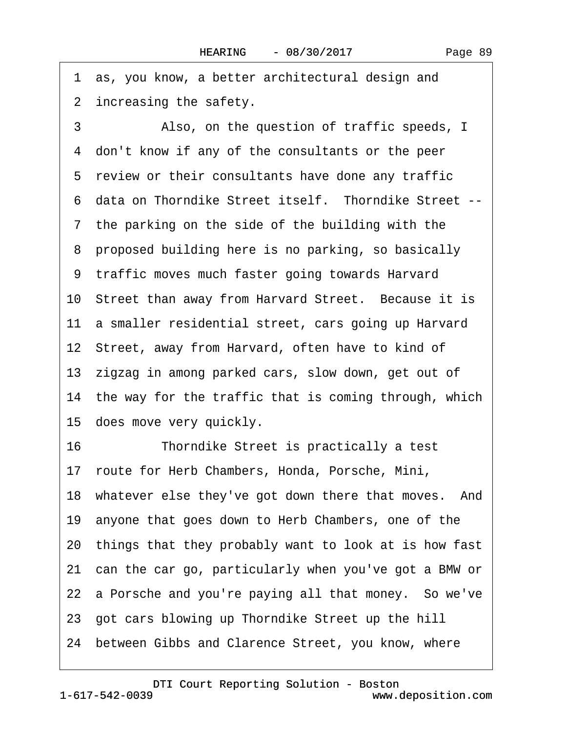<span id="page-88-0"></span>·1· as, you know, a better architectural design and 2 increasing the safety.

3 Also, on the question of traffic speeds, I ·4· don't know if any of the consultants or the peer 5 review or their consultants have done any traffic 6 data on Thorndike Street itself. Thorndike Street --7 the parking on the side of the building with the ·8· proposed building here is no parking, so basically ·9· traffic moves much faster going towards Harvard 10 Street than away from Harvard Street. Because it is 11 a smaller residential street, cars going up Harvard 12 Street, away from Harvard, often have to kind of 13 zigzag in among parked cars, slow down, get out of 14 the way for the traffic that is coming through, which 15 does move very quickly. 16· · · · · ·Thorndike Street is practically a test 17· route for Herb Chambers, Honda, Porsche, Mini, 18 whatever else they've got down there that moves. And 19· anyone that goes down to Herb Chambers, one of the 20· things that they probably want to look at is how fast 21 can the car go, particularly when you've got a BMW or 22 a Porsche and you're paying all that money. So we've 23· got cars blowing up Thorndike Street up the hill 24 between Gibbs and Clarence Street, you know, where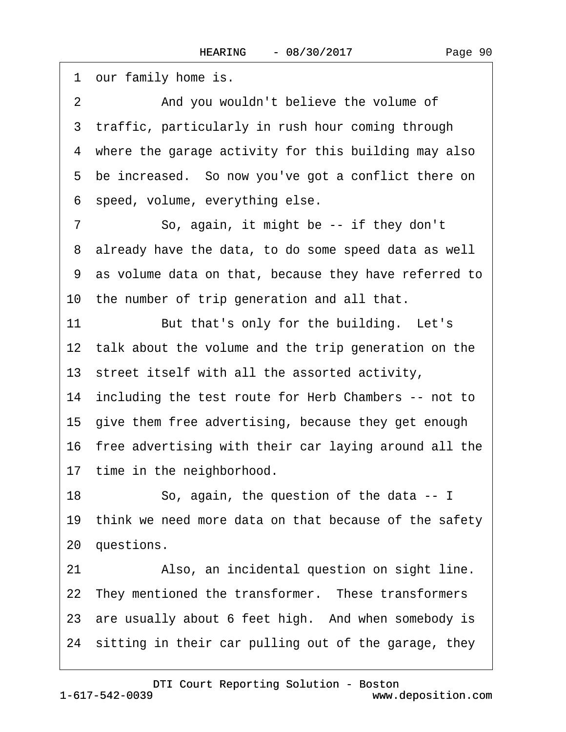<span id="page-89-0"></span>1 our family home is.

2 And you wouldn't believe the volume of 3 traffic, particularly in rush hour coming through 4 where the garage activity for this building may also 5 be increased. So now you've got a conflict there on ·6· speed, volume, everything else.

7 So, again, it might be -- if they don't ·8· already have the data, to do some speed data as well ·9· as volume data on that, because they have referred to

10 the number of trip generation and all that.

11 But that's only for the building. Let's

12 talk about the volume and the trip generation on the

13 street itself with all the assorted activity,

14 including the test route for Herb Chambers -- not to

15· give them free advertising, because they get enough

16· free advertising with their car laying around all the

17 time in the neighborhood.

18 So, again, the question of the data -- I

19 think we need more data on that because of the safety

20 questions.

21 Also, an incidental question on sight line.

22 They mentioned the transformer. These transformers

23 are usually about 6 feet high. And when somebody is

24 sitting in their car pulling out of the garage, they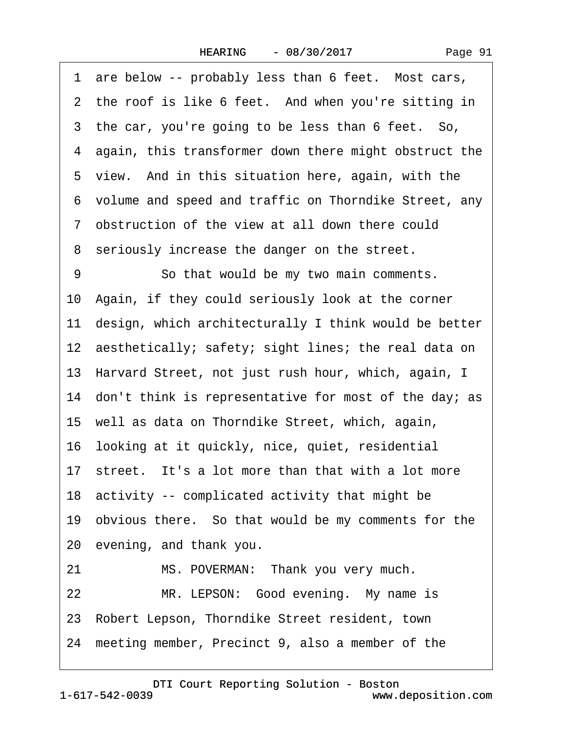|  | Page 91 |  |
|--|---------|--|
|--|---------|--|

<span id="page-90-0"></span>

|    | 1 are below -- probably less than 6 feet. Most cars,     |
|----|----------------------------------------------------------|
|    | 2 the roof is like 6 feet. And when you're sitting in    |
|    | 3 the car, you're going to be less than 6 feet. So,      |
|    | 4 again, this transformer down there might obstruct the  |
|    | 5 view. And in this situation here, again, with the      |
|    | 6 volume and speed and traffic on Thorndike Street, any  |
|    | 7 obstruction of the view at all down there could        |
|    | 8 seriously increase the danger on the street.           |
| 9  | So that would be my two main comments.                   |
|    | 10 Again, if they could seriously look at the corner     |
|    | 11 design, which architecturally I think would be better |
|    | 12 aesthetically; safety; sight lines; the real data on  |
|    | 13 Harvard Street, not just rush hour, which, again, I   |
|    | 14 don't think is representative for most of the day; as |
|    | 15 well as data on Thorndike Street, which, again,       |
|    | 16 looking at it quickly, nice, quiet, residential       |
|    | 17 street. It's a lot more than that with a lot more     |
|    | 18 activity -- complicated activity that might be        |
|    | 19 obvious there. So that would be my comments for the   |
|    | 20 evening, and thank you.                               |
| 21 | MS. POVERMAN: Thank you very much.                       |
| 22 | MR. LEPSON: Good evening. My name is                     |
|    | 23 Robert Lepson, Thorndike Street resident, town        |
|    | 24 meeting member, Precinct 9, also a member of the      |
|    |                                                          |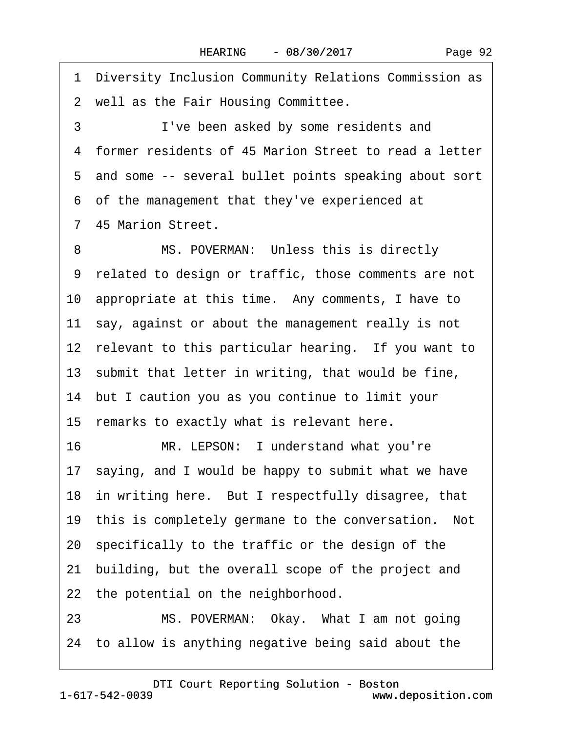Page 92

<span id="page-91-0"></span>·1· Diversity Inclusion Community Relations Commission as 2 well as the Fair Housing Committee. 3 I've been asked by some residents and ·4· former residents of 45 Marion Street to read a letter ·5· and some -- several bullet points speaking about sort ·6· of the management that they've experienced at ·7· 45 Marion Street. 8 MS. POVERMAN: Unless this is directly ·9· related to design or traffic, those comments are not 10· appropriate at this time.· Any comments, I have to 11 say, against or about the management really is not 12 relevant to this particular hearing. If you want to 13 submit that letter in writing, that would be fine, 14· but I caution you as you continue to limit your 15 remarks to exactly what is relevant here. 16 MR. LEPSON: I understand what you're 17 saying, and I would be happy to submit what we have 18 in writing here. But I respectfully disagree, that 19 this is completely germane to the conversation. Not 20· specifically to the traffic or the design of the 21 building, but the overall scope of the project and 22 the potential on the neighborhood. 23 MS. POVERMAN: Okay. What I am not going 24· to allow is anything negative being said about the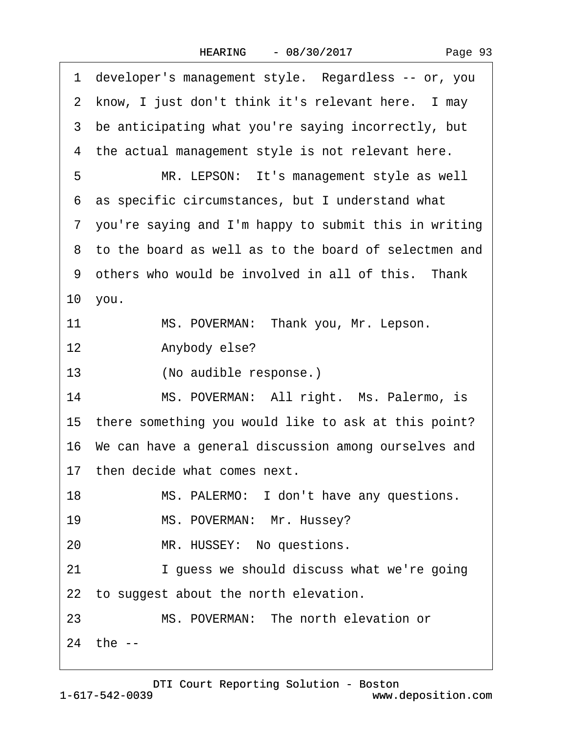| Page 93 |
|---------|
|---------|

<span id="page-92-0"></span>

|    | 1 developer's management style. Regardless -- or, you   |
|----|---------------------------------------------------------|
|    | 2 know, I just don't think it's relevant here. I may    |
|    | 3 be anticipating what you're saying incorrectly, but   |
|    | 4 the actual management style is not relevant here.     |
| 5  | MR. LEPSON: It's management style as well               |
|    | 6 as specific circumstances, but I understand what      |
|    | 7 you're saying and I'm happy to submit this in writing |
|    | 8 to the board as well as to the board of selectmen and |
|    | 9 others who would be involved in all of this. Thank    |
|    | 10 you.                                                 |
| 11 | MS. POVERMAN: Thank you, Mr. Lepson.                    |
| 12 | Anybody else?                                           |
| 13 | (No audible response.)                                  |
| 14 | MS. POVERMAN: All right. Ms. Palermo, is                |
|    | 15 there something you would like to ask at this point? |
|    | 16 We can have a general discussion among ourselves and |
|    | 17 then decide what comes next.                         |
| 18 | MS. PALERMO: I don't have any questions.                |
| 19 | MS. POVERMAN: Mr. Hussey?                               |
| 20 | MR. HUSSEY: No questions.                               |
| 21 | I guess we should discuss what we're going              |
|    | 22 to suggest about the north elevation.                |
| 23 | MS. POVERMAN: The north elevation or                    |
|    | 24 the --                                               |
|    |                                                         |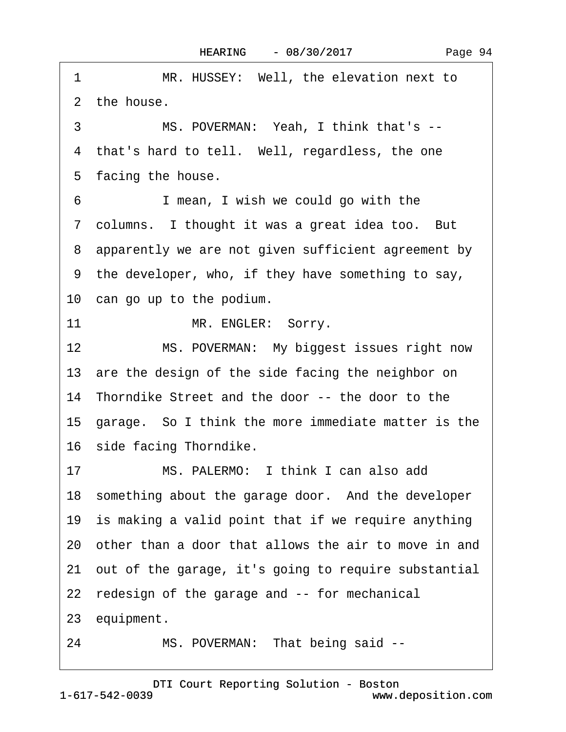<span id="page-93-0"></span>

| MR. HUSSEY: Well, the elevation next to<br>1                 |
|--------------------------------------------------------------|
| 2 the house.                                                 |
| 3<br>MS. POVERMAN: Yeah, I think that's --                   |
| 4 that's hard to tell. Well, regardless, the one             |
| 5 facing the house.                                          |
| I mean, I wish we could go with the<br>6                     |
| 7 columns. I thought it was a great idea too. But            |
| 8 apparently we are not given sufficient agreement by        |
| 9 the developer, who, if they have something to say,         |
| 10 can go up to the podium.                                  |
| 11<br>MR. ENGLER: Sorry.                                     |
| MS. POVERMAN: My biggest issues right now<br>12 <sup>°</sup> |
| 13 are the design of the side facing the neighbor on         |
| 14 Thorndike Street and the door -- the door to the          |
| 15 garage. So I think the more immediate matter is the       |
| 16 side facing Thorndike.                                    |
| MS. PALERMO: I think I can also add<br>17                    |
| 18 something about the garage door. And the developer        |
| 19 is making a valid point that if we require anything       |
| 20 other than a door that allows the air to move in and      |
| 21 out of the garage, it's going to require substantial      |
| 22 redesign of the garage and -- for mechanical              |
| 23 equipment.                                                |
| MS. POVERMAN: That being said --<br>24                       |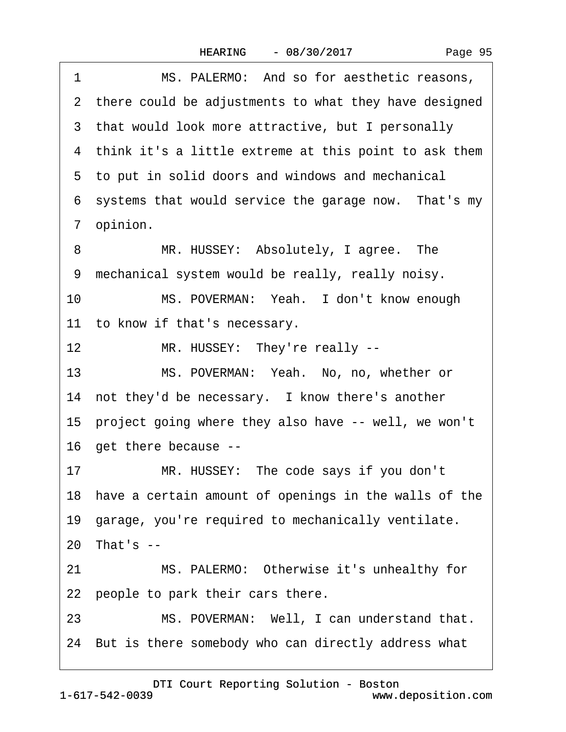| Page 95 |  |
|---------|--|
|         |  |

<span id="page-94-0"></span>

| 1  | MS. PALERMO: And so for aesthetic reasons,               |
|----|----------------------------------------------------------|
|    | 2 there could be adjustments to what they have designed  |
|    | 3 that would look more attractive, but I personally      |
|    | 4 think it's a little extreme at this point to ask them  |
|    | 5 to put in solid doors and windows and mechanical       |
|    | 6 systems that would service the garage now. That's my   |
|    | 7 opinion.                                               |
| 8  | MR. HUSSEY: Absolutely, I agree. The                     |
|    | 9 mechanical system would be really, really noisy.       |
| 10 | MS. POVERMAN: Yeah. I don't know enough                  |
|    | 11 to know if that's necessary.                          |
| 12 | MR. HUSSEY: They're really --                            |
| 13 | MS. POVERMAN: Yeah. No, no, whether or                   |
|    | 14 not they'd be necessary. I know there's another       |
|    | 15 project going where they also have -- well, we won't  |
|    | 16 get there because --                                  |
| 17 | MR. HUSSEY: The code says if you don't                   |
|    | 18 have a certain amount of openings in the walls of the |
|    | 19 garage, you're required to mechanically ventilate.    |
|    | 20 That's --                                             |
| 21 | MS. PALERMO: Otherwise it's unhealthy for                |
|    | 22 people to park their cars there.                      |
| 23 | MS. POVERMAN: Well, I can understand that.               |
|    | 24 But is there somebody who can directly address what   |
|    |                                                          |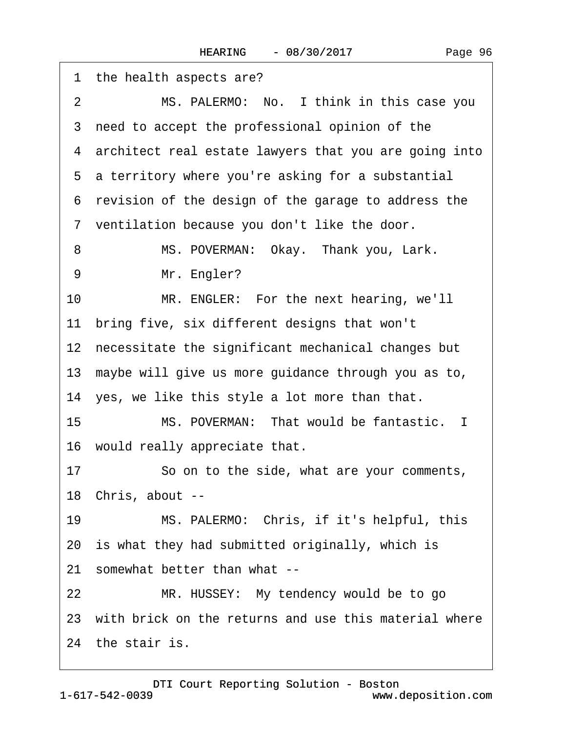<span id="page-95-0"></span>

| 1 the health aspects are?                                   |
|-------------------------------------------------------------|
| MS. PALERMO: No. I think in this case you<br>$\overline{2}$ |
| 3 need to accept the professional opinion of the            |
| 4 architect real estate lawyers that you are going into     |
| 5 a territory where you're asking for a substantial         |
| 6 revision of the design of the garage to address the       |
| 7 ventilation because you don't like the door.              |
| MS. POVERMAN: Okay. Thank you, Lark.<br>8                   |
| 9<br>Mr. Engler?                                            |
| 10<br>MR. ENGLER: For the next hearing, we'll               |
| 11 bring five, six different designs that won't             |
| 12 necessitate the significant mechanical changes but       |
| 13 maybe will give us more guidance through you as to,      |
| 14 yes, we like this style a lot more than that.            |
| 15<br>MS. POVERMAN: That would be fantastic. I              |
| 16 would really appreciate that.                            |
| So on to the side, what are your comments,<br>17            |
| 18 Chris, about --                                          |
| MS. PALERMO: Chris, if it's helpful, this<br>19             |
| 20 is what they had submitted originally, which is          |
| 21 somewhat better than what --                             |
| MR. HUSSEY: My tendency would be to go<br>22                |
| 23 with brick on the returns and use this material where    |
| 24 the stair is.                                            |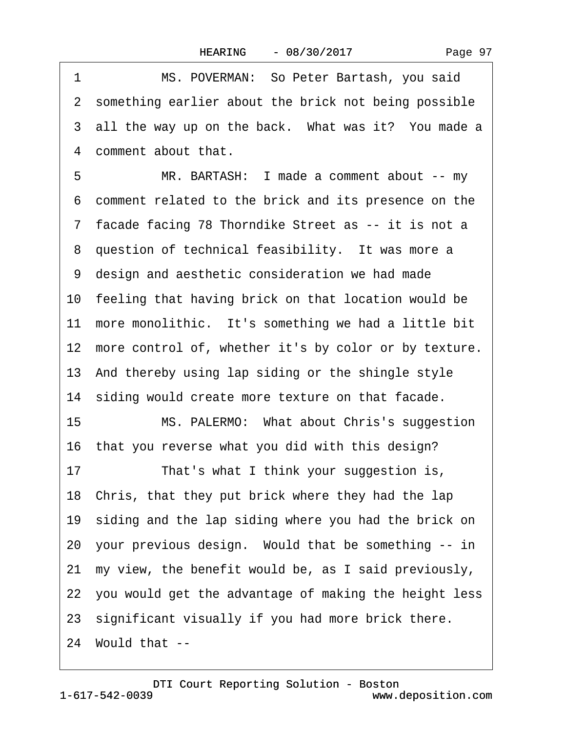<span id="page-96-0"></span>

| 1  | MS. POVERMAN: So Peter Bartash, you said                 |
|----|----------------------------------------------------------|
|    | 2 something earlier about the brick not being possible   |
|    | 3 all the way up on the back. What was it? You made a    |
|    | 4 comment about that.                                    |
| 5  | MR. BARTASH: I made a comment about -- my                |
|    | 6 comment related to the brick and its presence on the   |
|    | 7 facade facing 78 Thorndike Street as -- it is not a    |
|    | 8 question of technical feasibility. It was more a       |
|    | 9 design and aesthetic consideration we had made         |
|    | 10 feeling that having brick on that location would be   |
|    | 11 more monolithic. It's something we had a little bit   |
|    | 12 more control of, whether it's by color or by texture. |
|    | 13 And thereby using lap siding or the shingle style     |
|    | 14 siding would create more texture on that facade.      |
| 15 | MS. PALERMO: What about Chris's suggestion               |
|    | 16 that you reverse what you did with this design?       |
| 17 | That's what I think your suggestion is,                  |
|    | 18 Chris, that they put brick where they had the lap     |
|    | 19 siding and the lap siding where you had the brick on  |
|    | 20 your previous design. Would that be something -- in   |
|    | 21 my view, the benefit would be, as I said previously,  |
|    | 22 you would get the advantage of making the height less |
|    | 23 significant visually if you had more brick there.     |
|    | 24 Would that --                                         |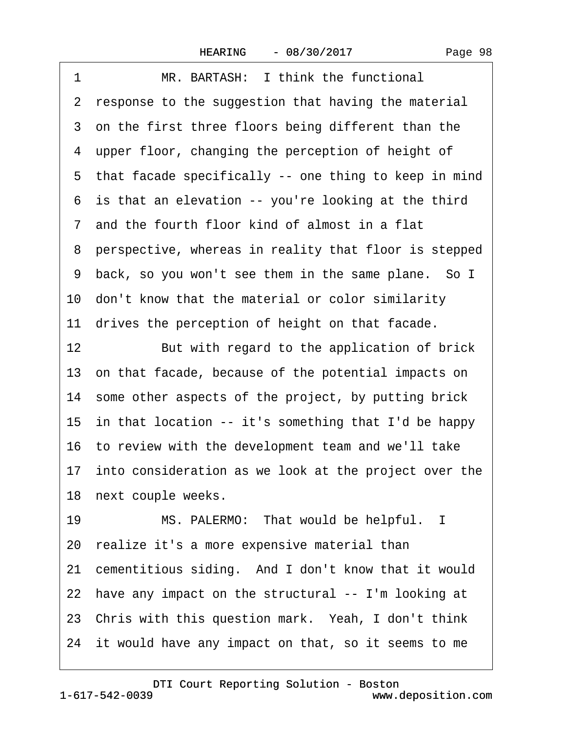| Page 98 |
|---------|
|---------|

<span id="page-97-0"></span>

| 1            | MR. BARTASH: I think the functional                      |
|--------------|----------------------------------------------------------|
| $\mathbf{2}$ | response to the suggestion that having the material      |
|              | 3 on the first three floors being different than the     |
| 4            | upper floor, changing the perception of height of        |
|              | 5 that facade specifically -- one thing to keep in mind  |
|              | 6 is that an elevation -- you're looking at the third    |
|              | 7 and the fourth floor kind of almost in a flat          |
|              | 8 perspective, whereas in reality that floor is stepped  |
| 9            | back, so you won't see them in the same plane. So I      |
|              | 10 don't know that the material or color similarity      |
|              | 11 drives the perception of height on that facade.       |
| 12           | But with regard to the application of brick              |
|              | 13 on that facade, because of the potential impacts on   |
|              | 14 some other aspects of the project, by putting brick   |
|              | 15 in that location -- it's something that I'd be happy  |
|              | 16 to review with the development team and we'll take    |
|              | 17 into consideration as we look at the project over the |
|              | 18 next couple weeks.                                    |
| 19           | MS. PALERMO: That would be helpful. I                    |
|              | 20 realize it's a more expensive material than           |
|              | 21 cementitious siding. And I don't know that it would   |
|              | 22 have any impact on the structural -- I'm looking at   |
|              | 23 Chris with this question mark. Yeah, I don't think    |
|              | 24 it would have any impact on that, so it seems to me   |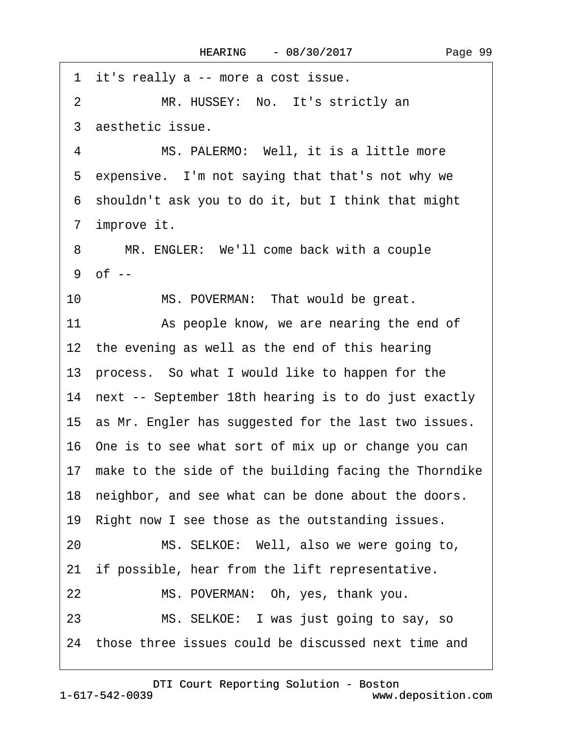<span id="page-98-0"></span>1 it's really a -- more a cost issue. 2 MR. HUSSEY: No. It's strictly an ·3· aesthetic issue. 4 MS. PALERMO: Well, it is a little more 5 expensive. I'm not saying that that's not why we ·6· shouldn't ask you to do it, but I think that might 7 improve it. 8 MR. ENGLER: We'll come back with a couple  $9$  of  $-$ 10 MS. POVERMAN: That would be great. 11 As people know, we are nearing the end of 12 the evening as well as the end of this hearing 13· process.· So what I would like to happen for the 14 next -- September 18th hearing is to do just exactly 15 as Mr. Engler has suggested for the last two issues. 16· One is to see what sort of mix up or change you can 17 make to the side of the building facing the Thorndike 18 neighbor, and see what can be done about the doors. 19 Right now I see those as the outstanding issues. 20 MS. SELKOE: Well, also we were going to, 21 if possible, hear from the lift representative. 22 MS. POVERMAN: Oh, yes, thank you. 23 MS. SELKOE: I was just going to say, so 24 those three issues could be discussed next time and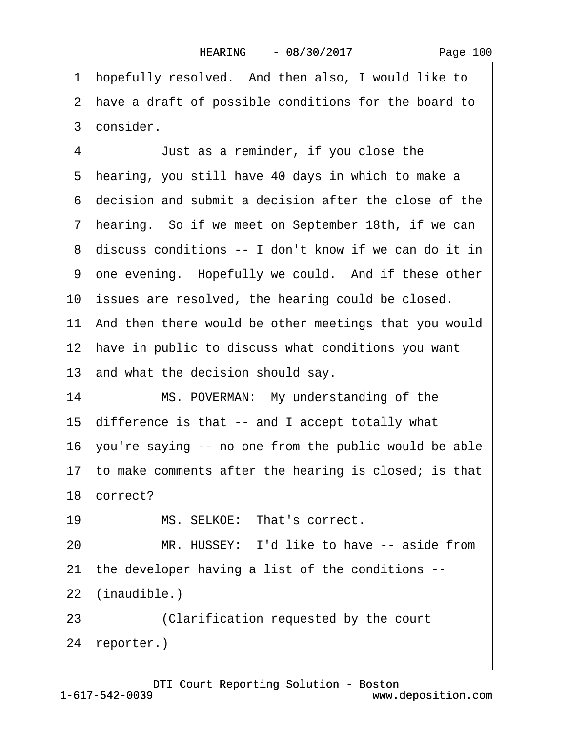<span id="page-99-0"></span>1 hopefully resolved. And then also, I would like to 2 have a draft of possible conditions for the board to 3 consider. 4 **Just as a reminder, if you close the** 5 hearing, you still have 40 days in which to make a ·6· decision and submit a decision after the close of the 7 hearing. So if we meet on September 18th, if we can ·8· discuss conditions -- I don't know if we can do it in 9 one evening. Hopefully we could. And if these other 10 issues are resolved, the hearing could be closed. 11 And then there would be other meetings that you would 12 have in public to discuss what conditions you want 13 and what the decision should say. 14 MS. POVERMAN: My understanding of the 15 difference is that -- and I accept totally what 16· you're saying -- no one from the public would be able 17· to make comments after the hearing is closed; is that 18 correct? 19 MS. SELKOE: That's correct. 20 MR. HUSSEY: I'd like to have -- aside from 21· the developer having a list of the conditions -- 22 (inaudible.) 23 **Clarification requested by the court** 

24 reporter.)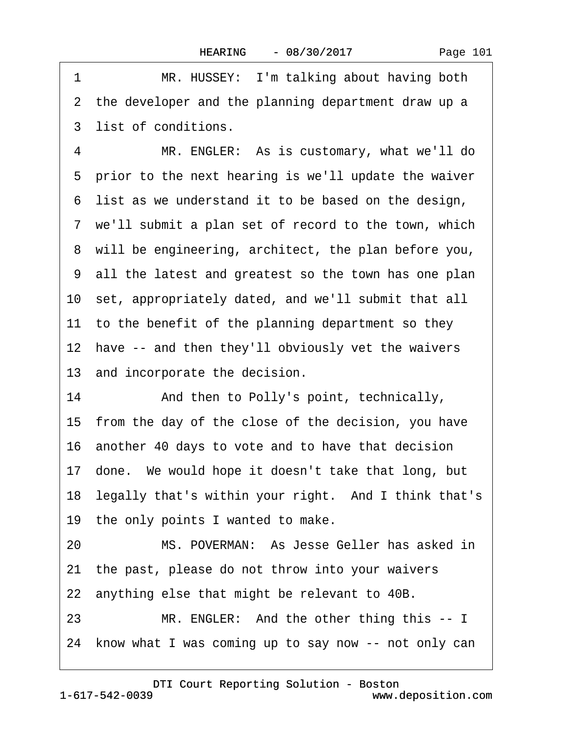<span id="page-100-0"></span>1 MR. HUSSEY: I'm talking about having both 2 the developer and the planning department draw up a 3 list of conditions.

4 MR. ENGLER: As is customary, what we'll do 5 prior to the next hearing is we'll update the waiver ·6· list as we understand it to be based on the design, ·7· we'll submit a plan set of record to the town, which ·8· will be engineering, architect, the plan before you, ·9· all the latest and greatest so the town has one plan 10 set, appropriately dated, and we'll submit that all 11 to the benefit of the planning department so they 12 have -- and then they'll obviously vet the waivers 13 and incorporate the decision. 14 • And then to Polly's point, technically, 15 from the day of the close of the decision, you have 16· another 40 days to vote and to have that decision 17 done. We would hope it doesn't take that long, but 18 legally that's within your right. And I think that's 19 the only points I wanted to make. 20 MS. POVERMAN: As Jesse Geller has asked in

21· the past, please do not throw into your waivers 22 anything else that might be relevant to 40B.

23 MR. ENGLER: And the other thing this -- I

24 know what I was coming up to say now -- not only can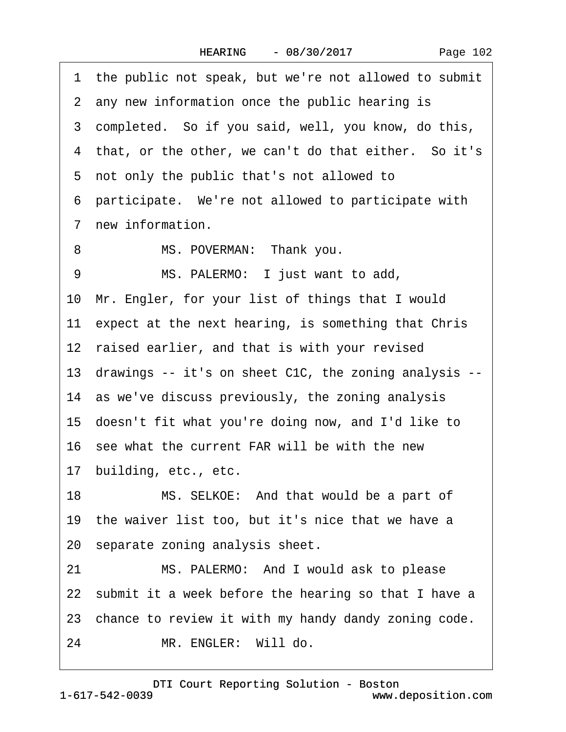<span id="page-101-0"></span>1 the public not speak, but we're not allowed to submit 2 any new information once the public hearing is 3 completed. So if you said, well, you know, do this, 4 that, or the other, we can't do that either. So it's 5 not only the public that's not allowed to ·6· participate.· We're not allowed to participate with 7 new information. 8 MS. POVERMAN: Thank you. 9 MS. PALERMO: I just want to add, 10 Mr. Engler, for your list of things that I would 11 expect at the next hearing, is something that Chris 12 raised earlier, and that is with your revised 13· drawings -- it's on sheet C1C, the zoning analysis -- 14 as we've discuss previously, the zoning analysis 15· doesn't fit what you're doing now, and I'd like to 16 see what the current FAR will be with the new 17 building, etc., etc. 18 MS. SELKOE: And that would be a part of 19 the waiver list too, but it's nice that we have a 20 separate zoning analysis sheet. 21 MS. PALERMO: And I would ask to please 22 submit it a week before the hearing so that I have a 23 chance to review it with my handy dandy zoning code. 24 MR. ENGLER: Will do.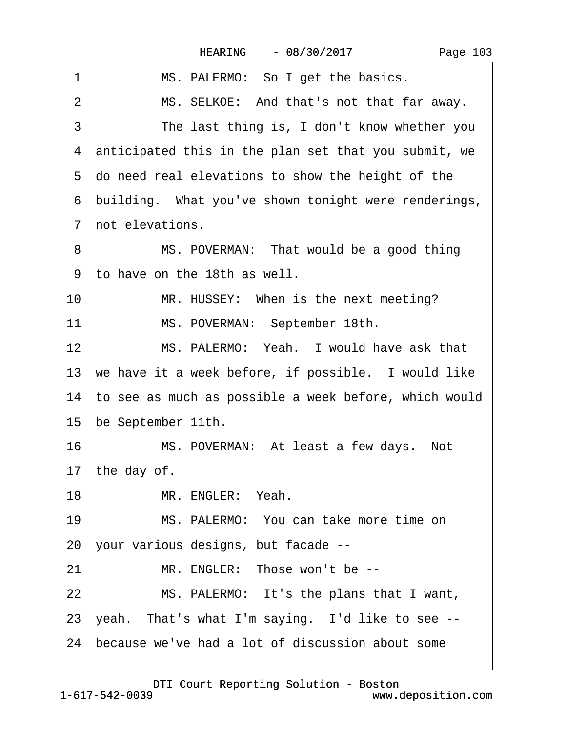|  | Page 103 |  |
|--|----------|--|
|--|----------|--|

<span id="page-102-0"></span>

| 1  | MS. PALERMO: So I get the basics.                        |
|----|----------------------------------------------------------|
| 2  | MS. SELKOE: And that's not that far away.                |
| 3  | The last thing is, I don't know whether you              |
|    | 4 anticipated this in the plan set that you submit, we   |
|    | 5 do need real elevations to show the height of the      |
|    | 6 building. What you've shown tonight were renderings,   |
|    | 7 not elevations.                                        |
| 8  | MS. POVERMAN: That would be a good thing                 |
|    | 9 to have on the 18th as well.                           |
| 10 | MR. HUSSEY: When is the next meeting?                    |
| 11 | MS. POVERMAN: September 18th.                            |
| 12 | MS. PALERMO: Yeah. I would have ask that                 |
|    | 13 we have it a week before, if possible. I would like   |
|    | 14 to see as much as possible a week before, which would |
|    | 15 be September 11th.                                    |
| 16 | MS. POVERMAN: At least a few days. Not                   |
|    | 17 the day of.                                           |
| 18 | MR. ENGLER: Yeah.                                        |
| 19 | MS. PALERMO: You can take more time on                   |
|    | 20 your various designs, but facade --                   |
| 21 | MR. ENGLER: Those won't be --                            |
| 22 | MS. PALERMO: It's the plans that I want,                 |
|    | 23 yeah. That's what I'm saying. I'd like to see --      |
|    | 24 because we've had a lot of discussion about some      |
|    |                                                          |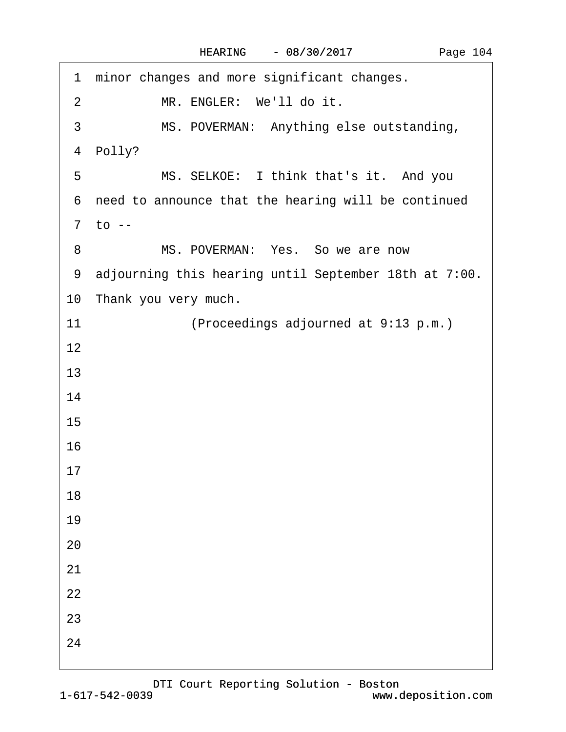|  | Page 104 |  |
|--|----------|--|
|--|----------|--|

<span id="page-103-0"></span>

|                | 1 minor changes and more significant changes.           |  |  |  |  |
|----------------|---------------------------------------------------------|--|--|--|--|
| $\overline{2}$ | MR. ENGLER: We'll do it.                                |  |  |  |  |
| 3              | MS. POVERMAN: Anything else outstanding,                |  |  |  |  |
|                | 4 Polly?                                                |  |  |  |  |
| 5              | MS. SELKOE: I think that's it. And you                  |  |  |  |  |
|                | 6 need to announce that the hearing will be continued   |  |  |  |  |
|                | $7$ to $-$                                              |  |  |  |  |
| 8              | MS. POVERMAN: Yes. So we are now                        |  |  |  |  |
|                | 9 adjourning this hearing until September 18th at 7:00. |  |  |  |  |
|                | 10 Thank you very much.                                 |  |  |  |  |
| 11             | (Proceedings adjourned at 9:13 p.m.)                    |  |  |  |  |
| 12             |                                                         |  |  |  |  |
| 13             |                                                         |  |  |  |  |
| 14             |                                                         |  |  |  |  |
| 15             |                                                         |  |  |  |  |
| 16             |                                                         |  |  |  |  |
| 17             |                                                         |  |  |  |  |
| 18             |                                                         |  |  |  |  |
| 19             |                                                         |  |  |  |  |
| 20             |                                                         |  |  |  |  |
| 21             |                                                         |  |  |  |  |
| 22             |                                                         |  |  |  |  |
| 23             |                                                         |  |  |  |  |
| 24             |                                                         |  |  |  |  |
|                |                                                         |  |  |  |  |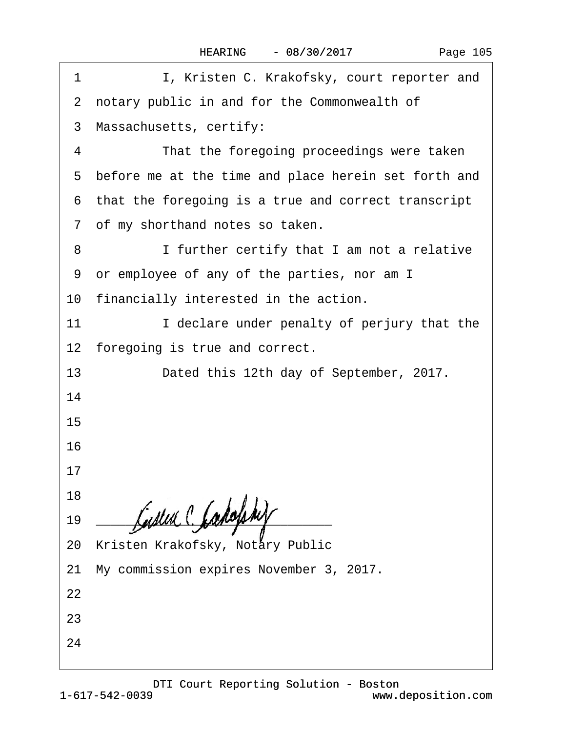| 1  | I, Kristen C. Krakofsky, court reporter and            |
|----|--------------------------------------------------------|
|    | 2 notary public in and for the Commonwealth of         |
|    | 3 Massachusetts, certify:                              |
| 4  | That the foregoing proceedings were taken              |
|    | 5 before me at the time and place herein set forth and |
|    | 6 that the foregoing is a true and correct transcript  |
|    | 7 of my shorthand notes so taken.                      |
| 8  | I further certify that I am not a relative             |
|    | 9 or employee of any of the parties, nor am I          |
|    | 10 financially interested in the action.               |
| 11 | I declare under penalty of perjury that the            |
|    | 12 foregoing is true and correct.                      |
| 13 | Dated this 12th day of September, 2017.                |
| 14 |                                                        |
| 15 |                                                        |
| 16 |                                                        |
| 17 |                                                        |
| 18 |                                                        |
| 19 |                                                        |
|    | 20 Kristen Krakofsky, Notary Public                    |
|    | 21 My commission expires November 3, 2017.             |
| 22 |                                                        |
| 23 |                                                        |
| 24 |                                                        |
|    |                                                        |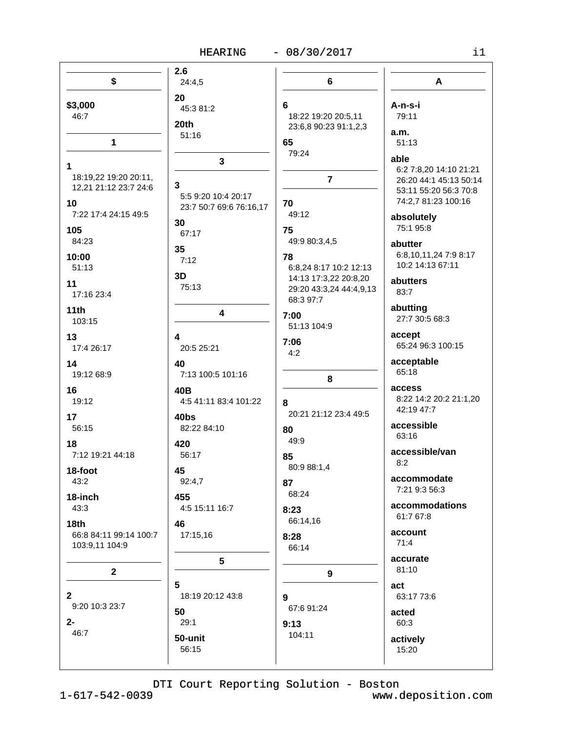# HEARING

## $-08/30/2017$

|                                | 2.6                     |                         |                                                  |
|--------------------------------|-------------------------|-------------------------|--------------------------------------------------|
| \$                             | 24:4,5                  | 6                       | A                                                |
| \$3,000                        | 20                      | 6                       | A-n-s-i                                          |
| 46:7                           | 45:3 81:2               | 18:22 19:20 20:5,11     | 79:11                                            |
|                                | 20th                    | 23:6,8 90:23 91:1,2,3   |                                                  |
| 1                              | 51:16                   | 65                      | a.m.<br>51:13                                    |
|                                |                         | 79:24                   |                                                  |
| 1                              | 3                       |                         | able                                             |
| 18:19,22 19:20 20:11,          |                         | $\overline{7}$          | 6:2 7:8,20 14:10 21:21<br>26:20 44:1 45:13 50:14 |
| 12,21 21:12 23:7 24:6          | 3                       |                         | 53:11 55:20 56:3 70:8                            |
| 10                             | 5:5 9:20 10:4 20:17     | 70                      | 74:2,7 81:23 100:16                              |
| 7:22 17:4 24:15 49:5           | 23:7 50:7 69:6 76:16,17 | 49:12                   | absolutely                                       |
| 105                            | 30                      | 75                      | 75:1 95:8                                        |
| 84:23                          | 67:17                   | 49:9 80:3,4,5           | abutter                                          |
|                                | 35                      | 78                      | 6:8,10,11,24 7:9 8:17                            |
| 10:00<br>51:13                 | 7:12                    | 6:8,24 8:17 10:2 12:13  | 10:2 14:13 67:11                                 |
|                                | 3D                      | 14:13 17:3,22 20:8,20   | abutters                                         |
| 11<br>17:16 23:4               | 75:13                   | 29:20 43:3,24 44:4,9,13 | 83:7                                             |
|                                |                         | 68:3 97:7               |                                                  |
| 11th                           | 4                       | 7:00                    | abutting<br>27:7 30:5 68:3                       |
| 103:15                         |                         | 51:13 104:9             |                                                  |
| 13                             | 4                       | 7:06                    | accept                                           |
| 17:4 26:17                     | 20:5 25:21              | 4:2                     | 65:24 96:3 100:15                                |
| 14                             | 40                      |                         | acceptable                                       |
| 19:12 68:9                     | 7:13 100:5 101:16       | 8                       | 65:18                                            |
| 16                             | 40B                     |                         | access                                           |
| 19:12                          | 4:5 41:11 83:4 101:22   | 8                       | 8:22 14:2 20:2 21:1,20                           |
| 17                             | 40bs                    | 20:21 21:12 23:4 49:5   | 42:19 47:7                                       |
| 56:15                          | 82:22 84:10             | 80                      | accessible                                       |
| 18                             | 420                     | 49:9                    | 63:16                                            |
| 7:12 19:21 44:18               | 56:17                   | 85                      | accessible/van                                   |
| 18-foot                        | 45                      | 80:9 88:1,4             | 8:2                                              |
| 43:2                           | 92:4,7                  | 87                      | accommodate                                      |
|                                |                         | 68:24                   | 7:21 9:3 56:3                                    |
| 18-inch<br>43:3                | 455<br>4:5 15:11 16:7   |                         | accommodations                                   |
|                                |                         | 8:23<br>66:14,16        | 61:7 67:8                                        |
| 18th<br>66:8 84:11 99:14 100:7 | 46                      |                         | account                                          |
| 103:9,11 104:9                 | 17:15,16                | 8:28<br>66:14           | 71:4                                             |
|                                |                         |                         | accurate                                         |
| $\mathbf{2}$                   | 5                       | 9                       | 81:10                                            |
|                                | 5                       |                         |                                                  |
| $\mathbf{2}$                   | 18:19 20:12 43:8        | 9                       | act<br>63:17 73:6                                |
| 9:20 10:3 23:7                 |                         | 67:6 91:24              |                                                  |
| $2 -$                          | 50<br>29:1              |                         | acted<br>60:3                                    |
| 46:7                           |                         | 9:13<br>104:11          |                                                  |
|                                | 50-unit                 |                         | actively                                         |
|                                | 56:15                   |                         | 15:20                                            |

DTI Court Reporting Solution - Boston

www.deposition.com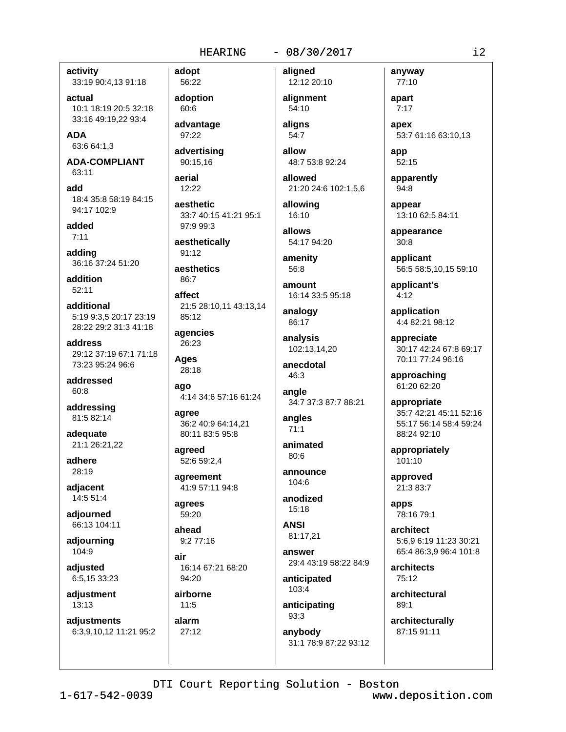#### **HEARING**

## $-08/30/2017$

aligned

activity 33:19 90:4,13 91:18

actual 10:1 18:19 20:5 32:18

33:16 49:19.22 93:4 **ADA** 

63:6 64:1,3

**ADA-COMPLIANT** 63:11

add 18:4 35:8 58:19 84:15 94:17 102:9

added  $7:11$ 

adding 36:16 37:24 51:20

addition  $52:11$ 

additional 5:19 9:3,5 20:17 23:19 28:22 29:2 31:3 41:18

address 29:12 37:19 67:1 71:18 73:23.95:24.96:6

addressed  $60:8$ 

addressing 81:5 82:14

adequate 21:1 26:21.22

adhere 28:19

adjacent 14:5 51:4

adjourned 66:13 104:11

adjourning 104:9

adjusted 6:5,15 33:23

adjustment  $13:13$ 

adjustments 6:3,9,10,12 11:21 95:2

56:22 adoption

adopt

 $60:6$ advantage

97:22

advertising 90:15,16

aerial 12:22

aesthetic 33:7 40:15 41:21 95:1 97:9 99:3

aesthetically 91:12

aesthetics  $86.7$ 

affect 21:5 28:10,11 43:13,14 85:12

agencies 26:23

Ages 28:18

ago 4:14 34:6 57:16 61:24

agree 36:2 40:9 64:14,21 80:11 83:5 95:8

agreed 52:6 59:2,4

agreement 41:9 57:11 94:8

agrees 59:20

ahead  $9:277:16$ 

air 16:14 67:21 68:20 94:20

airborne  $11:5$ 

alarm  $27:12$  alignment 54:10

12:12 20:10

alians 54:7 allow

48:7 53:8 92:24

allowed 21:20 24:6 102:1,5,6

allowing 16:10

allows 54:17 94:20

amenity 56:8

amount 16:14 33:5 95:18

analogy 86:17

analysis 102:13,14,20

anecdotal 46:3

angle 34:7 37:3 87:7 88:21

angles  $71:1$ 

animated  $80.6$ 

announce  $104 - 6$ 

anodized 15:18

**ANSI** 81:17,21

answer 29:4 43:19 58:22 84:9

anticipated 103:4

anticipating 93:3

anybody

31:1 78:9 87:22 93:12

anyway 77:10 apart  $7:17$ apex 53:7 61:16 63:10,13

app 52:15

apparently 94:8

appear 13:10 62:5 84:11

appearance  $30:8$ 

applicant 56:5 58:5,10,15 59:10

applicant's  $4:12$ 

application 4:4 82:21 98:12

appreciate 30:17 42:24 67:8 69:17 70:11 77:24 96:16

approaching 61:20 62:20

appropriate 35:7 42:21 45:11 52:16 55:17 56:14 58:4 59:24 88:24 92:10

appropriately 101:10

approved 21:3 83:7

apps 78:16 79:1

architect 5:6.9 6:19 11:23 30:21 65:4 86:3.9 96:4 101:8

architects 75:12

architectural 89:1

architecturally 87:15 91:11

DTI Court Reporting Solution - Boston

www.deposition.com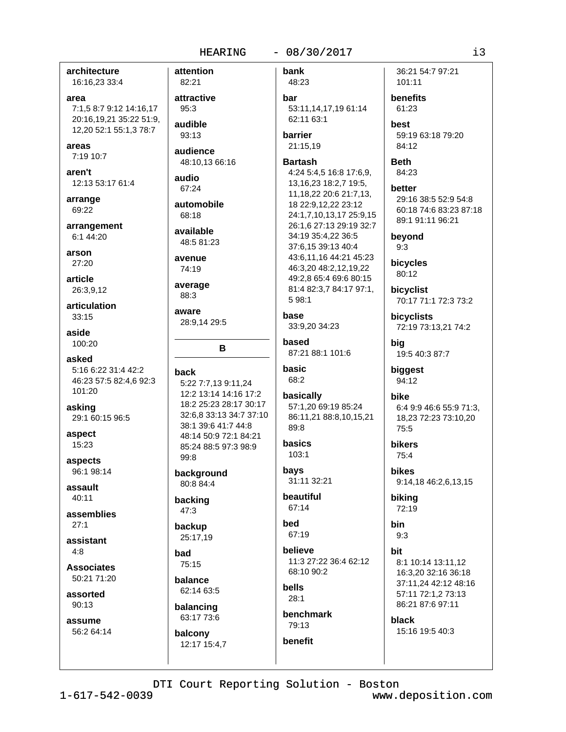#### **HEARING**

### $-08/30/2017$

architecture 16:16,23 33:4

area 7:1.5 8:7 9:12 14:16.17 20:16,19,21 35:22 51:9, 12,20 52:1 55:1,3 78:7

areas 7:19 10:7

aren't 12:13 53:17 61:4

arrange 69:22

arrangement 6:1 44:20

arson  $27:20$ 

article 26:3,9,12

articulation  $33:15$ 

aside 100:20

asked 5:16 6:22 31:4 42:2 46:23 57:5 82:4,6 92:3 101:20

asking 29:1 60:15 96:5

aspect 15:23

aspects 96:1 98:14

assault 40:11

assemblies  $27:1$ 

assistant  $4:8$ 

**Associates** 50:21 71:20

assorted  $90:13$ 

assume 56:2 64:14 attention 82:21 attractive  $95:3$ audible 93:13 audience 48:10,13 66:16 audio 67:24 automobile 68:18 available 48:5 81:23 avenue 74:19 average 88:3 aware 28:9.14 29:5 B back 5:22 7:7.13 9:11.24 12:2 13:14 14:16 17:2 18:2 25:23 28:17 30:17 32:6.8 33:13 34:7 37:10 38:1 39:6 41:7 44:8 48:14 50:9 72:1 84:21 85:24 88:5 97:3 98:9 99:8 background 80:8 84:4 backing  $47:3$ backup 25:17,19 bad 75:15 balance 62:14 63:5 balancing

63:17 73:6 balcony 12:17 15:4,7 bank 48:23

bar 53:11,14,17,19 61:14 62:11 63:1

**barrier** 21:15,19

**Bartash** 4:24 5:4,5 16:8 17:6,9, 13, 16, 23 18: 2, 7 19: 5, 11, 18, 22 20: 6 21: 7, 13, 18 22:9,12,22 23:12 24:1,7,10,13,17 25:9,15 26:1,6 27:13 29:19 32:7 34:19 35:4,22 36:5 37:6.15 39:13 40:4 43:6,11,16 44:21 45:23 46:3,20 48:2,12,19,22 49:2.8 65:4 69:6 80:15 81:4 82:3,7 84:17 97:1, 5 98:1

base 33:9,20 34:23

based 87:21 88:1 101:6

basic 68:2

## basically 57:1,20 69:19 85:24

86:11,21 88:8,10,15,21 89:8

basics 103:1

bavs 31:11 32:21

beautiful 67:14

bed 67:19

helieve 11:3 27:22 36:4 62:12 68:10 90:2

bells  $28:1$ 

benefit

benchmark 79:13

36:21 54:7 97:21 101:11

benefits 61:23 hest 59:19 63:18 79:20 84:12

**Beth** 84:23

better 29:16 38:5 52:9 54:8 60:18 74:6 83:23 87:18 89:1 91:11 96:21

beyond  $9:3$ 

bicycles  $80:12$ 

bicyclist 70:17 71:1 72:3 73:2

bicyclists 72:19 73:13,21 74:2

big 19:5 40:3 87:7

biggest 94:12

hike 6:4 9:9 46:6 55:9 71:3, 18,23 72:23 73:10,20 75:5

**bikers**  $75:4$ 

**bikes** 9:14,18 46:2,6,13,15

bikina 72:19

bin  $9:3$ 

bit 8:1 10:14 13:11.12 16:3,20 32:16 36:18 37:11.24 42:12 48:16 57:11 72:1.2 73:13

**black** 15:16 19:5 40:3

86:21 87:6 97:11

DTI Court Reporting Solution - Boston

 $1 - 617 - 542 - 0039$ 

www.deposition.com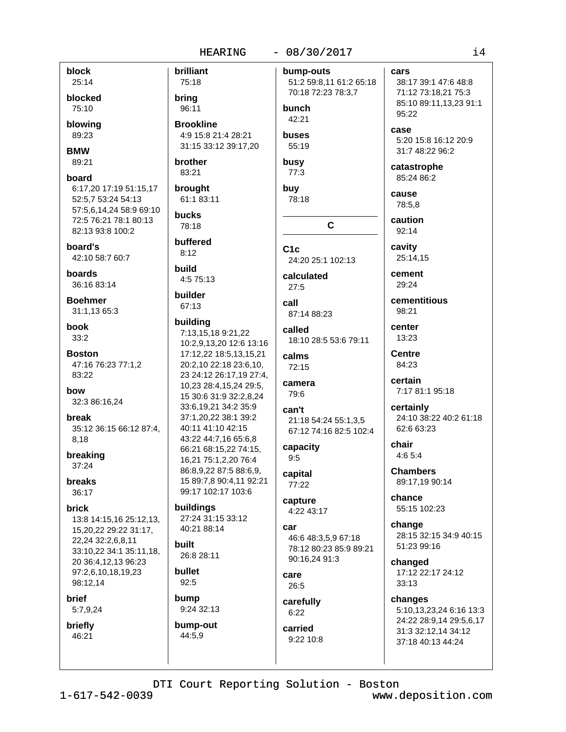#### $-08/30/2017$

block

25:14 blocked 75:10

blowing 89:23

**BMW** 89:21

board

6:17,20 17:19 51:15,17 52:5,7 53:24 54:13 57:5,6,14,24 58:9 69:10 72:5 76:21 78:1 80:13 82:13 93:8 100:2

board's 42:10 58:7 60:7

**boards** 36:16 83:14

**Boehmer** 31:1,13 65:3

**book**  $33:2$ 

**Boston** 47:16 76:23 77:1.2 83:22

how 32:3 86:16,24

hreak 35:12 36:15 66:12 87:4, 8.18

breaking  $37:24$ 

breaks 36:17

**brick** 13:8 14:15,16 25:12,13, 15,20,22 29:22 31:17, 22,24 32:2,6,8,11 33:10,22 34:1 35:11,18, 20 36:4,12,13 96:23 97:2,6,10,18,19,23 98:12,14

**brief** 

5:7,9,24

briefly 46:21

bring 96:11 **Brookline** 4:9 15:8 21:4 28:21 31:15 33:12 39:17,20 brother 83:21

brought 61:1 83:11

brilliant

75:18

bucks 78:18

buffered  $8:12$ 

build  $4:575:13$ 

builder 67:13

# buildina

7:13,15,18 9:21,22 10:2,9,13,20 12:6 13:16 17:12.22 18:5.13.15.21 20:2,10 22:18 23:6,10, 23 24:12 26:17,19 27:4, 10,23 28:4,15,24 29:5, 15 30:6 31:9 32:2,8,24 33:6,19,21 34:2 35:9 37:1,20,22 38:1 39:2 40:11 41:10 42:15 43:22 44:7,16 65:6,8 66:21 68:15,22 74:15, 16,21 75:1,2,20 76:4 86:8,9,22 87:5 88:6,9, 15 89:7.8 90:4.11 92:21 99:17 102:17 103:6

### buildings

27:24 31:15 33:12 40:21 88:14

#### built 26:8 28:11

bullet  $92:5$ 

bump

9:24 32:13 bump-out 44:5,9

bump-outs 51:2 59:8,11 61:2 65:18

70:18 72:23 78:3,7 bunch

42:21 buses 55:19

busy  $77:3$ 

buy 78:18

 $\mathbf{C}$ 

 $C1c$ 24:20 25:1 102:13

calculated  $27:5$ 

call 87:14 88:23

called 18:10 28:5 53:6 79:11

calms 72:15

camera 79:6

can't 21:18 54:24 55:1,3,5 67:12 74:16 82:5 102:4

capacity  $9:5$ 

capital  $77:22$ 

capture 4:22 43:17

car 46:6 48:3,5,9 67:18 78:12 80:23 85:9 89:21 90:16,24 91:3

care 26:5

carefully  $6:22$ carried 9:22 10:8 cars 38:17 39:1 47:6 48:8 71:12 73:18,21 75:3 85:10 89:11,13,23 91:1 95:22 case 5:20 15:8 16:12 20:9 31:7 48:22 96:2 catastrophe 85:24 86:2

cause 78:5,8

caution 92:14

> cavity 25:14,15

cement 29:24

cementitious 98:21

center  $13:23$ 

**Centre**  $84.23$ 

certain 7:17 81:1 95:18

certainly 24:10 38:22 40:2 61:18 62:6 63:23

chair  $4:65:4$ 

**Chambers** 89:17,19 90:14

chance 55:15 102:23

change 28:15 32:15 34:9 40:15 51:23 99:16

changed 17:12 22:17 24:12  $33:13$ 

changes 5:10,13,23,24 6:16 13:3 24:22 28:9,14 29:5,6,17 31:3 32:12,14 34:12 37:18 40:13 44:24

DTI Court Reporting Solution - Boston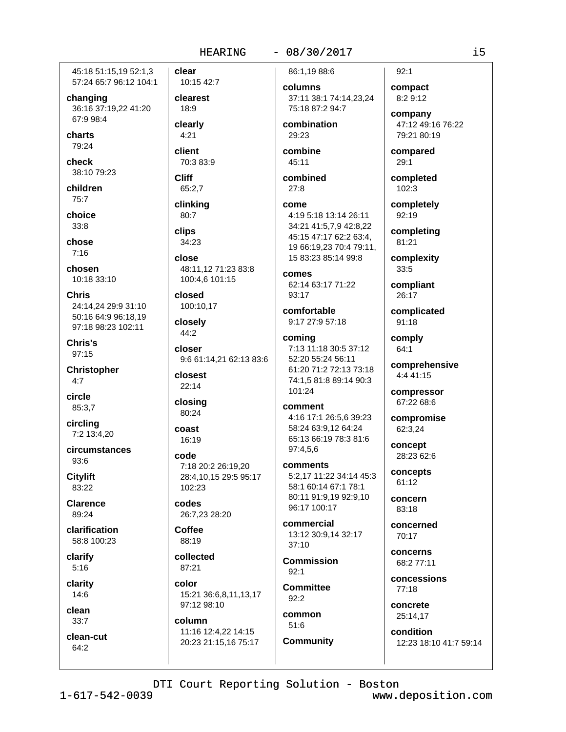45:18 51:15.19 52:1.3 57:24 65:7 96:12 104:1

changing 36:16 37:19,22 41:20 67:9 98:4

charts 79:24

check 38:10 79:23

children 75:7

choice  $33:8$ 

chose  $7:16$ 

chosen 10:18 33:10

**Chris** 24:14.24 29:9 31:10 50:16 64:9 96:18.19 97:18 98:23 102:11

Chris's 97:15

**Christopher**  $4:7$ 

circle 85:3,7

circling 7:2 13:4,20

circumstances 93:6

**Citylift** 83:22

**Clarence** 89:24

clarification 58:8 100:23

clarify  $5:16$ 

clarity 14:6

clean  $33:7$ 

clean-cut  $64:2$ 

clear 10:15 42:7 clearest  $18:9$ clearly  $4:21$ client 70:3 83:9 **Cliff** 65:2,7 clinkina 80:7 clips 34:23 close 48:11.12 71:23 83:8 100:4,6 101:15 closed 100:10,17 closelv 44:2 closer 9:6 61:14,21 62:13 83:6 closest

22:14

closing 80:24

coast 16:19

code 7:18 20:2 26:19.20 28:4,10,15 29:5 95:17 102:23

codes 26:7,23 28:20

Coffee 88:19

collected 87:21

color 15:21 36:6,8,11,13,17 97:12 98:10

20:23 21:15,16 75:17

column 11:16 12:4,22 14:15

# $-08/30/2017$

86:1.19 88:6 columns 37:11 38:1 74:14,23,24

combination 29:23

75:18 87:2 94:7

combine  $45:11$ 

combined  $27:8$ 

come 4:19 5:18 13:14 26:11 34:21 41:5,7,9 42:8,22 45:15 47:17 62:2 63:4, 19 66:19,23 70:4 79:11, 15 83:23 85:14 99:8

comes 62:14 63:17 71:22 93:17

comfortable 9:17 27:9 57:18

coming 7:13 11:18 30:5 37:12 52:20 55:24 56:11 61:20 71:2 72:13 73:18 74:1,5 81:8 89:14 90:3 101:24

comment 4:16 17:1 26:5,6 39:23 58:24 63:9.12 64:24 65:13 66:19 78:3 81:6 97:4.5.6

comments 5:2.17 11:22 34:14 45:3 58:1 60:14 67:1 78:1 80:11 91:9,19 92:9,10 96:17 100:17

commercial 13:12 30:9,14 32:17 37:10

**Commission**  $92:1$ 

**Committee**  $92:2$ 

common  $51:6$ **Community**   $92:1$ 

compact 8:2 9:12 company

47:12 49:16 76:22 79:21 80:19

compared  $29:1$ 

completed 102:3

completely 92:19

completing 81:21

complexity  $33:5$ 

compliant 26:17

complicated  $91:18$ 

comply 64:1

comprehensive 4:4 41:15

compressor 67:22 68:6

compromise 62:3,24

concept 28:23 62:6

concepts 61:12

concern 83:18

concerned  $70.17$ 

concerns 68:2 77:11

concessions 77:18

concrete 25:14,17

condition 12:23 18:10 41:7 59:14

DTI Court Reporting Solution - Boston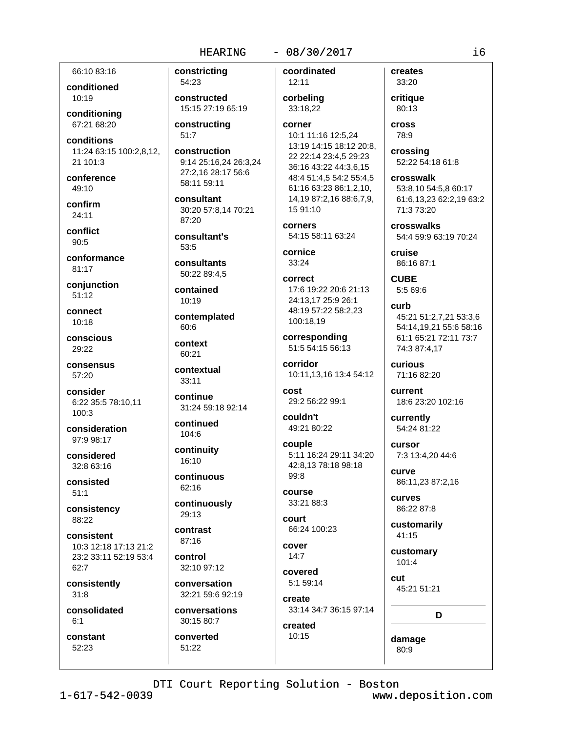# $-08/30/2017$

66:10 83:16

conditioned 10:19

conditioning 67:21 68:20

conditions 11:24 63:15 100:2,8,12, 21 101:3

conference 49:10

confirm

 $24:11$ conflict

 $90:5$ 

conformance 81:17

conjunction  $51:12$ 

connect  $10:18$ 

conscious 29:22

consensus 57:20

consider 6:22 35:5 78:10,11 100:3

consideration 97:9 98:17

considered 32:8 63:16

consisted  $51:1$ 

consistency 88:22

consistent 10:3 12:18 17:13 21:2 23:2 33:11 52:19 53:4  $62:7$ 

consistently  $31:8$ 

consolidated  $6.1$ 

constant 52:23

constricting 54:23 constructed 15:15 27:19 65:19 constructing  $51:7$ construction

9:14 25:16,24 26:3,24 27:2,16 28:17 56:6 58:11 59:11

consultant 30:20 57:8,14 70:21 87:20

consultant's  $53:5$ 

consultants 50:22 89:4.5

contained 10:19

contemplated  $60:6$ 

context  $60:21$ 

contextual 33:11

continue 31:24 59:18 92:14

continued 104:6

continuity

16:10 continuous

62:16

continuously 29:13

contrast  $87:16$ 

control 32:10 97:12

conversation 32:21 59:6 92:19

conversations 30:15 80:7

converted 51:22

coordinated  $12:11$ 

corbeling 33:18.22

corner

10:1 11:16 12:5,24 13:19 14:15 18:12 20:8, 22 22:14 23:4.5 29:23 36:16 43:22 44:3,6,15 48:4 51:4,5 54:2 55:4,5 61:16 63:23 86:1,2,10, 14,19 87:2,16 88:6,7,9, 15 91:10

corners 54:15 58:11 63:24

cornice 33:24

correct 17:6 19:22 20:6 21:13 24:13,17 25:9 26:1 48:19 57:22 58:2,23 100:18,19

corresponding 51:5 54:15 56:13

corridor 10:11,13,16 13:4 54:12

cost 29:2 56:22 99:1

couldn't 49:21 80:22

couple 5:11 16:24 29:11 34:20 42:8,13 78:18 98:18  $QQ \cdot R$ 

course 33:21 88:3

court 66:24 100:23

cover  $14:7$ 

covered 5:1 59:14

create 33:14 34:7 36:15 97:14

created  $10:15$ 

creates 33:20

critique 80:13 **cross** 

78:9

crossing 52:22 54:18 61:8

crosswalk 53:8,10 54:5,8 60:17 61:6,13,23 62:2,19 63:2 71:3 73:20

crosswalks 54:4 59:9 63:19 70:24

cruise 86:16 87:1

**CUBE** 5:5 69:6

 $_{\rm{curb}}$ 45:21 51:2,7,21 53:3,6 54:14,19,21 55:6 58:16 61:1 65:21 72:11 73:7 74:3 87:4,17

**CULIOUS** 71:16 82:20

current 18:6 23:20 102:16

currently 54:24 81:22

cursor 7:3 13:4,20 44:6

curve 86:11,23 87:2,16

curves 86:22 87:8

customarily 41:15

customary  $101 - 4$ 

**cut** 45:21 51:21

D

damage 80:9

DTI Court Reporting Solution - Boston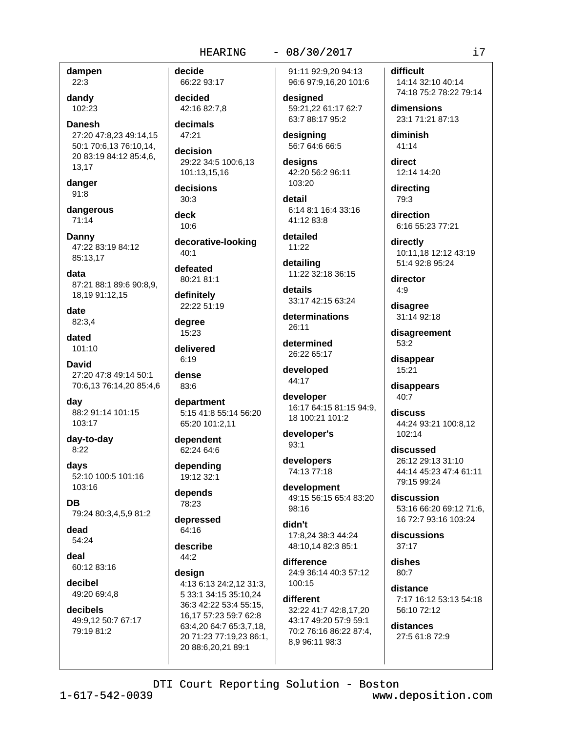# dampen  $22:3$

dandy 102:23

**Danesh** 27:20 47:8,23 49:14,15 50:1 70:6,13 76:10,14, 20 83:19 84:12 85:4,6, 13.17

danger  $91:8$ 

dangerous  $71:14$ 

Danny 47:22 83:19 84:12 85:13,17

data 87:21 88:1 89:6 90:8,9, 18,19 91:12,15

date 82:3,4

dated 101:10

David 27:20 47:8 49:14 50:1 70:6,13 76:14,20 85:4,6

day 88:2 91:14 101:15 103:17

day-to-day  $8:22$ 

davs 52:10 100:5 101:16 103:16

**DB** 79:24 80:3,4,5,9 81:2

dead 54:24

deal 60:12 83:16

decibel 49:20 69:4,8

# decibels 49:9,12 50:7 67:17 79:19 81:2

decide 66:22 93:17

decided 42:16 82:7,8

decimals 47:21

decision 29:22 34:5 100:6,13 101:13,15,16

decisions  $30:3$ 

deck  $10:6$ 

decorative-looking  $40:1$ 

defeated 80:21 81:1

definitely 22:22 51:19

dearee 15:23

delivered  $6:19$ 

dense 83:6

department 5:15 41:8 55:14 56:20 65:20 101:2.11

dependent 62:24 64:6

depending 19:12 32:1

depends 78:23

depressed  $64:16$ 

describe  $44:2$ 

design

4:13 6:13 24:2,12 31:3, 5 33:1 34:15 35:10,24 36:3 42:22 53:4 55:15, 16,17 57:23 59:7 62:8 63:4,20 64:7 65:3,7,18, 20 71:23 77:19,23 86:1, 20 88:6,20,21 89:1

# 91:11 92:9.20 94:13

 $-08/30/2017$ 

96:6 97:9,16,20 101:6 designed 59:21.22 61:17 62:7

63:7 88:17 95:2

designing 56:7 64:6 66:5

designs 42:20 56:2 96:11 103:20

detail 6:14 8:1 16:4 33:16 41:12 83:8

detailed  $11:22$ 

detailing 11:22 32:18 36:15

details 33:17 42:15 63:24

determinations 26:11

determined 26:22 65:17

developed 44:17

developer 16:17 64:15 81:15 94:9, 18 100:21 101:2

developer's  $93:1$ 

developers 74:13 77:18

development 49:15 56:15 65:4 83:20  $98.16$ 

didn't 17:8.24 38:3 44:24 48:10,14 82:3 85:1

difference 24:9 36:14 40:3 57:12 100:15

different 32:22 41:7 42:8,17,20 43:17 49:20 57:9 59:1 70:2 76:16 86:22 87:4, 8,9 96:11 98:3

difficult 14:14 32:10 40:14

74:18 75:2 78:22 79:14

dimensions 23:1 71:21 87:13

diminish 41:14

direct 12:14 14:20

directing 79:3

direction 6:16 55:23 77:21

directly 10:11,18 12:12 43:19 51:4 92:8 95:24

director  $4:9$ 

disagree 31:14 92:18

disagreement  $53:2$ 

disappear 15:21

disappears 40:7

discuss 44:24 93:21 100:8,12 102:14

discussed 26:12 29:13 31:10 44:14 45:23 47:4 61:11 79:15 99:24

discussion 53:16 66:20 69:12 71:6. 16 72:7 93:16 103:24

discussions  $37:17$ 

dishes  $80.7$ 

distance 7:17 16:12 53:13 54:18 56:10 72:12

distances 27:5 61:8 72:9

DTI Court Reporting Solution - Boston

 $1 - 617 - 542 - 0039$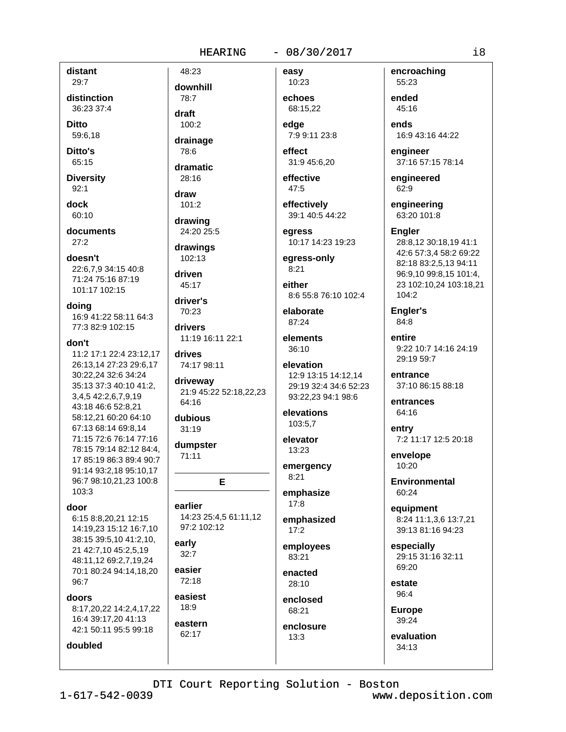#### $-08/30/2017$

distant  $29:7$ 

distinction 36:23 37:4

**Ditto** 

59:6,18

Ditto's 65:15

**Diversity**  $92:1$ 

dock

60:10

documents  $27:2$ 

doesn't 22:6.7.9 34:15 40:8 71:24 75:16 87:19 101:17 102:15

doing

16:9 41:22 58:11 64:3 77:3 82:9 102:15

# don't

11:2 17:1 22:4 23:12.17 26:13,14 27:23 29:6,17 30:22,24 32:6 34:24 35:13 37:3 40:10 41:2. 3,4,5 42:2,6,7,9,19 43:18 46:6 52:8,21 58:12,21 60:20 64:10 67:13 68:14 69:8,14 71:15 72:6 76:14 77:16 78:15 79:14 82:12 84:4. 17 85:19 86:3 89:4 90:7 91:14 93:2,18 95:10,17 96:7 98:10,21,23 100:8  $103:3$ 

#### door

6:15 8:8,20,21 12:15 14:19,23 15:12 16:7,10 38:15 39:5,10 41:2,10, 21 42:7,10 45:2,5,19 48:11,12 69:2,7,19,24 70:1 80:24 94:14.18.20 96:7

doors

8:17,20,22 14:2,4,17,22 16:4 39:17,20 41:13 42:1 50:11 95:5 99:18

# doubled

48:23 downhill 78:7 draft  $100.2$ drainage 78:6 dramatic 28:16

draw  $101:2$ 

drawing 24:20 25:5

drawings 102:13

driven 45:17

driver's

70:23 drivers 11:19 16:11 22:1

drives 74:17 98:11

driveway 21:9 45:22 52:18,22,23 64:16

dubious  $31:19$ 

dumpster  $71:11$ 

earlier 14:23 25:4,5 61:11,12 97:2 102:12

E

early  $32:7$ 

easier 72:18

easiest  $18:9$ 

eastern 62:17

10:23 echoes 68:15.22

easy

edae 7:9 9:11 23:8

effect 31:9 45:6,20

effective 47:5

effectively

39:1 40:5 44:22 earess

10:17 14:23 19:23

egress-only  $8:21$ 

either 8:6 55:8 76:10 102:4

elaborate 87:24

elements 36:10

elevation 12:9 13:15 14:12,14 29:19 32:4 34:6 52:23 93:22,23 94:1 98:6

elevations 103:5.7

elevator 13:23

emergency  $8:21$ 

emphasize  $17:8$ 

emphasized  $17:2$ 

employees 83:21 enacted

28:10

enclosed 68:21

enclosure  $13:3$ 

encroaching 55:23 ended 45:16

ends 16:9 43:16 44:22

engineer 37:16 57:15 78:14

engineered 62:9

engineering 63:20 101:8

**Engler** 

28:8,12 30:18,19 41:1 42:6 57:3,4 58:2 69:22 82:18 83:2,5,13 94:11 96:9,10 99:8,15 101:4, 23 102:10,24 103:18,21 104:2

Engler's 84:8

entire 9:22 10:7 14:16 24:19 29:19 59:7

entrance 37:10 86:15 88:18

entrances 64:16

entry 7:2 11:17 12:5 20:18

envelope  $10:20$ 

Environmental 60:24

equipment 8:24 11:1,3,6 13:7,21 39:13 81:16 94:23

especially 29:15 31:16 32:11 69:20

estate 96:4

**Europe** 39:24

evaluation  $34:13$ 

DTI Court Reporting Solution - Boston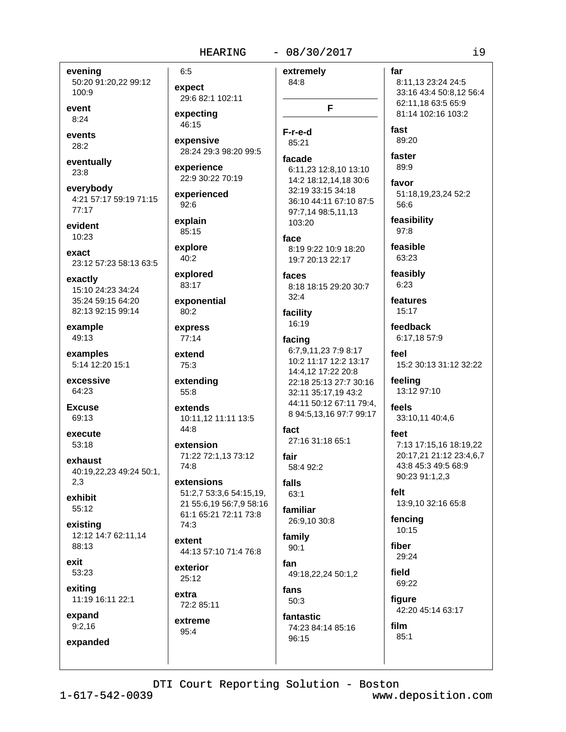#### $-08/30/2017$

evening 50:20 91:20,22 99:12 100:9

event  $8:24$ 

events  $28:2$ 

eventually 23:8

everybody 4:21 57:17 59:19 71:15  $77:17$ 

evident 10:23

exact 23:12 57:23 58:13 63:5

exactly 15:10 24:23 34:24 35:24 59:15 64:20 82:13 92:15 99:14

example 49:13

examples 5:14 12:20 15:1

excessive 64:23

**Excuse** 69:13

execute  $53:18$ 

exhaust 40:19.22.23 49:24 50:1.  $2,3$ 

exhibit  $55:12$ 

existing 12:12 14:7 62:11,14 88:13

exit 53:23

exiting 11:19 16:11 22:1

expand  $9:2,16$ 

expanded

expect 29:6 82:1 102:11 expecting 46:15

 $6:5$ 

expensive 28:24 29:3 98:20 99:5

experience 22:9 30:22 70:19

experienced  $92:6$ 

explain 85:15

explore  $40:2$ 

explored 83:17

exponential

express 77:14

80:2

extend 75:3

extending 55:8

extends 10:11,12 11:11 13:5  $44:8$ 

extension 71:22 72:1,13 73:12 74:8

extensions 51:2,7 53:3,6 54:15,19, 21 55:6,19 56:7,9 58:16 61:1 65:21 72:11 73:8  $74:3$ 

extent 44:13 57:10 71:4 76:8

exterior 25:12

extra 72:2 85:11

extreme 95:4

extremely 84:8 F F-r-e-d 85:21

facade 6:11,23 12:8,10 13:10 14:2 18:12.14.18 30:6 32:19 33:15 34:18 36:10 44:11 67:10 87:5 97:7,14 98:5,11,13 103:20

face 8:19 9:22 10:9 18:20 19:7 20:13 22:17

faces 8:18 18:15 29:20 30:7  $32:4$ 

facility 16:19

#### facing

6:7,9,11,23 7:9 8:17 10:2 11:17 12:2 13:17 14:4,12 17:22 20:8 22:18 25:13 27:7 30:16 32:11 35:17.19 43:2 44:11 50:12 67:11 79:4. 8 94:5,13,16 97:7 99:17

fact 27:16 31:18 65:1

fair 58:4 92:2

falls  $63:1$ 

familiar 26:9,10 30:8

family  $90:1$ 

fan 49:18,22,24 50:1,2

fans  $50:3$ fantastic

> 74:23 84:14 85:16 96:15

8:11,13 23:24 24:5 33:16 43:4 50:8,12 56:4 62:11,18 63:5 65:9 81:14 102:16 103:2 fast

89:20

far

faster 89:9 favor

51:18,19,23,24 52:2 56:6

feasibility  $97:8$ 

feasible 63:23

feasibly 6:23

features 15:17

feedback 6:17,18 57:9

feel 15:2 30:13 31:12 32:22

feeling 13:12 97:10

feels 33:10,11 40:4,6

feet 7:13 17:15,16 18:19,22 20:17,21 21:12 23:4,6,7 43:8 45:3 49:5 68:9 90:23 91:1,2,3

felt 13:9,10 32:16 65:8

fencing 10:15

fiber 29:24

field 69:22

 $85:1$ 

figure 42:20 45:14 63:17

film

DTI Court Reporting Solution - Boston

 $1 - 617 - 542 - 0039$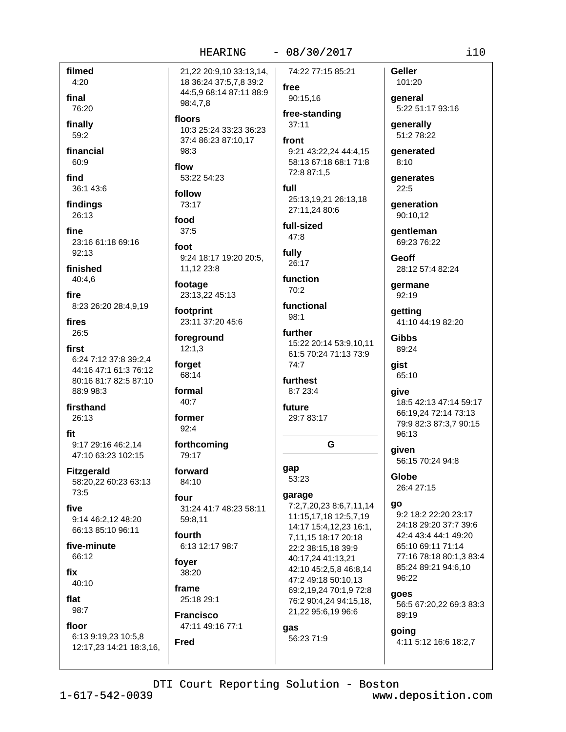$-08/30/2017$ 

filmed  $4:20$ final

76:20

finally 59:2

financial 60:9

find

36:1 43:6 findinas

26:13 fine

23:16 61:18 69:16 92:13

finished  $40:4.6$ 

fire 8:23 26:20 28:4,9,19

fires 26:5

first 6:24 7:12 37:8 39:2.4 44:16 47:1 61:3 76:12 80:16 81:7 82:5 87:10 88:9 98:3

firsthand 26:13

fit 9:17 29:16 46:2.14 47:10 63:23 102:15

**Fitzgerald** 58:20,22 60:23 63:13 73:5

five 9:14 46:2,12 48:20 66:13 85:10 96:11

five-minute 66:12

fix 40:10

flat 98:7

floor

6:13 9:19,23 10:5,8 12:17,23 14:21 18:3,16,

21,22 20:9,10 33:13,14, 18 36:24 37:5,7,8 39:2 44:5,9 68:14 87:11 88:9 98:4,7,8

floors 10:3 25:24 33:23 36:23 37:4 86:23 87:10,17 98:3

flow 53:22 54:23

follow 73:17

food  $37:5$ 

foot 9:24 18:17 19:20 20:5, 11,12 23:8

footage 23:13,22 45:13

footprint 23:11 37:20 45:6

foreground  $12:1,3$ 

forget 68:14

formal

40:7 former

 $92:4$ 

forthcoming 79:17

forward 84:10

four 31:24 41:7 48:23 58:11 59:8,11

fourth 6:13 12:17 98:7

fover 38:20

frame 25:18 29:1

**Francisco** 47:11 49:16 77:1 **Fred** 

74:22 77:15 85:21 free

90:15,16 free-standing

 $37:11$ 

front 9:21 43:22.24 44:4.15 58:13 67:18 68:1 71:8 72:8 87:1,5

full 25:13,19,21 26:13,18 27:11,24 80:6

full-sized 47:8

fully 26:17

function 70:2

functional 98:1

further 15:22 20:14 53:9,10,11 61:5 70:24 71:13 73:9  $74.7$ 

furthest 8:7 23:4

future 29:7 83:17

G

gap 53:23

garage

7:2,7,20,23 8:6,7,11,14 11:15,17,18 12:5,7,19 14:17 15:4,12,23 16:1, 7,11,15 18:17 20:18 22:2 38:15,18 39:9 40:17,24 41:13,21 42:10 45:2,5,8 46:8,14 47:2 49:18 50:10,13 69:2,19,24 70:1,9 72:8 76:2 90:4,24 94:15,18, 21,22 95:6,19 96:6 gas 56:23 71:9

**Geller** 101:20

qeneral 5:22 51:17 93:16

qenerally 51:2 78:22

**generated**  $8:10$ 

qenerates  $22:5$ 

**generation** 90:10.12

qentleman 69:23 76:22

Geoff 28:12 57:4 82:24

qermane 92:19

getting 41:10 44:19 82:20

**Gibbs** 89:24

gist 65:10

give 18:5 42:13 47:14 59:17 66:19.24 72:14 73:13 79:9 82:3 87:3,7 90:15 96:13

given 56:15 70:24 94:8

Globe 26:4 27:15

# go

9:2 18:2 22:20 23:17 24:18 29:20 37:7 39:6 42:4 43:4 44:1 49:20 65:10 69:11 71:14 77:16 78:18 80:1.3 83:4 85:24 89:21 94:6,10 96:22

goes

56:5 67:20,22 69:3 83:3 89:19

going 4:11 5:12 16:6 18:2,7

DTI Court Reporting Solution - Boston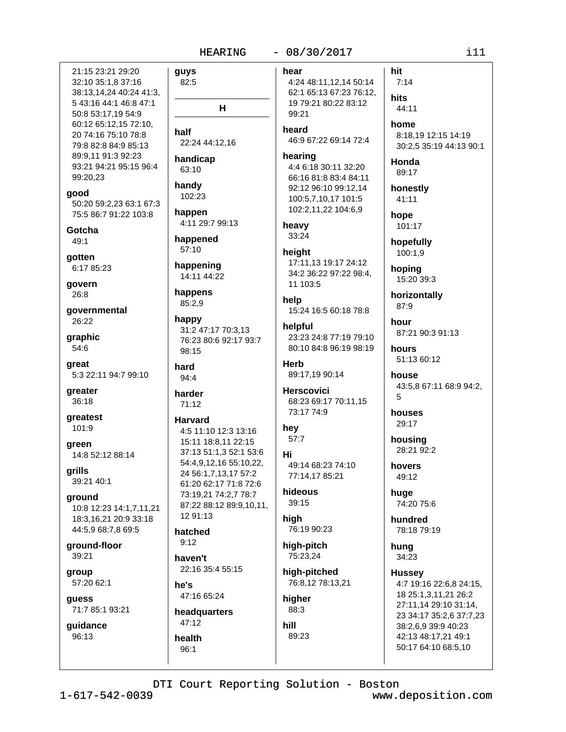# $-08/30/2017$

21:15 23:21 29:20 32:10 35:1,8 37:16 38:13,14,24 40:24 41:3, 5 43:16 44:1 46:8 47:1 50:8 53:17,19 54:9 60:12 65:12,15 72:10, 20 74:16 75:10 78:8 79:8 82:8 84:9 85:13 89:9,11 91:3 92:23 93:21 94:21 95:15 96:4 99:20,23

good 50:20 59:2,23 63:1 67:3 75:5 86:7 91:22 103:8

Gotcha  $49:1$ 

qotten 6:17 85:23

govern 26:8

governmental 26:22

graphic  $54:6$ 

great 5:3 22:11 94:7 99:10

greater  $36:18$ 

greatest 101:9

green 14:8 52:12 88:14

**grills** 39:21 40:1

qround 10:8 12:23 14:1,7,11,21 18:3,16,21 20:9 33:18 44:5,9 68:7,8 69:5

ground-floor 39:21

group 57:20 62:1

quess 71:7 85:1 93:21

guidance 96:13

guys 82:5 н half 22:24 44:12,16 handicap 63:10 handy 102:23 happen 4:11 29:7 99:13 happened 57:10 happening 14:11 44:22 happens 85:2,9 happy 31:2 47:17 70:3.13 76:23 80:6 92:17 93:7 98:15 hard  $94:4$ harder 71:12 **Harvard** 4:5 11:10 12:3 13:16 15:11 18:8,11 22:15 37:13 51:1,3 52:1 53:6 54:4,9,12,16 55:10,22, 24 56:1,7,13,17 57:2 61:20 62:17 71:8 72:6 73:19,21 74:2,7 78:7 87:22 88:12 89:9,10,11, 12 91:13 hatched  $9:12$ haven't

22:16 35:4 55:15

he's 47:16 65:24

headquarters 47:12 health

 $96:1$ 

hear 4:24 48:11,12,14 50:14 62:1 65:13 67:23 76:12, 19 79:21 80:22 83:12 99:21

heard 46:9 67:22 69:14 72:4

hearing 4:4 6:18 30:11 32:20 66:16 81:8 83:4 84:11 92:12 96:10 99:12.14 100:5,7,10,17 101:5 102:2,11,22 104:6,9

heavy 33:24

height 17:11.13 19:17 24:12

34:2 36:22 97:22 98:4. 11 103:5

help 15:24 16:5 60:18 78:8

helpful 23:23 24:8 77:19 79:10 80:10 84:8 96:19 98:19

**Herb** 89:17,19 90:14

**Herscovici** 68:23 69:17 70:11,15 73:17 74:9

# hey  $57:7$

Hi 49:14 68:23 74:10 77:14.17 85:21

hideous 39:15

high 76:19 90:23

high-pitch 75:23,24

high-pitched 76:8,12 78:13,21 higher

88:3 hill 89:23 home 8:18,19 12:15 14:19 30:2,5 35:19 44:13 90:1 Honda 89:17 honestly 41:11 hope 101:17 hopefully 100:1,9 hoping 15:20 39:3 horizontally 87:9 hour

hit

hits

 $7:14$ 

44:11

87:21 90:3 91:13 hours

51:13 60:12 house

43:5,8 67:11 68:9 94:2, 5

houses 29:17

housing 28:21 92:2

hovers 49:12

huge 74:20 75:6

hundred 78:18 79:19

huna 34:23

**Hussey** 4:7 19:16 22:6,8 24:15, 18 25:1,3,11,21 26:2 27:11,14 29:10 31:14, 23 34:17 35:2,6 37:7,23 38:2,6,9 39:9 40:23 42:13 48:17,21 49:1 50:17 64:10 68:5,10

DTI Court Reporting Solution - Boston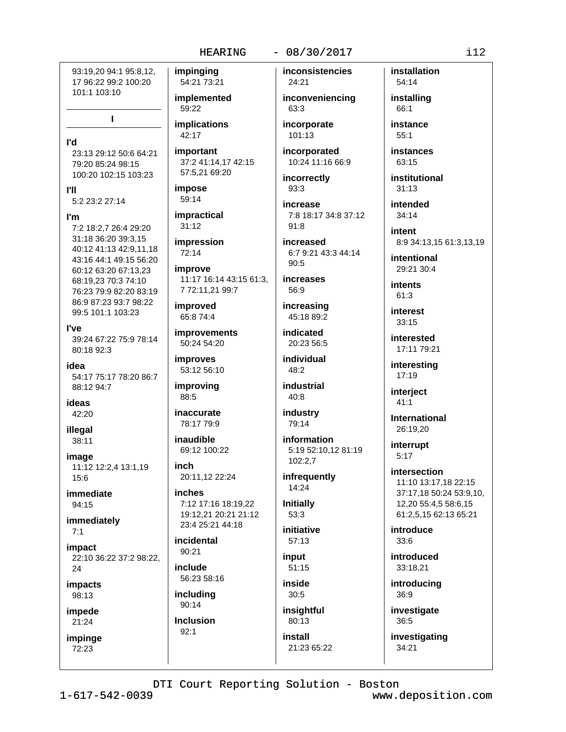# $-08/30/2017$

93:19.20 94:1 95:8.12. 17 96:22 99:2 100:20 101:1 103:10

 $\mathbf{I}$ 

# **Pd**

23:13 29:12 50:6 64:21 79:20 85:24 98:15 100:20 102:15 103:23

**PII** 

5:2 23:2 27:14

#### l'm

7:2 18:2.7 26:4 29:20 31:18 36:20 39:3,15 40:12 41:13 42:9.11.18 43:16 44:1 49:15 56:20 60:12 63:20 67:13,23 68:19,23 70:3 74:10 76:23 79:9 82:20 83:19 86:9 87:23 93:7 98:22 99:5 101:1 103:23

## l've

39:24 67:22 75:9 78:14 80:18 92:3

idea 54:17 75:17 78:20 86:7 88:12 94:7

ideas

42:20

illegal 38:11

image 11:12 12:2,4 13:1,19 15:6

immediate 94:15

immediately  $7:1$ 

impact 22:10 36:22 37:2 98:22, 24

impacts 98:13

impede 21:24

impinge 72:23

impinaina 54:21 73:21 implemented

59:22 **implications** 

42:17

important 37:2 41:14,17 42:15 57:5,21 69:20

impose 59:14

*impractical*  $31:12$ 

impression 72:14

improve 11:17 16:14 43:15 61:3. 7 72:11,21 99:7

improved 65:8 74:4

**improvements** 

**improves** 53:12 56:10

50:24 54:20

improving

inaccurate 78.17 79.9

88:5

inaudible 69:12 100:22

inch 20:11,12 22:24

inches 7:12 17:16 18:19.22 19:12,21 20:21 21:12 23:4 25:21 44:18

incidental  $90:21$ 

include 56:23 58:16

including 90:14

Inclusion  $92:1$ 

inconsistencies 24:21

inconveniencing 63:3

incorporate 101:13

incorporated 10:24 11:16 66:9

incorrectly 93:3

increase 7:8 18:17 34:8 37:12  $91:8$ 

increased 6:7 9:21 43:3 44:14  $Q \cap R$ 

**increases** 56:9

increasing 45:18 89:2

indicated 20:23 56:5 individual

 $48:2$ industrial

 $40:8$ 

industry  $79.14$ 

information 5:19 52:10,12 81:19 102:2,7

infrequently 14:24

**Initially** 53:3

initiative  $57:13$ 

input 51:15

inside  $30:5$ 

insightful  $80:13$ 

install 21:23 65:22 installation 54:14

installing 66:1

instance  $55:1$ 

instances  $63:15$ 

institutional  $31:13$ 

intended  $34:14$ 

intent 8:9 34:13,15 61:3,13,19

intentional 29:21 30:4

intents  $61:3$ 

interest  $33:15$ 

interested 17:11 79:21

interesting 17:19

interject  $41:1$ 

**International** 26:19.20

interrupt  $5:17$ 

intersection 11:10 13:17,18 22:15 37:17.18 50:24 53:9.10. 12,20 55:4,5 58:6,15 61:2,5,15 62:13 65:21

introduce  $33:6$ 

introduced 33:18,21

introducing 36:9

investigate 36:5

investigating 34:21

DTI Court Reporting Solution - Boston

 $1 - 617 - 542 - 0039$ 

www.deposition.com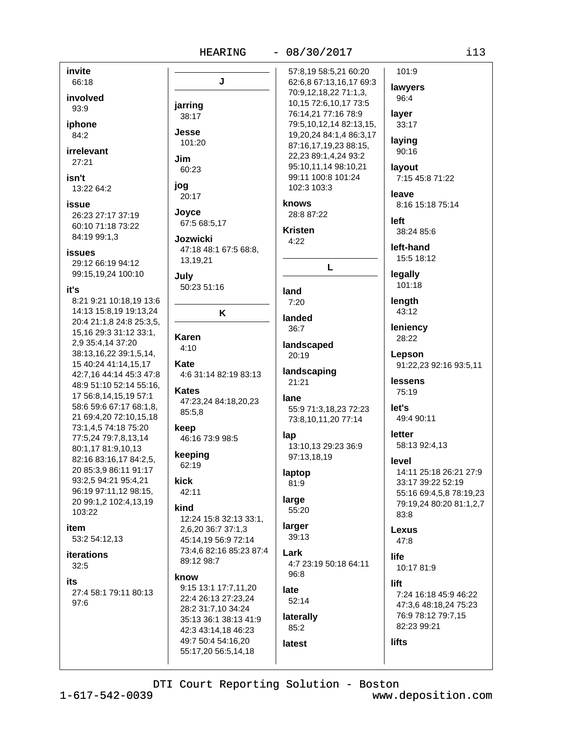jarring

38:17

**Jesse** 

Jim

jog

101:20

60:23

 $20:17$ 

Joyce

Jozwicki

13,19,21

July

**Karen** 

 $4:10$ 

Kate

**Kates** 

keep

85:5,8

keeping

62:19

42:11

kick

kind

know

55:17,20 56:5,14,18

#### $-08/30/2017$

invite

66:18 involved

93:9

iphone 84:2

irrelevant  $27:21$ 

isn't 13:22 64:2

issue 26:23 27:17 37:19 60:10 71:18 73:22

84:19 99:1,3

#### issues

29:12 66:19 94:12 99:15.19.24 100:10

#### it's

8:21 9:21 10:18.19 13:6 14:13 15:8,19 19:13,24 20:4 21:1.8 24:8 25:3.5. 15,16 29:3 31:12 33:1, 2,9 35:4,14 37:20 38:13,16,22 39:1,5,14, 15 40:24 41:14,15,17 42:7,16 44:14 45:3 47:8 48:9 51:10 52:14 55:16, 17 56:8,14,15,19 57:1 58:6 59:6 67:17 68:1,8, 21 69:4,20 72:10,15,18 73:1,4,5 74:18 75:20 77:5,24 79:7,8,13,14 80:1,17 81:9,10,13 82:16 83:16,17 84:2,5, 20 85:3,9 86:11 91:17 93:2,5 94:21 95:4,21 96:19 97:11,12 98:15, 20 99:1,2 102:4,13,19 103:22

#### item

53:2 54:12,13

**iterations**  $32:5$ 

its 27:4 58:1 79:11 80:13  $97:6$ 

57:8,19 58:5,21 60:20 J 70:9,12,18,22 71:1,3, 10.15 72:6.10.17 73:5 76:14,21 77:16 78:9 79:5,10,12,14 82:13,15, 19,20,24 84:1,4 86:3,17 87:16,17,19,23 88:15, 22,23 89:1,4,24 93:2 95:10.11.14 98:10.21 99:11 100:8 101:24 102:3 103:3 knows 28:8 87:22 67:5 68:5,17 **Kristen**  $4:22$ 47:18 48:1 67:5 68:8,  $\mathbf{L}$ 50:23 51:16 land  $7:20$ K landed 36:7 landscaped 20:19 landscaping 4:6 31:14 82:19 83:13 21:21 lane 47:23,24 84:18,20,23 55:9 71:3,18,23 72:23 73:8,10,11,20 77:14 lap 46:16 73:9 98:5 13:10,13 29:23 36:9 97:13,18,19 laptop 81:9 large 55:20 12:24 15:8 32:13 33:1, larger 2,6,20 36:7 37:1,3 39:13 45:14,19 56:9 72:14 73:4,6 82:16 85:23 87:4 Lark 89:12 98:7 4:7 23:19 50:18 64:11 96:8 9:15 13:1 17:7,11,20 late 22:4 26:13 27:23,24 52:14 28:2 31:7,10 34:24 laterally 35:13 36:1 38:13 41:9  $85:2$ 42:3 43:14,18 46:23 49:7 50:4 54:16,20 latest

101:9 62:6,8 67:13,16,17 69:3 lawyers 96:4 laver  $33:17$ laying  $90:16$ layout 7:15 45:8 71:22 leave **left** 38:24 85:6 left-hand 15:5 18:12 legally 101:18 length 43:12 leniency 28:22 Lepson lessens 75:19 let's 49:4 90:11 letter 58:13 92:4,13 level 83:8 Lexus  $47:8$ **life** 10:17 81:9 lift 82:23 99:21 lifts

8:16 15:18 75:14

91:22,23 92:16 93:5,11

# 14:11 25:18 26:21 27:9 33:17 39:22 52:19 55:16 69:4,5,8 78:19,23 79:19,24 80:20 81:1,2,7

7:24 16:18 45:9 46:22 47:3,6 48:18,24 75:23 76:9 78:12 79:7,15

DTI Court Reporting Solution - Boston

 $1 - 617 - 542 - 0039$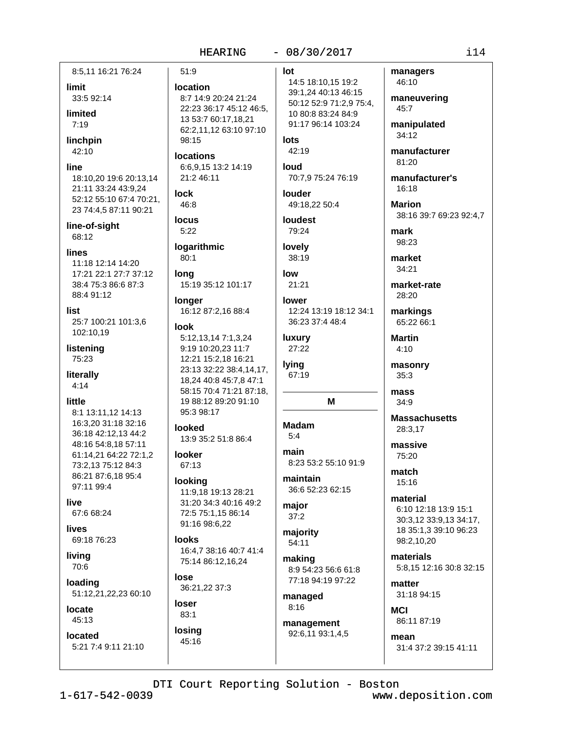#### 8:5.11 16:21 76:24  $51:9$ limit location 33:5 92:14 8:7 14:9 20:24 21:24 22:23 36:17 45:12 46:5, limited  $7.19$ 62:2,11,12 63:10 97:10 linchpin 98:15 42:10 **locations** line 18:10,20 19:6 20:13,14 21:2 46:11 21:11 33:24 43:9,24 **lock** 52:12 55:10 67:4 70:21, 46:8 23 74:4,5 87:11 90:21 **locus** line-of-sight  $5:22$ 68:12 logarithmic lines  $80:1$ 11:18 12:14 14:20 17:21 22:1 27:7 37:12 **lona** 38:4 75:3 86:6 87:3 88:4 91:12 longer list 16:12 87:2,16 88:4 25:7 100:21 101:3.6 **look** 102:10.19 listening 9:19 10:20,23 11:7 75:23 literally  $4:14$ little 8:1 13:11,12 14:13 95:3 98:17 16:3,20 31:18 32:16 **Innked** 36:18 42:12.13 44:2 13:9 35:2 51:8 86:4 48:16 54:8.18 57:11 looker 61:14,21 64:22 72:1,2 73:2,13 75:12 84:3 67:13 86:21 87:6.18 95:4 looking 97:11 99:4 live 67:6 68:24 72:5 75:1,15 86:14 91:16 98:6,22 **lives** 69:18 76:23 **looks** living 75:14 86:12,16,24 70:6 lose loading 36:21,22 37:3 51:12,21,22,23 60:10 loser locate  $83:1$ 45:13 losing located 45:16 5:21 7:4 9:11 21:10

#### $-08/30/2017$ HEARING

13 53:7 60:17,18,21

15:19 35:12 101:17

5:12,13,14 7:1,3,24

12:21 15:2.18 16:21

23:13 32:22 38:4,14,17,

58:15 70:4 71:21 87:18.

18,24 40:8 45:7,8 47:1

19 88:12 89:20 91:10

11:9,18 19:13 28:21

31:20 34:3 40:16 49:2

16:4,7 38:16 40:7 41:4

# $I$ 14:5 18:10,15 19:2 39:1,24 40:13 46:15 50:12 52:9 71:2,9 75:4, 10 80:8 83:24 84:9 91:17 96:14 103:24

#### lots 42:19

6:6,9,15 13:2 14:19 **buol** 70:7,9 75:24 76:19

> louder 49:18,22 50:4

loudest 79:24

lovely 38:19

low 21:21

**lower** 12:24 13:19 18:12 34:1 36:23 37:4 48:4

luxury  $27:22$ 

**Iving** 67:19

**Madam**  $5.4$ 

main 8:23 53:2 55:10 91:9

M

maintain 36:6 52:23 62:15

major  $37:2$ 

majority 54:11

making 8:9 54:23 56:6 61:8 77:18 94:19 97:22

managed  $8:16$ 

management 92:6,11 93:1,4,5

46:10 maneuvering 45:7 manipulated

managers

34:12 manufacturer

 $81:20$ 

manufacturer's  $16.18$ 

**Marion** 38:16 39:7 69:23 92:4.7

mark 98:23

market 34:21

market-rate 28:20

markings 65:22 66:1

Martin  $4:10$ 

masonry  $35:3$ 

mass  $34:9$ 

**Massachusetts** 28:3.17

massive 75:20

match 15:16

material 6:10 12:18 13:9 15:1 30:3,12 33:9,13 34:17, 18 35:1,3 39:10 96:23 98:2,10,20

materials 5:8,15 12:16 30:8 32:15

matter 31:18 94:15

**MCI** 86:11 87:19

mean 31:4 37:2 39:15 41:11

# DTI Court Reporting Solution - Boston

www.deposition.com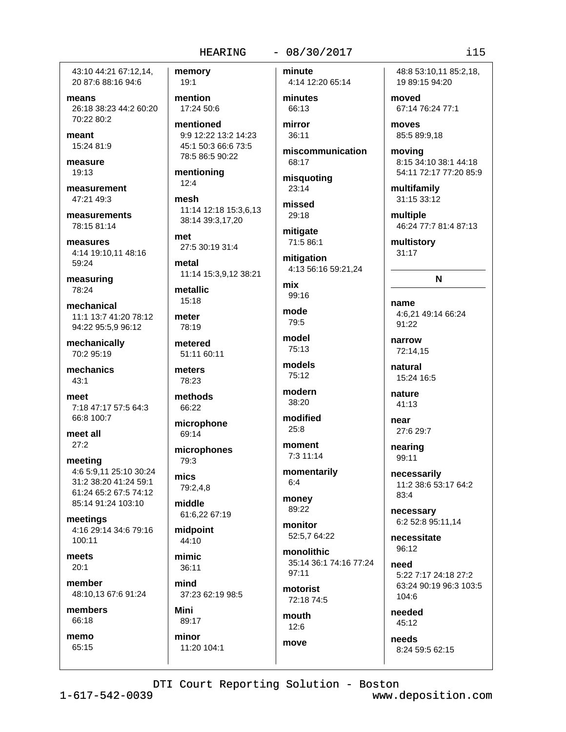43:10 44:21 67:12.14. 20 87:6 88:16 94:6

means 26:18 38:23 44:2 60:20 70:22 80:2

meant 15:24 81:9

measure  $10.13$ 

measurement 47:21 49:3

measurements 78:15 81:14

measures 4:14 19:10,11 48:16 59:24

measuring 78:24

mechanical 11:1 13:7 41:20 78:12 94:22 95:5,9 96:12

mechanically 70:2 95:19

mechanics  $43:1$ 

meet 7:18 47:17 57:5 64:3 66:8 100:7

meet all  $27:2$ 

meeting 4:6 5:9.11 25:10 30:24 31:2 38:20 41:24 59:1 61:24 65:2 67:5 74:12 85:14 91:24 103:10

meetings 4:16 29:14 34:6 79:16 100:11

meets  $20:1$ 

member 48:10,13 67:6 91:24

members 66:18

memo 65:15 memory  $19:1$ 

mention 17:24 50:6

mentioned 9:9 12:22 13:2 14:23 45:1 50:3 66:6 73:5 78:5 86:5 90:22

mentioning  $12:4$ 

mesh 11:14 12:18 15:3,6,13 38:14 39:3.17.20

met 27:5 30:19 31:4

metal 11:14 15:3,9,12 38:21

metallic  $15:18$ 

meter 78:19

metered 51:11 60:11

meters 78:23

methods 66:22

microphone 69:14

microphones 79:3

mics 79:2,4,8

middle

61:6,22 67:19

midpoint  $44:10$ 

mimic  $36:11$ 

mind 37:23 62:19 98:5

**Mini**  $89.17$ minor

11:20 104:1

 $-08/30/2017$ 

minute 4:14 12:20 65:14

minutes 66:13

mirror 36:11

miscommunication 68:17

misquoting 23:14

missed 29:18

mitigate 71:5 86:1

mitigation 4:13 56:16 59:21,24

mix

mode 79:5

99:16

model 75:13

models 75:12

modern 38:20

modified  $25:8$ 

moment 7:3 11:14

momentarily  $6:4$ 

money 89:22

monitor 52:5.7 64:22

monolithic 35:14 36:1 74:16 77:24  $97:11$ 

motorist 72:18 74:5

mouth  $12:6$ 

move

8:24 59:5 62:15

DTI Court Reporting Solution - Boston

www.deposition.com

48:8 53:10.11 85:2.18. 19 89:15 94:20

moved 67:14 76:24 77:1

moves 85:5 89:9,18

moving 8:15 34:10 38:1 44:18 54:11 72:17 77:20 85:9

multifamily 31:15 33:12

multiple 46:24 77:7 81:4 87:13

multistory  $31:17$ 

# N

name 4:6,21 49:14 66:24 91:22

narrow 72:14,15

natural 15:24 16:5

nature 41:13

near 27:6 29:7

nearing 99:11

necessarily 11:2 38:6 53:17 64:2 83:4

necessary 6:2 52:8 95:11,14

necessitate 96:12

need 5:22 7:17 24:18 27:2 63:24 90:19 96:3 103:5 104:6

needed  $45:12$ 

needs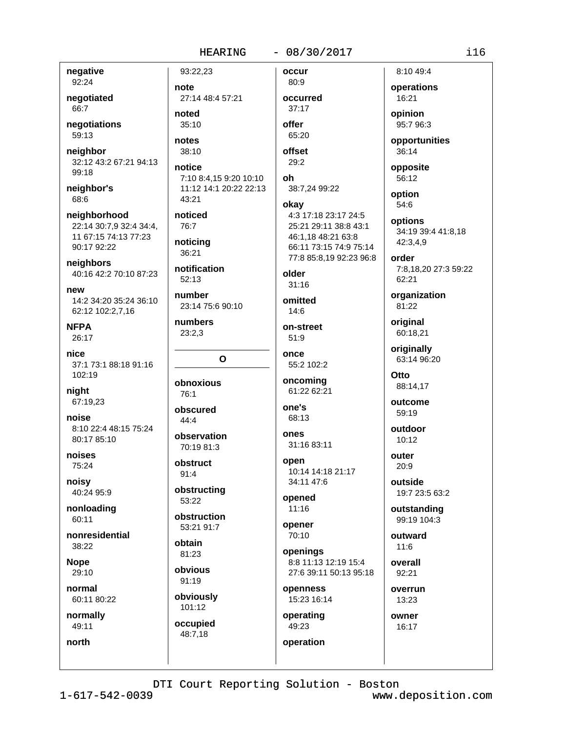# $-08/30/2017$

92:24 negotiated 66:7

negative

negotiations 59:13

neighbor 32:12 43:2 67:21 94:13 99:18

neighbor's 68:6

neighborhood 22:14 30:7,9 32:4 34:4, 11 67:15 74:13 77:23 90:17 92:22

neighbors 40:16 42:2 70:10 87:23

new 14:2 34:20 35:24 36:10 62:12 102:2,7,16

**NFPA** 26:17

nice 37:1 73:1 88:18 91:16 102:19

night 67:19,23

noise 8:10 22:4 48:15 75:24 80:17 85:10

noises 75:24

noisy 40:24 95:9

nonloading 60:11

nonresidential 38:22

**Nope** 29:10

normal 60:11 80:22

normally 49:11

north

note 27:14 48:4 57:21 noted  $35:10$ notes

93:22.23

notice 7:10 8:4,15 9:20 10:10 11:12 14:1 20:22 22:13 43:21

noticed 76:7

38:10

noticing 36:21

notification  $52.13$ 

number 23:14 75:6 90:10

numbers  $23:2.3$ 

 $\mathbf O$ 

obnoxious 76:1 obscured  $44:4$ 

observation 70:19 81:3

obstruct  $91:4$ 

obstructing 53:22

obstruction

53:21 91:7 obtain

81:23 obvious

91:19 obviously

101:12 occupied

48:7,18

occurred  $37:17$ offer

occur

80:9

65:20 offset

 $29:2$ oh

38:7,24 99:22 okav

4:3 17:18 23:17 24:5 25:21 29:11 38:8 43:1 46:1,18 48:21 63:8 66:11 73:15 74:9 75:14 77:8 85:8,19 92:23 96:8

older  $31:16$ 

omitted

 $14:6$ on-street  $51:9$ 

once 55:2 102:2

oncoming 61:22 62:21

one's 68:13

ones 31:16 83:11

open 10:14 14:18 21:17 34:11 47:6

opened  $11:16$ 

opener 70:10

openinas 8:8 11:13 12:19 15:4 27:6 39:11 50:13 95:18

openness 15:23 16:14

operating 49:23 operation

8:10 49:4 operations 16:21

opinion 95:7 96:3

opportunities 36:14

opposite 56:12

option 54:6

options 34:19 39:4 41:8,18 42:3,4,9

order 7:8.18.20 27:3 59:22 62:21

organization 81:22

original 60:18,21

originally 63:14 96:20

Otto 88:14,17

outcome 59:19

outdoor  $10:12$ 

outer  $20:9$ 

outside 19:7 23:5 63:2

outstanding

99:19 104:3

outward  $11:6$ 

overall  $92:21$ 

overrun 13:23

owner 16:17

DTI Court Reporting Solution - Boston

 $1 - 617 - 542 - 0039$ 

www.deposition.com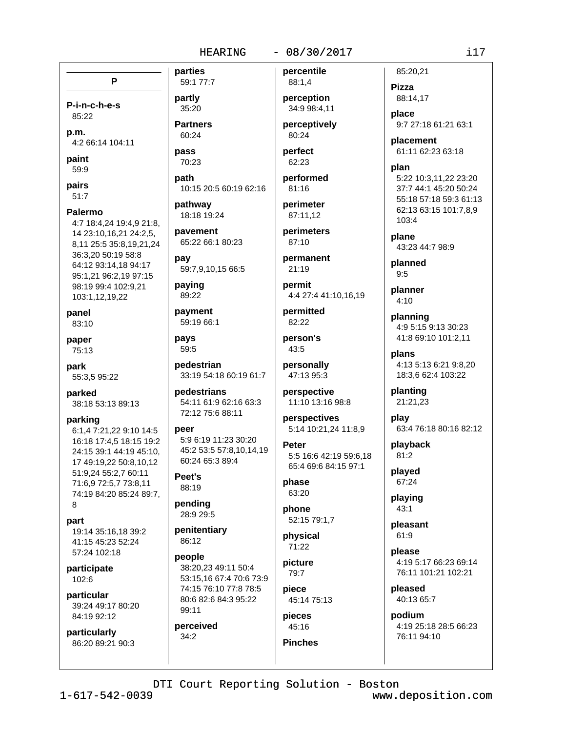# $-08/30/2017$

P P-i-n-c-h-e-s 85:22

p.m. 4:2 66:14 104:11

paint 59:9

pairs  $51.7$ 

**Palermo** 4:7 18:4.24 19:4.9 21:8. 14 23:10,16,21 24:2,5, 8,11 25:5 35:8,19,21,24 36:3,20 50:19 58:8 64:12 93:14,18 94:17 95:1,21 96:2,19 97:15 98:19 99:4 102:9,21 103:1,12,19,22

panel 83:10

paper 75:13

park 55:3,5 95:22

parked 38:18 53:13 89:13

parking 6:1,4 7:21,22 9:10 14:5 16:18 17:4,5 18:15 19:2 24:15 39:1 44:19 45:10. 17 49:19,22 50:8,10,12 51:9,24 55:2,7 60:11 71:6,9 72:5,7 73:8,11 74:19 84:20 85:24 89:7,

 $\mathsf{R}$ 

part

19:14 35:16.18 39:2 41:15 45:23 52:24 57:24 102:18

participate 102:6

particular 39:24 49:17 80:20 84:19 92:12

particularly 86:20 89:21 90:3

# parties 59:1 77:7

partly 35:20 **Partners** 

60:24

pass 70:23

path 10:15 20:5 60:19 62:16

pathway 18:18 19:24

pavement 65:22 66:1 80:23

pay 59:7,9,10,15 66:5

paying 89:22

payment 59:19 66:1

pays 59:5

pedestrian 33:19 54:18 60:19 61:7

pedestrians 54:11 61:9 62:16 63:3 72:12 75:6 88:11

peer 5:9 6:19 11:23 30:20 45:2 53:5 57:8,10,14,19 60:24 65:3 89:4

Peet's 88:19

pending 28:9 29:5

penitentiary 86:12

people 38:20,23 49:11 50:4 53:15,16 67:4 70:6 73:9 74:15 76:10 77:8 78:5 80:6 82:6 84:3 95:22 99:11

perceived  $34:2$ 

percentile 88:1,4

perception 34:9 98:4,11

perceptively 80:24

perfect  $62:23$ 

performed

```
81:16perimeter
87:11.12
```
perimeters  $87:10$ 

permanent  $21:19$ 

permit 4:4 27:4 41:10,16,19

permitted 82:22

person's 43:5

personally 47:13 95:3

> perspective 11:10 13:16 98:8

perspectives 5:14 10:21,24 11:8,9

**Peter** 5:5 16:6 42:19 59:6.18 65:4 69:6 84:15 97:1

phase 63:20

phone 52:15 79:1,7

physical 71:22

picture 79:7

piece 45:14 75:13

pieces 45:16 **Pinches**  88:14,17

place 9:7 27:18 61:21 63:1

placement 61:11 62:23 63:18

# plan

5:22 10:3,11,22 23:20 37:7 44:1 45:20 50:24 55:18 57:18 59:3 61:13 62:13 63:15 101:7,8,9 103:4

plane 43:23 44:7 98:9

planned  $9:5$ 

planner  $4:10$ 

planning 4:9 5:15 9:13 30:23 41:8 69:10 101:2,11

plans 4:13 5:13 6:21 9:8.20 18:3,6 62:4 103:22

planting 21:21,23

play 63:4 76:18 80:16 82:12

playback  $81:2$ plaved

> 67:24 playing

 $43:1$ 

pleasant 61:9

please 4:19 5:17 66:23 69:14 76:11 101:21 102:21

pleased 40:13 65:7

podium 4:19 25:18 28:5 66:23 76:11 94:10

DTI Court Reporting Solution - Boston

 $1 - 617 - 542 - 0039$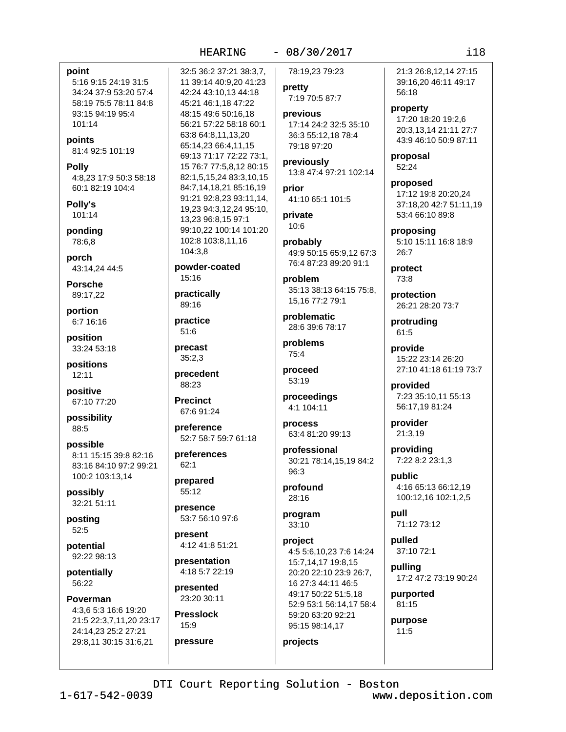#### point

5:16 9:15 24:19 31:5 34:24 37:9 53:20 57:4 58:19 75:5 78:11 84:8 93:15 94:19 95:4 101:14

points 81:4 92:5 101:19

#### **Polly** 4:8,23 17:9 50:3 58:18

60:1 82:19 104:4

Polly's 101:14

ponding 78:6.8

porch 43:14,24 44:5

**Porsche** 89:17,22

portion 6:7 16:16

position 33:24 53:18

positions 12:11

positive 67:10 77:20

possibility 88:5

possible 8:11 15:15 39:8 82:16 83:16 84:10 97:2 99:21 100:2 103:13,14

possibly 32:21 51:11

posting  $52:5$ 

potential 92:22 98:13

potentially 56:22

Poverman 4:3,6 5:3 16:6 19:20 21:5 22:3,7,11,20 23:17 24:14,23 25:2 27:21 29:8,11 30:15 31:6,21

HEARING

32:5 36:2 37:21 38:3.7. 11 39:14 40:9,20 41:23 42:24 43:10,13 44:18 45:21 46:1,18 47:22 48:15 49:6 50:16,18 56:21 57:22 58:18 60:1 63:8 64:8.11.13.20 65:14,23 66:4,11,15 69:13 71:17 72:22 73:1, 15 76:7 77:5,8,12 80:15 82:1,5,15,24 83:3,10,15 84:7,14,18,21 85:16,19 91:21 92:8,23 93:11,14, 19,23 94:3,12,24 95:10, 13,23 96:8,15 97:1 99:10,22 100:14 101:20 102:8 103:8,11,16 104:3.8

powder-coated  $15:16$ 

practically 89:16

practice  $51:6$ 

precast  $35:2.3$ 

precedent 88:23

**Precinct** 67:6 91:24

preference 52:7 58:7 59:7 61:18

preferences  $62:1$ 

prepared 55:12

presence

53:7 56:10 97:6 present

4:12 41:8 51:21

presentation 4:18 5:7 22:19

presented 23:20 30:11

**Presslock**  $15:9$ 

pressure

 $-08/30/2017$ 

78:19,23 79:23

pretty 7:19 70:5 87:7

previous 17:14 24:2 32:5 35:10 36:3 55:12,18 78:4 79:18 97:20

previously 13:8 47:4 97:21 102:14

prior 41:10 65:1 101:5

private  $10:6$ 

probably 49:9 50:15 65:9,12 67:3 76:4 87:23 89:20 91:1

problem 35:13 38:13 64:15 75:8, 15.16 77:2 79:1

problematic 28:6 39:6 78:17

problems 75:4

proceed 53:19

proceedings 4:1 104:11

process 63:4 81:20 99:13

professional 30:21 78:14,15,19 84:2  $96.3$ 

profound 28:16

program 33:10

projects

project 4:5 5:6.10.23 7:6 14:24 15:7,14,17 19:8,15 20:20 22:10 23:9 26:7, 16 27:3 44:11 46:5 49:17 50:22 51:5,18 52:9 53:1 56:14,17 58:4 59:20 63:20 92:21 95:15 98:14,17

21:3 26:8.12.14 27:15 39:16,20 46:11 49:17 56:18

property 17:20 18:20 19:2.6 20:3,13,14 21:11 27:7 43:9 46:10 50:9 87:11

proposal 52:24

proposed 17:12 19:8 20:20,24 37:18,20 42:7 51:11,19 53:4 66:10 89:8

proposing 5:10 15:11 16:8 18:9  $26.7$ 

protect 73:8

protection 26:21 28:20 73:7

protruding 61:5

provide 15:22 23:14 26:20 27:10 41:18 61:19 73:7

provided 7:23 35:10,11 55:13 56:17,19 81:24

provider 21:3.19

providing 7:22 8:2 23:1,3

public 4:16 65:13 66:12,19 100:12,16 102:1,2,5

pull 71:12 73:12

pulled 37:10 72:1

pulling 17:2 47:2 73:19 90:24

purported 81:15

purpose  $11:5$ 

DTI Court Reporting Solution - Boston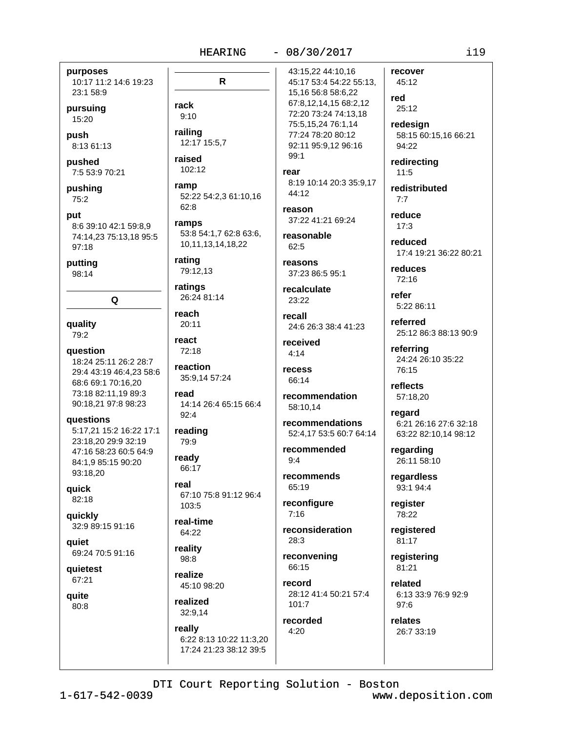$\mathsf{R}$ 

52:22 54:2.3 61:10.16

53:8 54:1,7 62:8 63:6,

10, 11, 13, 14, 18, 22

rack

 $9:10$ 

railing

raised

ramp

 $62:8$ 

ramps

rating

ratings

reach

react

read

 $92:4$ 

reading

79:9

ready

real

66:17

 $103:5$ 

real-time

64:22

reality

98:8

realize

realized

really

32:9.14

45:10 98:20

 $20:11$ 

72:18

reaction

35:9.14 57:24

14:14 26:4 65:15 66:4

67:10 75:8 91:12 96:4

6:22 8:13 10:22 11:3,20 17:24 21:23 38:12 39:5

79:12,13

26:24 81:14

102:12

12:17 15:5,7

### $-08/30/2017$

purposes 10:17 11:2 14:6 19:23 23:1 58:9

pursuing  $15:20$ 

push 8:13 61:13

pushed

7:5 53:9 70:21

pushing 75:2

put 8:6 39:10 42:1 59:8,9 74:14.23 75:13.18 95:5 97:18

Q

putting  $98:14$ 

quality

79:2

question 18:24 25:11 26:2 28:7 29:4 43:19 46:4,23 58:6 68:6 69:1 70:16,20 73:18 82:11,19 89:3 90:18,21 97:8 98:23

**auestions** 5:17,21 15:2 16:22 17:1 23:18,20 29:9 32:19 47:16 58:23 60:5 64:9 84:1.9 85:15 90:20 93:18,20

quick 82:18

quickly 32:9 89:15 91:16

**aujet** 69:24 70:5 91:16

quietest 67:21

quite 80:8

43:15.22 44:10.16 45:17 53:4 54:22 55:13, 15,16 56:8 58:6,22 67:8.12.14.15 68:2.12 72:20 73:24 74:13,18 75:5,15,24 76:1,14 77:24 78:20 80:12 92:11 95:9,12 96:16  $99:1$ 

> rear 8:19 10:14 20:3 35:9,17 44:12

reason 37:22 41:21 69:24

reasonable  $62.5$ 

reasons 37:23 86:5 95:1

recalculate 23:22

recall 24:6 26:3 38:4 41:23

received  $4:14$ 

recess 66:14

recommendation 58:10,14

recommendations 52:4.17 53:5 60:7 64:14

recommended  $9:4$ 

recommends 65:19

reconfigure  $7:16$ 

reconsideration  $28:3$ 

reconvening 66:15

record 28:12 41:4 50:21 57:4  $101:7$ 

recorded  $4:20$ 

red  $25:12$ redesign 58:15 60:15,16 66:21 94:22 redirecting

 $11:5$ 

recover

45:12

redistributed  $7.7$ 

reduce  $17:3$ 

> reduced 17:4 19:21 36:22 80:21

reduces  $72:16$ 

refer 5:22 86:11

referred 25:12 86:3 88:13 90:9

referring 24:24 26:10 35:22 76:15

reflects 57:18,20

regard 6:21 26:16 27:6 32:18 63:22 82:10,14 98:12

regarding 26:11 58:10

regardless 93:1 94:4

register 78:22

registered 81:17

registering 81:21

related 6:13 33:9 76:9 92:9 97:6

relates 26:7 33:19

DTI Court Reporting Solution - Boston

 $1 - 617 - 542 - 0039$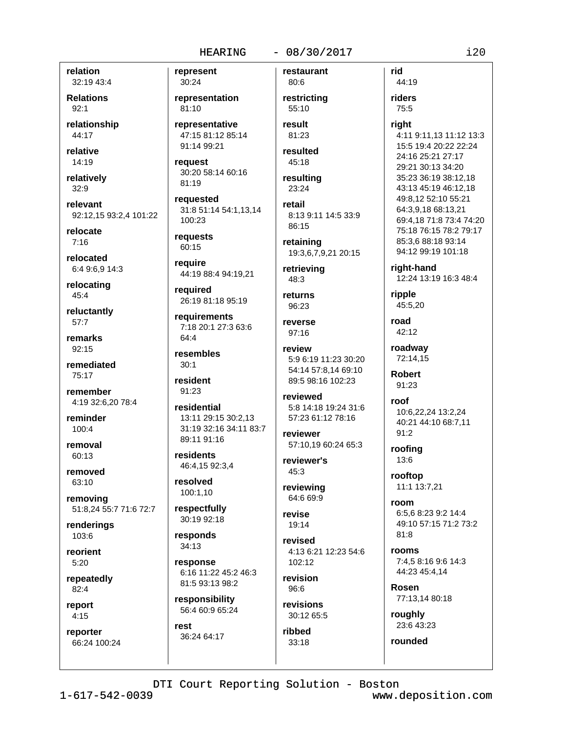relation 32:19 43:4

**Relations**  $92:1$ 

relationship 44:17

relative  $14:19$ 

relatively  $32:9$ 

relevant 92:12.15 93:2.4 101:22

relocate  $7:16$ 

relocated 6:4 9:6.9 14:3

relocating  $45:4$ 

reluctantly  $57:7$ 

remarks  $92:15$ 

remediated  $75.17$ 

remember 4:19 32:6,20 78:4

reminder  $100:4$ 

removal 60:13

removed 63:10

removing 51:8,24 55:7 71:6 72:7

renderings 103:6

reorient  $5:20$ 

repeatedly  $82:4$ 

report  $4:15$ 

reporter 66:24 100:24

representation 81:10 representative

represent

30:24

47:15 81:12 85:14 91:14 99:21

request 30:20 58:14 60:16  $81.19$ 

requested 31:8 51:14 54:1,13,14 100:23

requests 60:15

require 44:19 88:4 94:19.21

required 26:19 81:18 95:19

requirements 7:18 20:1 27:3 63:6  $64:4$ 

resembles  $30.1$ 

resident  $91:23$ 

residential 13:11 29:15 30:2.13 31:19 32:16 34:11 83:7 89:11 91:16

residents 46:4,15 92:3,4

resolved 100:1,10

respectfully 30:19 92:18

responds  $34:13$ 

response 6:16 11:22 45:2 46:3 81:5 93:13 98:2

responsibility 56:4 60:9 65:24

rest 36:24 64:17

 $80:6$ restricting

restaurant

55:10 result 81:23

resulted  $45:18$ 

resulting 23:24

retail 8:13 9:11 14:5 33:9 86:15

retaining 19:3,6,7,9,21 20:15

retrieving 48:3

returns 96:23

reverse 97:16

review 5:9 6:19 11:23 30:20 54:14 57:8,14 69:10 89:5 98:16 102:23

reviewed 5:8 14:18 19:24 31:6 57:23 61:12 78:16

reviewer 57:10.19 60:24 65:3

reviewer's  $45:3$ 

reviewing 64:6 69:9

revise 19:14

revised 4:13 6:21 12:23 54:6  $102.12$ 

revision  $96:6$ 

revisions 30:12 65:5

ribbed  $33:18$ 

44:19 riders  $75:5$ 

riaht

rid

4:11 9:11,13 11:12 13:3 15:5 19:4 20:22 22:24 24:16 25:21 27:17 29:21 30:13 34:20 35:23 36:19 38:12,18 43:13 45:19 46:12.18 49:8,12 52:10 55:21 64:3,9,18 68:13,21 69:4,18 71:8 73:4 74:20 75:18 76:15 78:2 79:17 85:3.6 88:18 93:14 94:12 99:19 101:18

right-hand 12:24 13:19 16:3 48:4

ripple 45:5,20

road 42:12

roadway 72:14.15

**Robert** 91:23

roof 10:6,22,24 13:2,24 40:21 44:10 68:7,11 91:2

roofina 13:6

rooftop 11:1 13:7,21

room 6:5.6 8:23 9:2 14:4 49:10 57:15 71:2 73:2  $81:8$ 

rooms 7:4.5 8:16 9:6 14:3 44:23 45:4.14

Rosen 77:13,14 80:18

roughly 23:6 43:23

rounded

DTI Court Reporting Solution - Boston

www.deposition.com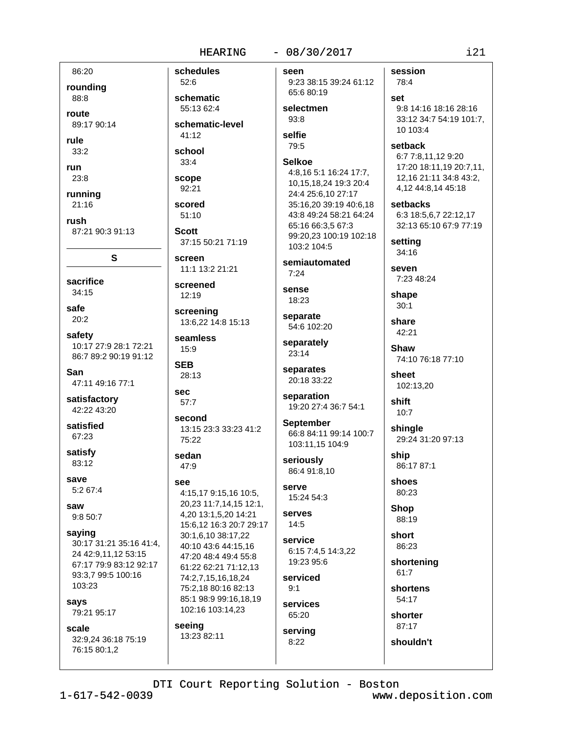$52:6$ 

 $33:4$ 

92:21

**Scott** 

#### $-08/30/2017$

86:20 rounding

88:8

route 89:17 90:14

rule

 $33:2$ 

run  $23:8$ 

running

 $21:16$ 

rush 87:21 90:3 91:13

S

sacrifice

 $34:15$ 

safe  $20:2$ 

safety 10:17 27:9 28:1 72:21 86:7 89:2 90:19 91:12

San 47:11 49:16 77:1

satisfactory 42:22 43:20

satisfied 67:23

satisfy 83:12

save  $5:267:4$ 

saw 9:8 50:7

#### saying

30:17 31:21 35:16 41:4, 24 42:9,11,12 53:15 67:17 79:9 83:12 92:17 93:3,7 99:5 100:16 103:23

says 79:21 95:17

scale

32:9,24 36:18 75:19 76:15 80:1,2

schedules schematic 55:13 62:4 schematic-level 41:12 school scope scored  $51:10$ 37:15 50:21 71:19 screen 11:1 13:2 21:21 screened  $12:19$ screening 13:6.22 14:8 15:13

seamless 15:9 **SEB** 

28:13

**sec**  $57:7$ 

second 13:15 23:3 33:23 41:2 75:22

#### sedan 47:9

SAA

4:15,17 9:15,16 10:5, 20,23 11:7,14,15 12:1, 4,20 13:1,5,20 14:21 15:6,12 16:3 20:7 29:17 30:1,6,10 38:17,22 40:10 43:6 44:15.16 47:20 48:4 49:4 55:8 61:22 62:21 71:12,13 74:2,7,15,16,18,24 75:2.18 80:16 82:13 85:1 98:9 99:16,18,19 102:16 103:14,23 seeing

13:23 82:11

seen 9:23 38:15 39:24 61:12 65:6 80:19

selectmen  $93:8$ 

selfie

79:5 **Selkoe** 

4:8,16 5:1 16:24 17:7, 10,15,18,24 19:3 20:4 24:4 25:6,10 27:17 35:16,20 39:19 40:6,18 43:8 49:24 58:21 64:24 65:16 66:3,5 67:3 99:20,23 100:19 102:18 103:2 104:5

semiautomated  $7:24$ 

sense 18:23

separate 54:6 102:20

separately 23:14

separates 20:18 33:22

separation 19:20 27:4 36:7 54:1

**September** 66:8 84:11 99:14 100:7 103:11.15 104:9

seriously 86:4 91:8,10

**SALVA** 15:24 54:3

serves  $14:5$ 

**service** 6:15 7:4.5 14:3.22 19:23 95:6

serviced  $9:1$ 

services 65:20 serving  $8:22$ 

session 78:4 set 9:8 14:16 18:16 28:16

33:12 34:7 54:19 101:7. 10 103:4

setback

6:7 7:8.11.12 9:20 17:20 18:11,19 20:7,11, 12,16 21:11 34:8 43:2, 4,12 44:8,14 45:18

setbacks

6:3 18:5,6,7 22:12,17 32:13 65:10 67:9 77:19

settina  $34:16$ 

seven 7:23 48:24

shape  $30:1$ 

share 42:21

Shaw 74:10 76:18 77:10

sheet 102:13,20

shift  $10:7$ 

shingle 29:24 31:20 97:13

ship 86:17 87:1

shoes 80:23

Shop 88:19

short 86:23

> shortening 61:7

shortens

54:17 shorter 87:17

shouldn't

DTI Court Reporting Solution - Boston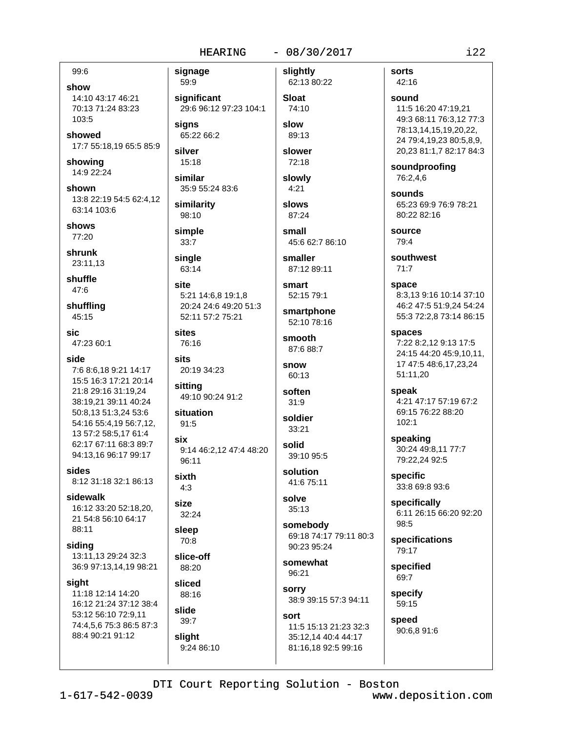# $-08/30/2017$

99:6

 $103:5$ 

show 14:10 43:17 46:21 70:13 71:24 83:23

showed 17:7 55:18,19 65:5 85:9

showing 14:9 22:24

shown 13:8 22:19 54:5 62:4,12 63:14 103:6

shows 77:20

shrunk 23:11.13

shuffle 47:6

shuffling 45:15

sic 47:23 60:1

#### side

7:6 8:6,18 9:21 14:17 15:5 16:3 17:21 20:14 21:8 29:16 31:19,24 38:19,21 39:11 40:24 50:8,13 51:3,24 53:6 54:16 55:4,19 56:7,12, 13 57:2 58:5.17 61:4 62:17 67:11 68:3 89:7 94:13.16 96:17 99:17

sides

8:12 31:18 32:1 86:13

sidewalk 16:12 33:20 52:18.20. 21 54:8 56:10 64:17 88:11

siding

13:11,13 29:24 32:3 36:9 97:13,14,19 98:21

sight

11:18 12:14 14:20 16:12 21:24 37:12 38:4 53:12 56:10 72:9,11 74:4,5,6 75:3 86:5 87:3 88:4 90:21 91:12

59:9 significant 29:6 96:12 97:23 104:1

sians 65:22 66:2

silver 15:18

signage

similar 35:9 55:24 83:6

similarity 98:10

simple 33:7

single 63:14

site 5:21 14:6,8 19:1,8 20:24 24:6 49:20 51:3

52:11 57:2 75:21

sites 76:16

sits 20:19 34:23

sitting 49:10 90:24 91:2

situation  $91:5$ 

six 9:14 46:2,12 47:4 48:20 96:11

sixth

 $4:3$ size

32:24 sleep  $70:8$ 

slice-off 88:20

sliced 88:16

slide  $39:7$ slight

9:24 86:10

slightly 62:13 80:22

# **Sloat** 74:10

slow 89:13 slower

72:18

slowly  $4:21$ 

slows 87:24

small 45:6 62:7 86:10

smaller 87:12 89:11

smart 52:15 79:1

smartphone 52:10 78:16

smooth 87:6 88:7

snow 60:13

> soften  $31:9$

soldier  $33:21$ 

solid 39:10 95:5

solution 41:6 75:11

solve 35:13

somebody 69:18 74:17 79:11 80:3 90:23 95:24

somewhat 96:21

sorry 38:9 39:15 57:3 94:11

sort 11:5 15:13 21:23 32:3 35:12,14 40:4 44:17 81:16,18 92:5 99:16

sorts 42:16

sound 11:5 16:20 47:19.21 49:3 68:11 76:3,12 77:3 78:13,14,15,19,20,22, 24 79:4,19,23 80:5,8,9, 20,23 81:1,7 82:17 84:3

soundproofing 76:2,4,6

sounds 65:23 69:9 76:9 78:21 80:22 82:16

source  $79:4$ 

southwest  $71:7$ 

space 8:3,13 9:16 10:14 37:10 46:2 47:5 51:9,24 54:24 55:3 72:2,8 73:14 86:15

spaces 7:22 8:2,12 9:13 17:5 24:15 44:20 45:9,10,11, 17 47:5 48:6,17,23,24

51:11,20 speak 4:21 47:17 57:19 67:2 69:15 76:22 88:20  $102:1$ 

speaking 30:24 49:8.11 77:7 79:22,24 92:5

specific 33:8 69:8 93:6

specifically 6:11 26:15 66:20 92:20 98:5

specifications 79:17

specified 69:7

specify 59:15

speed 90:6,8 91:6

DTI Court Reporting Solution - Boston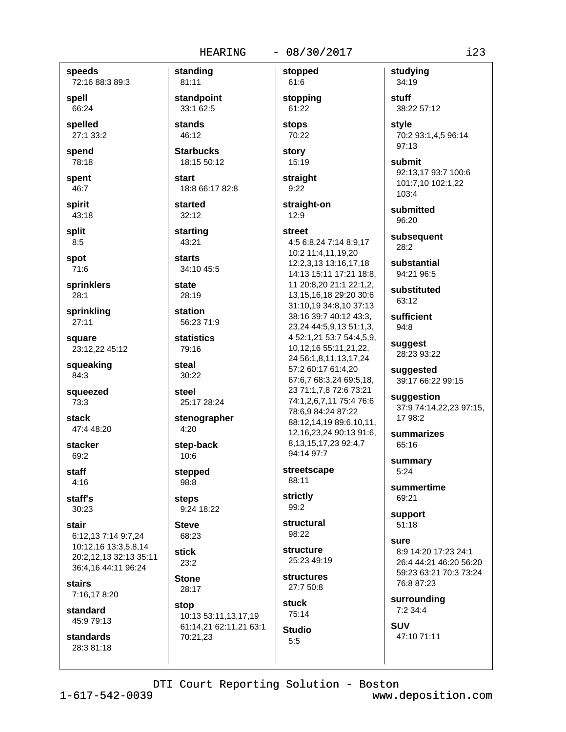#### $-08/30/2017$

speeds 72:16 88:3 89:3

spell 66:24

spelled 27:1 33:2

spend 78:18

spent

46:7 spirit

43:18

split  $8:5$ 

spot  $71:6$ 

sprinklers

 $28:1$ 

sprinkling  $27:11$ 

square 23:12,22 45:12

squeaking 84:3

squeezed 73:3

stack 47:4 48:20

stacker 69:2

staff  $4:16$ 

staff's 30:23

stair 6:12,13 7:14 9:7,24 10:12.16 13:3.5.8.14 20:2,12,13 32:13 35:11 36:4,16 44:11 96:24

**stairs** 7:16,17 8:20

standard  $45.979.13$ 

standards 28:381:18

81:11 standpoint 33:1 62:5 stands 46:12

standing

**Starbucks** 18:15 50:12

start 18:8 66:17 82:8

started  $32:12$ 

starting 43:21

**starts** 34:10 45:5

state 28:19

station 56:23 71:9

statistics 79:16

steal 30:22

steel 25:17 28:24

stenographer  $4:20$ 

step-back 10:6

stepped 98:8

**steps** 9:24 18:22

**Steve** 68:23

stick  $23:2$ 

**Stone** 28:17

stop 10:13 53:11,13,17,19 61:14,21 62:11,21 63:1 70:21,23

61:6 stopping 61:22 **stops** 

stopped

70:22 story

15:19 straight

 $9:22$ straight-on

 $12:9$ street 4:5 6:8,24 7:14 8:9,17 10:2 11:4,11,19,20 12:2,3,13 13:16,17,18 14:13 15:11 17:21 18:8, 11 20:8,20 21:1 22:1,2, 13,15,16,18 29:20 30:6 31:10,19 34:8,10 37:13 38:16 39:7 40:12 43:3, 23,24 44:5,9,13 51:1,3,

4 52:1,21 53:7 54:4,5,9, 10,12,16 55:11,21,22, 24 56:1,8,11,13,17,24 57:2 60:17 61:4.20 67:6,7 68:3,24 69:5,18, 23 71:1,7,8 72:6 73:21 74:1,2,6,7,11 75:4 76:6 78:6,9 84:24 87:22 88:12,14,19 89:6,10,11, 12,16,23,24 90:13 91:6, 8, 13, 15, 17, 23 92: 4, 7

94:14 97:7 streetscape 88:11

strictly

99:2 structural

98:22

structure 25:23 49:19

**structures** 27:7 50:8

stuck 75:14 **Studio** 

 $5:5$ 

studying 34:19 stuff 38:22 57:12 style

70:2 93:1,4,5 96:14 97:13

submit 92:13.17 93:7 100:6 101:7,10 102:1,22 103:4

submitted 96:20

subsequent  $28:2$ 

substantial 94:21 96:5

substituted 63:12

sufficient  $94:8$ 

suggest 28:23 93:22

suggested 39:17 66:22 99:15

suggestion 37:9 74:14,22,23 97:15, 17 98:2

summarizes 65:16

summary  $5:24$ 

summertime 69:21

support 51:18

sure 8:9 14:20 17:23 24:1 26:4 44:21 46:20 56:20 59:23 63:21 70:3 73:24 76:8 87:23

surrounding 7:2 34:4

**SUV** 47:10 71:11

DTI Court Reporting Solution - Boston

 $1 - 617 - 542 - 0039$ 

www.deposition.com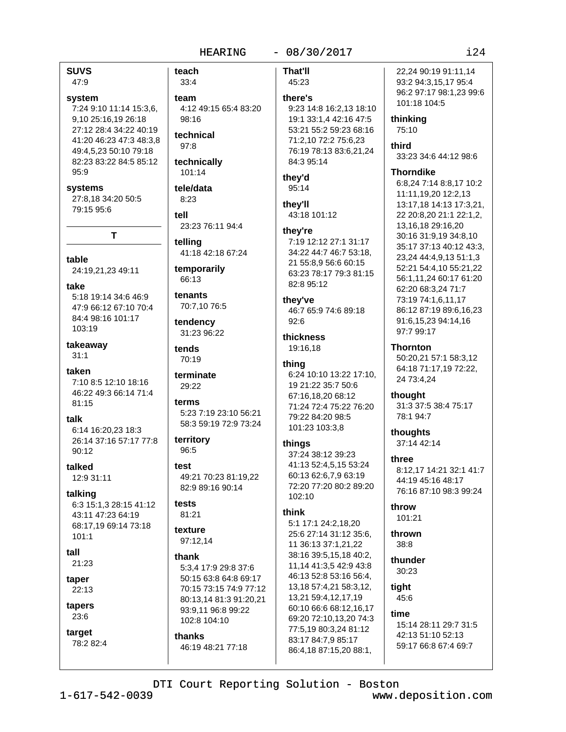# $-08/30/2017$

**SUVS** 47:9

#### system

7:24 9:10 11:14 15:3,6, 9,10 25:16,19 26:18 27:12 28:4 34:22 40:19 41:20 46:23 47:3 48:3,8 49:4.5.23 50:10 79:18 82:23 83:22 84:5 85:12  $95:9$ 

#### systems

27:8,18 34:20 50:5 79:15 95:6

T

table 24:19,21,23 49:11

#### take

5:18 19:14 34:6 46:9 47:9 66:12 67:10 70:4 84:4 98:16 101:17 103:19

takeaway  $31:1$ 

taken 7:10 8:5 12:10 18:16 46:22 49:3 66:14 71:4  $81:15$ 

talk

6:14 16:20.23 18:3 26:14 37:16 57:17 77:8  $90:12$ 

talked 12:9 31:11

talking 6:3 15:1,3 28:15 41:12 43:11 47:23 64:19 68:17,19 69:14 73:18  $101:1$ 

 $tall$ 21:23

taper

22:13

tapers 23:6

target 78:2 82:4 teach  $33:4$ team

4:12 49:15 65:4 83:20  $98.16$ 

technical  $97:8$ 

technically 101:14

# tele/data  $8:23$

tell 23:23 76:11 94:4

telling 41:18 42:18 67:24

temporarily 66:13

tenants 70:7,10 76:5

tendency 31:23 96:22

tends  $70.19$ 

terminate 29:22

terms 5:23 7:19 23:10 56:21 58:3 59:19 72:9 73:24

territory 96:5

#### test

49:21 70:23 81:19,22 82:9 89:16 90:14

#### tests 81:21

texture

97:12.14

#### thank

5:3,4 17:9 29:8 37:6 50:15 63:8 64:8 69:17 70:15 73:15 74:9 77:12 80:13,14 81:3 91:20,21 93:9,11 96:8 99:22 102:8 104:10

# thanks

46:19 48:21 77:18

**That'll** 45:23

## there's

9:23 14:8 16:2.13 18:10 19:1 33:1,4 42:16 47:5 53:21 55:2 59:23 68:16 71:2,10 72:2 75:6,23 76:19 78:13 83:6,21,24 84:3 95:14

# they'd

95:14 they'll 43:18 101:12

# they're

7:19 12:12 27:1 31:17 34:22 44:7 46:7 53:18. 21 55:8,9 56:6 60:15 63:23 78:17 79:3 81:15 82:8 95:12

# they've

46:7 65:9 74:6 89:18  $92:6$ 

#### thickness 19:16,18

# thing

6:24 10:10 13:22 17:10, 19 21:22 35:7 50:6 67:16,18,20 68:12 71:24 72:4 75:22 76:20 79:22 84:20 98:5 101:23 103:3,8

# things

37:24 38:12 39:23 41:13 52:4,5,15 53:24 60:13 62:6,7,9 63:19 72:20 77:20 80:2 89:20 102:10

# think

5:1 17:1 24:2,18,20 25:6 27:14 31:12 35:6, 11 36:13 37:1.21.22 38:16 39:5,15,18 40:2, 11,14 41:3,5 42:9 43:8 46:13 52:8 53:16 56:4, 13, 18 57: 4, 21 58: 3, 12, 13,21 59:4,12,17,19 60:10 66:6 68:12.16.17 69:20 72:10,13,20 74:3 77:5,19 80:3,24 81:12 83:17 84:7,9 85:17 86:4,18 87:15,20 88:1,

22.24 90:19 91:11.14 93:2 94:3,15,17 95:4 96:2 97:17 98:1,23 99:6 101:18 104:5

# thinking

75:10

# third

33:23 34:6 44:12 98:6

# **Thorndike**

6:8,24 7:14 8:8,17 10:2 11:11,19,20 12:2,13 13:17,18 14:13 17:3,21, 22 20:8,20 21:1 22:1,2, 13, 16, 18 29: 16, 20 30:16 31:9.19 34:8.10 35:17 37:13 40:12 43:3. 23,24 44:4,9,13 51:1,3 52:21 54:4,10 55:21,22 56:1.11.24 60:17 61:20 62:20 68:3,24 71:7 73:19 74:1,6,11,17 86:12 87:19 89:6,16,23 91:6,15,23 94:14,16 97:7 99:17

# Thornton

50:20.21 57:1 58:3.12 64:18 71:17.19 72:22. 24 73:4,24

# thought

31:3 37:5 38:4 75:17 78:1 94:7

thoughts 37:14 42:14

# three

8:12,17 14:21 32:1 41:7 44:19 45:16 48:17 76:16 87:10 98:3 99:24

throw 101:21

thrown  $38:8$ 

# thunder 30:23

tight 45:6

# time

15:14 28:11 29:7 31:5 42:13 51:10 52:13 59:17 66:8 67:4 69:7

DTI Court Reporting Solution - Boston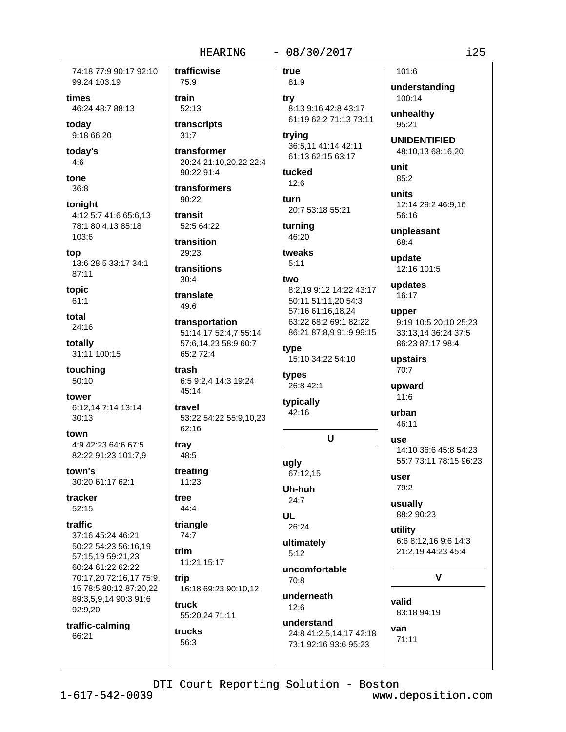# $-08/30/2017$

74:18 77:9 90:17 92:10 99:24 103:19

times 46:24 48:7 88:13

todav 9:18 66:20

today's  $4:6$ 

tone 36:8

toniaht 4:12 5:7 41:6 65:6.13 78:1 80:4.13 85:18 103:6

top 13:6 28:5 33:17 34:1  $87:11$ 

topic  $61:1$ 

total 24:16

totally 31:11 100:15

touching 50:10

tower 6:12,14 7:14 13:14  $30:13$ 

town 4:9 42:23 64:6 67:5 82:22 91:23 101:7,9

town's 30:20 61:17 62:1

tracker  $52:15$ 

traffic

37:16 45:24 46:21 50:22 54:23 56:16,19 57:15.19 59:21.23 60:24 61:22 62:22 70:17,20 72:16,17 75:9, 15 78:5 80:12 87:20.22 89:3,5,9,14 90:3 91:6 92:9,20

traffic-calming 66:21

trafficwise true 75:9 train 52:13 transcripts  $31:7$ transformer 20:24 21:10,20,22 22:4 90:22 91:4 transformers 90:22 transit  $52.564.22$ transition 29:23 transitions  $30.4$ translate 49:6 transportation 51:14,17 52:4,7 55:14 57:6,14,23 58:9 60:7 65:2 72:4 trach 6:5 9:2,4 14:3 19:24 45:14 travel 53:22 54:22 55:9,10,23 62:16 trav 48:5 treating 11:23 tree  $44:4$ UL triangle 74:7 trim  $11.21$   $15.17$ trip

16:18 69:23 90:10,12 truck 55:20,24 71:11

trucks 56:3

81:9 try 8:13 9:16 42:8 43:17 61:19 62:2 71:13 73:11

trying 36:5,11 41:14 42:11 61:13 62:15 63:17

tucked  $12:6$ 

furn 20:7 53:18 55:21

turning 46:20

tweaks  $5:11$ 

#### two

8:2,19 9:12 14:22 43:17 50:11 51:11.20 54:3 57:16 61:16,18,24 63:22 68:2 69:1 82:22 86:21 87:8,9 91:9 99:15

type 15:10 34:22 54:10

types 26:8 42:1

typically 42:16

U

ugly 67:12.15

Uh-huh  $24:7$ 

26:24

ultimately  $5:12$ uncomfortable

 $70.8$ underneath  $12:6$ understand

24:8 41:2,5,14,17 42:18 73:1 92:16 93:6 95:23

101:6 understanding 100:14

unhealthy 95:21

**UNIDENTIFIED** 48:10,13 68:16,20

unit 85:2

units 12:14 29:2 46:9.16 56:16

unpleasant 68:4

update 12:16 101:5

updates 16:17

upper 9:19 10:5 20:10 25:23 33:13,14 36:24 37:5 86:23 87:17 98:4

upstairs 70:7

> upward  $11:6$

urban 46:11

use 14:10 36:6 45:8 54:23 55:7 73:11 78:15 96:23

user

79:2

usually 88:2 90:23

utility 6:6 8:12.16 9:6 14:3 21:2.19 44:23 45:4

 $\mathbf{v}$ 

valid

83:18 94:19

van 71:11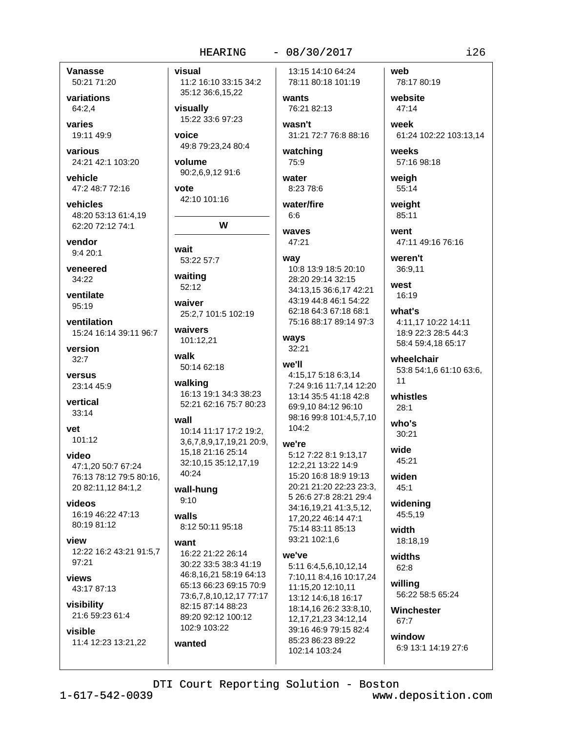#### $-08/30/2017$

 $i26$ 

**Vanasse** 50:21 71:20

variations 64:2.4

varies 19:11 49:9

various 24:21 42:1 103:20

vehicle 47:2 48:7 72:16

vehicles 48:20 53:13 61:4.19 62:20 72:12 74:1

vendor  $9:420:1$ 

veneered  $34.22$ 

ventilate  $95:19$ 

ventilation 15:24 16:14 39:11 96:7

version  $32:7$ 

versus 23:14 45:9

vertical  $33:14$ 

vet  $101:12$ 

video 47:1.20 50:7 67:24 76:13 78:12 79:5 80:16, 20 82:11,12 84:1,2

**videos** 16:19 46:22 47:13 80:19 81:12

view 12:22 16:2 43:21 91:5.7  $97.21$ 

views 43:17 87:13

visibility 21:6 59:23 61:4

#### visible 11:4 12:23 13:21,22

visual 11:2 16:10 33:15 34:2 35:12 36:6,15,22

visually 15:22 33:6 97:23

voice 49:8 79:23,24 80:4

volume 90:2,6,9,12 91:6

vote 42:10 101:16

wait 53:22 57:7

W

waiting  $52:12$ 

waiver 25:2,7 101:5 102:19

waivers 101:12,21

walk 50:14 62:18

walking 16:13 19:1 34:3 38:23 52:21 62:16 75:7 80:23

wall

10:14 11:17 17:2 19:2, 3,6,7,8,9,17,19,21 20:9, 15.18 21:16 25:14 32:10,15 35:12,17,19 40:24

wall-hung  $9:10$ 

walls 8:12 50:11 95:18

#### want

16:22 21:22 26:14 30:22 33:5 38:3 41:19 46:8,16,21 58:19 64:13 65:13 66:23 69:15 70:9 73:6,7,8,10,12,17 77:17 82:15 87:14 88:23 89:20 92:12 100:12 102:9 103:22 wanted

13:15 14:10 64:24 78:11 80:18 101:19

wants 76:21 82:13 wasn't

31:21 72:7 76:8 88:16 watching

75:9

water 8:23 78:6

water/fire  $6:6$ 

#### waves 47:21

way

10:8 13:9 18:5 20:10 28:20 29:14 32:15 34:13,15 36:6,17 42:21 43:19 44:8 46:1 54:22

62:18 64:3 67:18 68:1 75:16 88:17 89:14 97:3

ways  $32:21$ 

# we'll

4:15,17 5:18 6:3,14 7:24 9:16 11:7,14 12:20 13:14 35:5 41:18 42:8 69:9,10 84:12 96:10 98:16 99:8 101:4,5,7,10 104:2

#### we're

5:12 7:22 8:1 9:13.17 12:2,21 13:22 14:9 15:20 16:8 18:9 19:13 20:21 21:20 22:23 23:3, 5 26:6 27:8 28:21 29:4 34:16,19,21 41:3,5,12, 17,20,22 46:14 47:1 75:14 83:11 85:13 93:21 102:1,6

# we've

5:11 6:4.5.6.10.12.14 7:10.11 8:4.16 10:17.24 11:15,20 12:10,11 13:12 14:6.18 16:17 18:14,16 26:2 33:8,10, 12, 17, 21, 23 34: 12, 14 39:16 46:9 79:15 82:4 85:23 86:23 89:22 102:14 103:24

web 78:17 80:19

website 47:14

week 61:24 102:22 103:13,14

weeks 57:16 98:18

weigh 55:14

weiaht 85:11

went 47:11 49:16 76:16

weren't 36:9.11

west 16:19

what's

4:11.17 10:22 14:11 18:9 22:3 28:5 44:3 58:4 59:4,18 65:17

wheelchair 53:8 54:1.6 61:10 63:6.  $11$ 

whistles  $28:1$ 

 $who's$  $30:21$ 

wide 45:21

widen 45:1

widening 45:5,19

width 18:18.19

widths  $62:8$ 

willing 56:22 58:5 65:24

Winchester  $67.7$ 

window 6:9 13:1 14:19 27:6

DTI Court Reporting Solution - Boston